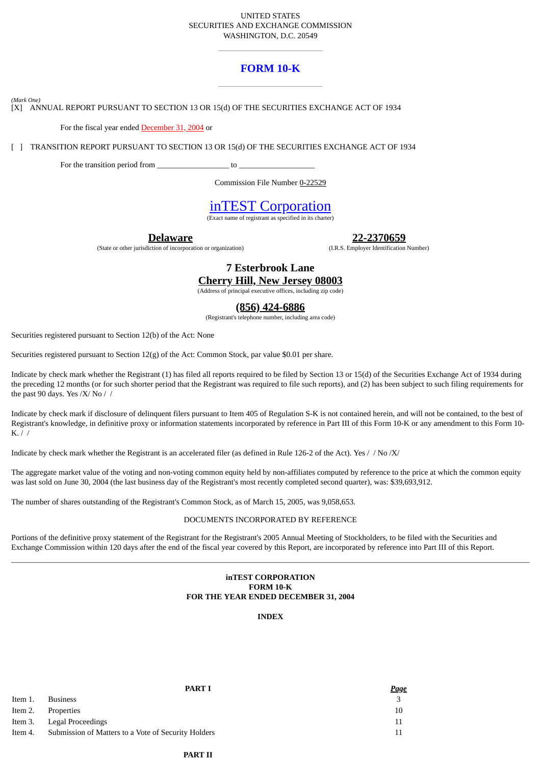# UNITED STATES SECURITIES AND EXCHANGE COMMISSION WASHINGTON, D.C. 20549

# **FORM 10-K**

*(Mark One)*

[X] ANNUAL REPORT PURSUANT TO SECTION 13 OR 15(d) OF THE SECURITIES EXCHANGE ACT OF 1934

For the fiscal year ended December 31, 2004 or

[ ] TRANSITION REPORT PURSUANT TO SECTION 13 OR 15(d) OF THE SECURITIES EXCHANGE ACT OF 1934

For the transition period from  $\qquad \qquad$  to  $\qquad \qquad$ 

Commission File Number 0-22529

# inTEST Corporation

(Exact name of registrant as specified in its charter)

**Delaware**

(State or other jurisdiction of incorporation or organization)

**22-2370659**

(I.R.S. Employer Identification Number)

**7 Esterbrook Lane Cherry Hill, New Jersey 08003**

(Address of principal executive offices, including zip code)

# **(856) 424-6886**

(Registrant's telephone number, including area code)

Securities registered pursuant to Section 12(b) of the Act: None

Securities registered pursuant to Section 12(g) of the Act: Common Stock, par value \$0.01 per share.

Indicate by check mark whether the Registrant (1) has filed all reports required to be filed by Section 13 or 15(d) of the Securities Exchange Act of 1934 during the preceding 12 months (or for such shorter period that the Registrant was required to file such reports), and (2) has been subject to such filing requirements for the past 90 days. Yes /X/ No //

Indicate by check mark if disclosure of delinquent filers pursuant to Item 405 of Regulation S-K is not contained herein, and will not be contained, to the best of Registrant's knowledge, in definitive proxy or information statements incorporated by reference in Part III of this Form 10-K or any amendment to this Form 10- K. / /

Indicate by check mark whether the Registrant is an accelerated filer (as defined in Rule 126-2 of the Act). Yes // No /X/

The aggregate market value of the voting and non-voting common equity held by non-affiliates computed by reference to the price at which the common equity was last sold on June 30, 2004 (the last business day of the Registrant's most recently completed second quarter), was: \$39,693,912.

The number of shares outstanding of the Registrant's Common Stock, as of March 15, 2005, was 9,058,653.

# DOCUMENTS INCORPORATED BY REFERENCE

Portions of the definitive proxy statement of the Registrant for the Registrant's 2005 Annual Meeting of Stockholders, to be filed with the Securities and Exchange Commission within 120 days after the end of the fiscal year covered by this Report, are incorporated by reference into Part III of this Report.

# **inTEST CORPORATION FORM 10-K FOR THE YEAR ENDED DECEMBER 31, 2004**

**INDEX**

|         | <b>PART I</b>                                       | <u>Page</u> |
|---------|-----------------------------------------------------|-------------|
| Item 1. | <b>Business</b>                                     | 3           |
| Item 2. | Properties                                          | 10          |
|         | Item 3. Legal Proceedings                           | 11          |
| Item 4. | Submission of Matters to a Vote of Security Holders |             |

# **PART II**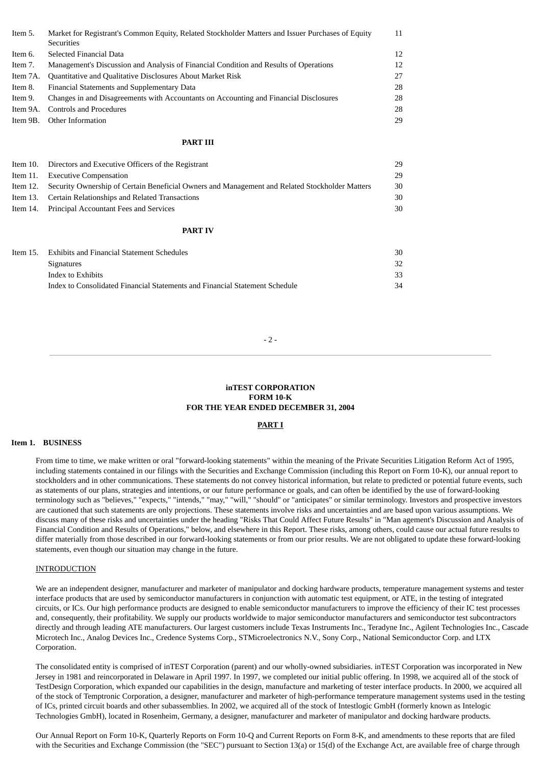| Item 5.  | Market for Registrant's Common Equity, Related Stockholder Matters and Issuer Purchases of Equity<br><b>Securities</b> | 11 |
|----------|------------------------------------------------------------------------------------------------------------------------|----|
| Item 6.  | Selected Financial Data                                                                                                | 12 |
| Item 7.  | Management's Discussion and Analysis of Financial Condition and Results of Operations                                  | 12 |
| Item 7A. | Quantitative and Qualitative Disclosures About Market Risk                                                             | 27 |
| Item 8.  | Financial Statements and Supplementary Data                                                                            | 28 |
| Item 9.  | Changes in and Disagreements with Accountants on Accounting and Financial Disclosures                                  | 28 |
| Item 9A. | <b>Controls and Procedures</b>                                                                                         | 28 |
| Item 9B. | Other Information                                                                                                      | 29 |
|          | <b>PART III</b>                                                                                                        |    |
| Item 10. |                                                                                                                        | 29 |
| Item 11. | Directors and Executive Officers of the Registrant<br><b>Executive Compensation</b>                                    | 29 |
| Item 12. | Security Ownership of Certain Beneficial Owners and Management and Related Stockholder Matters                         | 30 |
| Item 13. | Certain Relationships and Related Transactions                                                                         | 30 |
| Item 14. | Principal Accountant Fees and Services                                                                                 | 30 |
|          | <b>PART IV</b>                                                                                                         |    |
|          |                                                                                                                        |    |
| Item 15. | <b>Exhibits and Financial Statement Schedules</b>                                                                      | 30 |
|          | <b>Signatures</b>                                                                                                      | 32 |
|          | Index to Exhibits                                                                                                      | 33 |

Index to Consolidated Financial Statements and Financial Statement Schedule 34

 $-2 -$ 

# **inTEST CORPORATION FORM 10-K FOR THE YEAR ENDED DECEMBER 31, 2004**

#### **PART I**

#### **Item 1. BUSINESS**

From time to time, we make written or oral "forward-looking statements" within the meaning of the Private Securities Litigation Reform Act of 1995, including statements contained in our filings with the Securities and Exchange Commission (including this Report on Form 10-K), our annual report to stockholders and in other communications. These statements do not convey historical information, but relate to predicted or potential future events, such as statements of our plans, strategies and intentions, or our future performance or goals, and can often be identified by the use of forward-looking terminology such as "believes," "expects," "intends," "may," "will," "should" or "anticipates" or similar terminology. Investors and prospective investors are cautioned that such statements are only projections. These statements involve risks and uncertainties and are based upon various assumptions. We discuss many of these risks and uncertainties under the heading "Risks That Could Affect Future Results" in "Man agement's Discussion and Analysis of Financial Condition and Results of Operations," below, and elsewhere in this Report. These risks, among others, could cause our actual future results to differ materially from those described in our forward-looking statements or from our prior results. We are not obligated to update these forward-looking statements, even though our situation may change in the future.

#### INTRODUCTION

We are an independent designer, manufacturer and marketer of manipulator and docking hardware products, temperature management systems and tester interface products that are used by semiconductor manufacturers in conjunction with automatic test equipment, or ATE, in the testing of integrated circuits, or ICs. Our high performance products are designed to enable semiconductor manufacturers to improve the efficiency of their IC test processes and, consequently, their profitability. We supply our products worldwide to major semiconductor manufacturers and semiconductor test subcontractors directly and through leading ATE manufacturers. Our largest customers include Texas Instruments Inc., Teradyne Inc., Agilent Technologies Inc., Cascade Microtech Inc., Analog Devices Inc., Credence Systems Corp., STMicroelectronics N.V., Sony Corp., National Semiconductor Corp. and LTX Corporation.

The consolidated entity is comprised of inTEST Corporation (parent) and our wholly-owned subsidiaries. inTEST Corporation was incorporated in New Jersey in 1981 and reincorporated in Delaware in April 1997. In 1997, we completed our initial public offering. In 1998, we acquired all of the stock of TestDesign Corporation, which expanded our capabilities in the design, manufacture and marketing of tester interface products. In 2000, we acquired all of the stock of Temptronic Corporation, a designer, manufacturer and marketer of high-performance temperature management systems used in the testing of ICs, printed circuit boards and other subassemblies. In 2002, we acquired all of the stock of Intestlogic GmbH (formerly known as Intelogic Technologies GmbH), located in Rosenheim, Germany, a designer, manufacturer and marketer of manipulator and docking hardware products.

Our Annual Report on Form 10-K, Quarterly Reports on Form 10-Q and Current Reports on Form 8-K, and amendments to these reports that are filed with the Securities and Exchange Commission (the "SEC") pursuant to Section 13(a) or 15(d) of the Exchange Act, are available free of charge through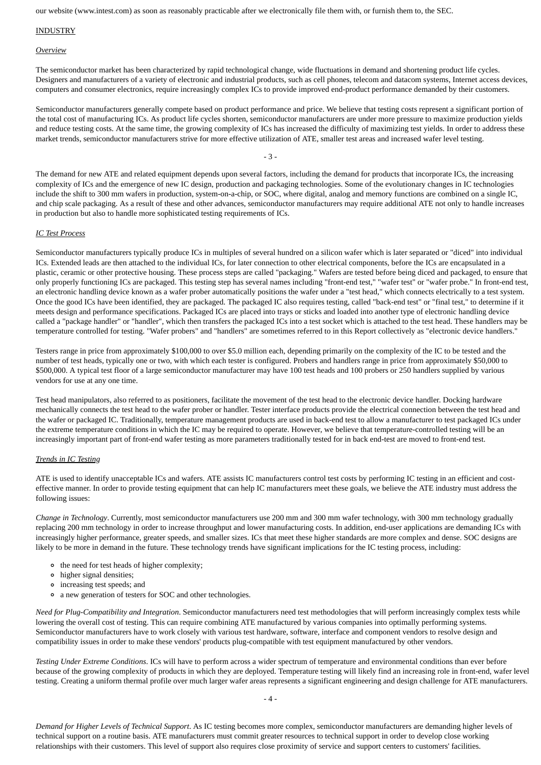our website (www.intest.com) as soon as reasonably practicable after we electronically file them with, or furnish them to, the SEC.

# INDUSTRY

#### *Overview*

The semiconductor market has been characterized by rapid technological change, wide fluctuations in demand and shortening product life cycles. Designers and manufacturers of a variety of electronic and industrial products, such as cell phones, telecom and datacom systems, Internet access devices, computers and consumer electronics, require increasingly complex ICs to provide improved end-product performance demanded by their customers.

Semiconductor manufacturers generally compete based on product performance and price. We believe that testing costs represent a significant portion of the total cost of manufacturing ICs. As product life cycles shorten, semiconductor manufacturers are under more pressure to maximize production yields and reduce testing costs. At the same time, the growing complexity of ICs has increased the difficulty of maximizing test yields. In order to address these market trends, semiconductor manufacturers strive for more effective utilization of ATE, smaller test areas and increased wafer level testing.

- 3 -

The demand for new ATE and related equipment depends upon several factors, including the demand for products that incorporate ICs, the increasing complexity of ICs and the emergence of new IC design, production and packaging technologies. Some of the evolutionary changes in IC technologies include the shift to 300 mm wafers in production, system-on-a-chip, or SOC, where digital, analog and memory functions are combined on a single IC, and chip scale packaging. As a result of these and other advances, semiconductor manufacturers may require additional ATE not only to handle increases in production but also to handle more sophisticated testing requirements of ICs.

# *IC Test Process*

Semiconductor manufacturers typically produce ICs in multiples of several hundred on a silicon wafer which is later separated or "diced" into individual ICs. Extended leads are then attached to the individual ICs, for later connection to other electrical components, before the ICs are encapsulated in a plastic, ceramic or other protective housing. These process steps are called "packaging." Wafers are tested before being diced and packaged, to ensure that only properly functioning ICs are packaged. This testing step has several names including "front-end test," "wafer test" or "wafer probe." In front-end test, an electronic handling device known as a wafer prober automatically positions the wafer under a "test head," which connects electrically to a test system. Once the good ICs have been identified, they are packaged. The packaged IC also requires testing, called "back-end test" or "final test," to determine if it meets design and performance specifications. Packaged ICs are placed into trays or sticks and loaded into another type of electronic handling device called a "package handler" or "handler", which then transfers the packaged ICs into a test socket which is attached to the test head. These handlers may be temperature controlled for testing. "Wafer probers" and "handlers" are sometimes referred to in this Report collectively as "electronic device handlers."

Testers range in price from approximately \$100,000 to over \$5.0 million each, depending primarily on the complexity of the IC to be tested and the number of test heads, typically one or two, with which each tester is configured. Probers and handlers range in price from approximately \$50,000 to \$500,000. A typical test floor of a large semiconductor manufacturer may have 100 test heads and 100 probers or 250 handlers supplied by various vendors for use at any one time.

Test head manipulators, also referred to as positioners, facilitate the movement of the test head to the electronic device handler. Docking hardware mechanically connects the test head to the wafer prober or handler. Tester interface products provide the electrical connection between the test head and the wafer or packaged IC. Traditionally, temperature management products are used in back-end test to allow a manufacturer to test packaged ICs under the extreme temperature conditions in which the IC may be required to operate. However, we believe that temperature-controlled testing will be an increasingly important part of front-end wafer testing as more parameters traditionally tested for in back end-test are moved to front-end test.

#### *Trends in IC Testing*

ATE is used to identify unacceptable ICs and wafers. ATE assists IC manufacturers control test costs by performing IC testing in an efficient and costeffective manner. In order to provide testing equipment that can help IC manufacturers meet these goals, we believe the ATE industry must address the following issues:

*Change in Technology*. Currently, most semiconductor manufacturers use 200 mm and 300 mm wafer technology, with 300 mm technology gradually replacing 200 mm technology in order to increase throughput and lower manufacturing costs. In addition, end-user applications are demanding ICs with increasingly higher performance, greater speeds, and smaller sizes. ICs that meet these higher standards are more complex and dense. SOC designs are likely to be more in demand in the future. These technology trends have significant implications for the IC testing process, including:

- the need for test heads of higher complexity;
- higher signal densities;
- increasing test speeds; and
- a new generation of testers for SOC and other technologies.

*Need for Plug-Compatibility and Integration*. Semiconductor manufacturers need test methodologies that will perform increasingly complex tests while lowering the overall cost of testing. This can require combining ATE manufactured by various companies into optimally performing systems. Semiconductor manufacturers have to work closely with various test hardware, software, interface and component vendors to resolve design and compatibility issues in order to make these vendors' products plug-compatible with test equipment manufactured by other vendors.

*Testing Under Extreme Conditions*. ICs will have to perform across a wider spectrum of temperature and environmental conditions than ever before because of the growing complexity of products in which they are deployed. Temperature testing will likely find an increasing role in front-end, wafer level testing. Creating a uniform thermal profile over much larger wafer areas represents a significant engineering and design challenge for ATE manufacturers.

*Demand for Higher Levels of Technical Support*. As IC testing becomes more complex, semiconductor manufacturers are demanding higher levels of technical support on a routine basis. ATE manufacturers must commit greater resources to technical support in order to develop close working relationships with their customers. This level of support also requires close proximity of service and support centers to customers' facilities.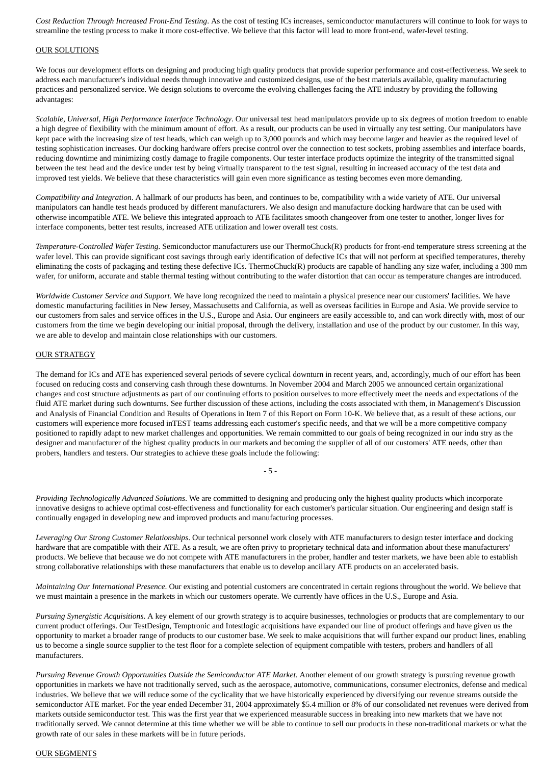*Cost Reduction Through Increased Front-End Testing*. As the cost of testing ICs increases, semiconductor manufacturers will continue to look for ways to streamline the testing process to make it more cost-effective. We believe that this factor will lead to more front-end, wafer-level testing.

#### OUR SOLUTIONS

We focus our development efforts on designing and producing high quality products that provide superior performance and cost-effectiveness. We seek to address each manufacturer's individual needs through innovative and customized designs, use of the best materials available, quality manufacturing practices and personalized service. We design solutions to overcome the evolving challenges facing the ATE industry by providing the following advantages:

*Scalable, Universal, High Performance Interface Technology*. Our universal test head manipulators provide up to six degrees of motion freedom to enable a high degree of flexibility with the minimum amount of effort. As a result, our products can be used in virtually any test setting. Our manipulators have kept pace with the increasing size of test heads, which can weigh up to 3,000 pounds and which may become larger and heavier as the required level of testing sophistication increases. Our docking hardware offers precise control over the connection to test sockets, probing assemblies and interface boards, reducing downtime and minimizing costly damage to fragile components. Our tester interface products optimize the integrity of the transmitted signal between the test head and the device under test by being virtually transparent to the test signal, resulting in increased accuracy of the test data and improved test yields. We believe that these characteristics will gain even more significance as testing becomes even more demanding.

*Compatibility and Integration*. A hallmark of our products has been, and continues to be, compatibility with a wide variety of ATE. Our universal manipulators can handle test heads produced by different manufacturers. We also design and manufacture docking hardware that can be used with otherwise incompatible ATE. We believe this integrated approach to ATE facilitates smooth changeover from one tester to another, longer lives for interface components, better test results, increased ATE utilization and lower overall test costs.

*Temperature-Controlled Wafer Testing*. Semiconductor manufacturers use our ThermoChuck(R) products for front-end temperature stress screening at the wafer level. This can provide significant cost savings through early identification of defective ICs that will not perform at specified temperatures, thereby eliminating the costs of packaging and testing these defective ICs. ThermoChuck(R) products are capable of handling any size wafer, including a 300 mm wafer, for uniform, accurate and stable thermal testing without contributing to the wafer distortion that can occur as temperature changes are introduced.

*Worldwide Customer Service and Support*. We have long recognized the need to maintain a physical presence near our customers' facilities. We have domestic manufacturing facilities in New Jersey, Massachusetts and California, as well as overseas facilities in Europe and Asia. We provide service to our customers from sales and service offices in the U.S., Europe and Asia. Our engineers are easily accessible to, and can work directly with, most of our customers from the time we begin developing our initial proposal, through the delivery, installation and use of the product by our customer. In this way, we are able to develop and maintain close relationships with our customers.

#### OUR STRATEGY

The demand for ICs and ATE has experienced several periods of severe cyclical downturn in recent years, and, accordingly, much of our effort has been focused on reducing costs and conserving cash through these downturns. In November 2004 and March 2005 we announced certain organizational changes and cost structure adjustments as part of our continuing efforts to position ourselves to more effectively meet the needs and expectations of the fluid ATE market during such downturns. See further discussion of these actions, including the costs associated with them, in Management's Discussion and Analysis of Financial Condition and Results of Operations in Item 7 of this Report on Form 10-K. We believe that, as a result of these actions, our customers will experience more focused inTEST teams addressing each customer's specific needs, and that we will be a more competitive company positioned to rapidly adapt to new market challenges and opportunities. We remain committed to our goals of being recognized in our indu stry as the designer and manufacturer of the highest quality products in our markets and becoming the supplier of all of our customers' ATE needs, other than probers, handlers and testers. Our strategies to achieve these goals include the following:

*Providing Technologically Advanced Solutions*. We are committed to designing and producing only the highest quality products which incorporate innovative designs to achieve optimal cost-effectiveness and functionality for each customer's particular situation. Our engineering and design staff is continually engaged in developing new and improved products and manufacturing processes.

- 5 -

*Leveraging Our Strong Customer Relationships*. Our technical personnel work closely with ATE manufacturers to design tester interface and docking hardware that are compatible with their ATE. As a result, we are often privy to proprietary technical data and information about these manufacturers' products. We believe that because we do not compete with ATE manufacturers in the prober, handler and tester markets, we have been able to establish strong collaborative relationships with these manufacturers that enable us to develop ancillary ATE products on an accelerated basis.

*Maintaining Our International Presence*. Our existing and potential customers are concentrated in certain regions throughout the world. We believe that we must maintain a presence in the markets in which our customers operate. We currently have offices in the U.S., Europe and Asia.

*Pursuing Synergistic Acquisitions*. A key element of our growth strategy is to acquire businesses, technologies or products that are complementary to our current product offerings. Our TestDesign, Temptronic and Intestlogic acquisitions have expanded our line of product offerings and have given us the opportunity to market a broader range of products to our customer base. We seek to make acquisitions that will further expand our product lines, enabling us to become a single source supplier to the test floor for a complete selection of equipment compatible with testers, probers and handlers of all manufacturers.

*Pursuing Revenue Growth Opportunities Outside the Semiconductor ATE Market.* Another element of our growth strategy is pursuing revenue growth opportunities in markets we have not traditionally served, such as the aerospace, automotive, communications, consumer electronics, defense and medical industries. We believe that we will reduce some of the cyclicality that we have historically experienced by diversifying our revenue streams outside the semiconductor ATE market. For the year ended December 31, 2004 approximately \$5.4 million or 8% of our consolidated net revenues were derived from markets outside semiconductor test. This was the first year that we experienced measurable success in breaking into new markets that we have not traditionally served. We cannot determine at this time whether we will be able to continue to sell our products in these non-traditional markets or what the growth rate of our sales in these markets will be in future periods.

#### OUR SEGMENTS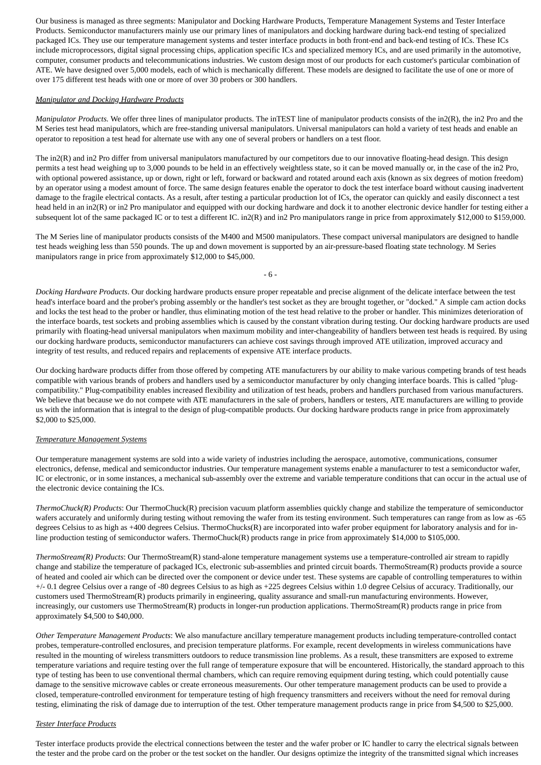Our business is managed as three segments: Manipulator and Docking Hardware Products, Temperature Management Systems and Tester Interface Products. Semiconductor manufacturers mainly use our primary lines of manipulators and docking hardware during back-end testing of specialized packaged ICs. They use our temperature management systems and tester interface products in both front-end and back-end testing of ICs. These ICs include microprocessors, digital signal processing chips, application specific ICs and specialized memory ICs, and are used primarily in the automotive, computer, consumer products and telecommunications industries. We custom design most of our products for each customer's particular combination of ATE. We have designed over 5,000 models, each of which is mechanically different. These models are designed to facilitate the use of one or more of over 175 different test heads with one or more of over 30 probers or 300 handlers.

## *Manipulator and Docking Hardware Products*

*Manipulator Products.* We offer three lines of manipulator products. The inTEST line of manipulator products consists of the in2(R), the in2 Pro and the M Series test head manipulators, which are free-standing universal manipulators. Universal manipulators can hold a variety of test heads and enable an operator to reposition a test head for alternate use with any one of several probers or handlers on a test floor.

The in2(R) and in2 Pro differ from universal manipulators manufactured by our competitors due to our innovative floating-head design. This design permits a test head weighing up to 3,000 pounds to be held in an effectively weightless state, so it can be moved manually or, in the case of the in2 Pro, with optional powered assistance, up or down, right or left, forward or backward and rotated around each axis (known as six degrees of motion freedom) by an operator using a modest amount of force. The same design features enable the operator to dock the test interface board without causing inadvertent damage to the fragile electrical contacts. As a result, after testing a particular production lot of ICs, the operator can quickly and easily disconnect a test head held in an in2(R) or in2 Pro manipulator and equipped with our docking hardware and dock it to another electronic device handler for testing either a subsequent lot of the same packaged IC or to test a different IC. in2(R) and in2 Pro manipulators range in price from approximately \$12,000 to \$159,000.

The M Series line of manipulator products consists of the M400 and M500 manipulators. These compact universal manipulators are designed to handle test heads weighing less than 550 pounds. The up and down movement is supported by an air-pressure-based floating state technology. M Series manipulators range in price from approximately \$12,000 to \$45,000.

- 6 -

*Docking Hardware Products*. Our docking hardware products ensure proper repeatable and precise alignment of the delicate interface between the test head's interface board and the prober's probing assembly or the handler's test socket as they are brought together, or "docked." A simple cam action docks and locks the test head to the prober or handler, thus eliminating motion of the test head relative to the prober or handler. This minimizes deterioration of the interface boards, test sockets and probing assemblies which is caused by the constant vibration during testing. Our docking hardware products are used primarily with floating-head universal manipulators when maximum mobility and inter-changeability of handlers between test heads is required. By using our docking hardware products, semiconductor manufacturers can achieve cost savings through improved ATE utilization, improved accuracy and integrity of test results, and reduced repairs and replacements of expensive ATE interface products.

Our docking hardware products differ from those offered by competing ATE manufacturers by our ability to make various competing brands of test heads compatible with various brands of probers and handlers used by a semiconductor manufacturer by only changing interface boards. This is called "plugcompatibility." Plug-compatibility enables increased flexibility and utilization of test heads, probers and handlers purchased from various manufacturers. We believe that because we do not compete with ATE manufacturers in the sale of probers, handlers or testers, ATE manufacturers are willing to provide us with the information that is integral to the design of plug-compatible products. Our docking hardware products range in price from approximately \$2,000 to \$25,000.

# *Temperature Management Systems*

Our temperature management systems are sold into a wide variety of industries including the aerospace, automotive, communications, consumer electronics, defense, medical and semiconductor industries. Our temperature management systems enable a manufacturer to test a semiconductor wafer, IC or electronic, or in some instances, a mechanical sub-assembly over the extreme and variable temperature conditions that can occur in the actual use of the electronic device containing the ICs.

*ThermoChuck(R) Products*: Our ThermoChuck(R) precision vacuum platform assemblies quickly change and stabilize the temperature of semiconductor wafers accurately and uniformly during testing without removing the wafer from its testing environment. Such temperatures can range from as low as -65 degrees Celsius to as high as +400 degrees Celsius. ThermoChucks(R) are incorporated into wafer prober equipment for laboratory analysis and for inline production testing of semiconductor wafers. ThermoChuck(R) products range in price from approximately \$14,000 to \$105,000.

*ThermoStream(R) Products*: Our ThermoStream(R) stand-alone temperature management systems use a temperature-controlled air stream to rapidly change and stabilize the temperature of packaged ICs, electronic sub-assemblies and printed circuit boards. ThermoStream(R) products provide a source of heated and cooled air which can be directed over the component or device under test. These systems are capable of controlling temperatures to within +/- 0.1 degree Celsius over a range of -80 degrees Celsius to as high as +225 degrees Celsius within 1.0 degree Celsius of accuracy. Traditionally, our customers used ThermoStream(R) products primarily in engineering, quality assurance and small-run manufacturing environments. However, increasingly, our customers use ThermoStream(R) products in longer-run production applications. ThermoStream(R) products range in price from approximately \$4,500 to \$40,000.

*Other Temperature Management Products*: We also manufacture ancillary temperature management products including temperature-controlled contact probes, temperature-controlled enclosures, and precision temperature platforms. For example, recent developments in wireless communications have resulted in the mounting of wireless transmitters outdoors to reduce transmission line problems. As a result, these transmitters are exposed to extreme temperature variations and require testing over the full range of temperature exposure that will be encountered. Historically, the standard approach to this type of testing has been to use conventional thermal chambers, which can require removing equipment during testing, which could potentially cause damage to the sensitive microwave cables or create erroneous measurements. Our other temperature management products can be used to provide a closed, temperature-controlled environment for temperature testing of high frequency transmitters and receivers without the need for removal during testing, eliminating the risk of damage due to interruption of the test. Other temperature management products range in price from \$4,500 to \$25,000.

# *Tester Interface Products*

Tester interface products provide the electrical connections between the tester and the wafer prober or IC handler to carry the electrical signals between the tester and the probe card on the prober or the test socket on the handler. Our designs optimize the integrity of the transmitted signal which increases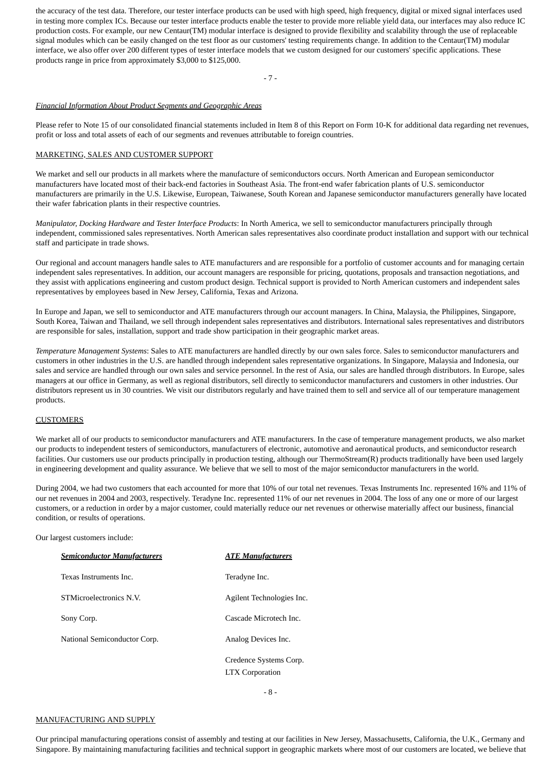the accuracy of the test data. Therefore, our tester interface products can be used with high speed, high frequency, digital or mixed signal interfaces used in testing more complex ICs. Because our tester interface products enable the tester to provide more reliable yield data, our interfaces may also reduce IC production costs. For example, our new Centaur(TM) modular interface is designed to provide flexibility and scalability through the use of replaceable signal modules which can be easily changed on the test floor as our customers' testing requirements change. In addition to the Centaur(TM) modular interface, we also offer over 200 different types of tester interface models that we custom designed for our customers' specific applications. These products range in price from approximately \$3,000 to \$125,000.

 $-7 -$ 

#### *Financial Information About Product Segments and Geographic Areas*

Please refer to Note 15 of our consolidated financial statements included in Item 8 of this Report on Form 10-K for additional data regarding net revenues, profit or loss and total assets of each of our segments and revenues attributable to foreign countries.

# MARKETING, SALES AND CUSTOMER SUPPORT

We market and sell our products in all markets where the manufacture of semiconductors occurs. North American and European semiconductor manufacturers have located most of their back-end factories in Southeast Asia. The front-end wafer fabrication plants of U.S. semiconductor manufacturers are primarily in the U.S. Likewise, European, Taiwanese, South Korean and Japanese semiconductor manufacturers generally have located their wafer fabrication plants in their respective countries.

*Manipulator, Docking Hardware and Tester Interface Products*: In North America, we sell to semiconductor manufacturers principally through independent, commissioned sales representatives. North American sales representatives also coordinate product installation and support with our technical staff and participate in trade shows.

Our regional and account managers handle sales to ATE manufacturers and are responsible for a portfolio of customer accounts and for managing certain independent sales representatives. In addition, our account managers are responsible for pricing, quotations, proposals and transaction negotiations, and they assist with applications engineering and custom product design. Technical support is provided to North American customers and independent sales representatives by employees based in New Jersey, California, Texas and Arizona.

In Europe and Japan, we sell to semiconductor and ATE manufacturers through our account managers. In China, Malaysia, the Philippines, Singapore, South Korea, Taiwan and Thailand, we sell through independent sales representatives and distributors. International sales representatives and distributors are responsible for sales, installation, support and trade show participation in their geographic market areas.

*Temperature Management Systems*: Sales to ATE manufacturers are handled directly by our own sales force. Sales to semiconductor manufacturers and customers in other industries in the U.S. are handled through independent sales representative organizations. In Singapore, Malaysia and Indonesia, our sales and service are handled through our own sales and service personnel. In the rest of Asia, our sales are handled through distributors. In Europe, sales managers at our office in Germany, as well as regional distributors, sell directly to semiconductor manufacturers and customers in other industries. Our distributors represent us in 30 countries. We visit our distributors regularly and have trained them to sell and service all of our temperature management products.

# **CUSTOMERS**

We market all of our products to semiconductor manufacturers and ATE manufacturers. In the case of temperature management products, we also market our products to independent testers of semiconductors, manufacturers of electronic, automotive and aeronautical products, and semiconductor research facilities. Our customers use our products principally in production testing, although our ThermoStream(R) products traditionally have been used largely in engineering development and quality assurance. We believe that we sell to most of the major semiconductor manufacturers in the world.

During 2004, we had two customers that each accounted for more that 10% of our total net revenues. Texas Instruments Inc. represented 16% and 11% of our net revenues in 2004 and 2003, respectively. Teradyne Inc. represented 11% of our net revenues in 2004. The loss of any one or more of our largest customers, or a reduction in order by a major customer, could materially reduce our net revenues or otherwise materially affect our business, financial condition, or results of operations.

Our largest customers include:

| Semiconductor Manufacturers  | <b>ATE Manufacturers</b>  |
|------------------------------|---------------------------|
| Texas Instruments Inc.       | Teradyne Inc.             |
| STMicroelectronics N.V.      | Agilent Technologies Inc. |
| Sony Corp.                   | Cascade Microtech Inc.    |
| National Semiconductor Corp. | Analog Devices Inc.       |
|                              | Credence Systems Corp.    |
|                              | <b>LTX</b> Corporation    |

# MANUFACTURING AND SUPPLY

Our principal manufacturing operations consist of assembly and testing at our facilities in New Jersey, Massachusetts, California, the U.K., Germany and Singapore. By maintaining manufacturing facilities and technical support in geographic markets where most of our customers are located, we believe that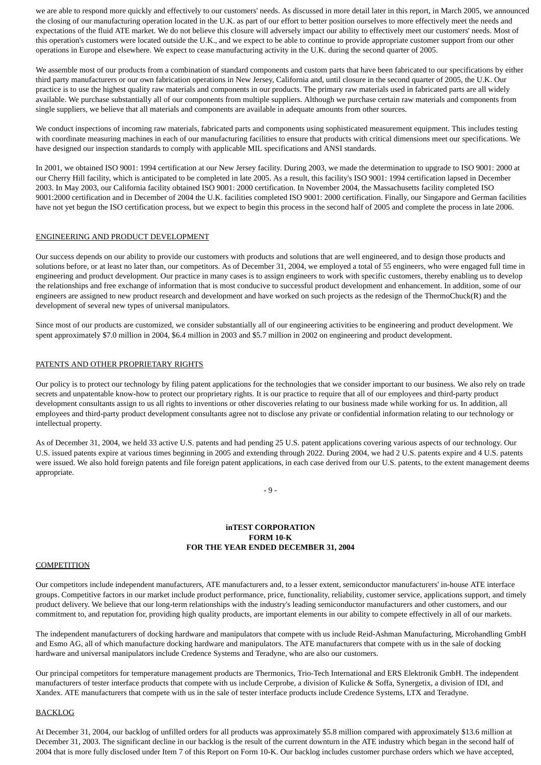we are able to respond more quickly and effectively to our customers' needs. As discussed in more detail later in this report, in March 2005, we announced the closing of our manufacturing operation located in the U.K. as part of our effort to better position ourselves to more effectively meet the needs and expectations of the fluid ATE market. We do not believe this closure will adversely impact our ability to effectively meet our customers' needs. Most of this operation's customers were located outside the U.K., and we expect to be able to continue to provide appropriate customer support from our other operations in Europe and elsewhere. We expect to cease manufacturing activity in the U.K. during the second quarter of 2005.

We assemble most of our products from a combination of standard components and custom parts that have been fabricated to our specifications by either third party manufacturers or our own fabrication operations in New Jersey, California and, until closure in the second quarter of 2005, the U.K. Our practice is to use the highest quality raw materials and components in our products. The primary raw materials used in fabricated parts are all widely available. We purchase substantially all of our components from multiple suppliers. Although we purchase certain raw materials and components from single suppliers, we believe that all materials and components are available in adequate amounts from other sources.

We conduct inspections of incoming raw materials, fabricated parts and components using sophisticated measurement equipment. This includes testing with coordinate measuring machines in each of our manufacturing facilities to ensure that products with critical dimensions meet our specifications. We have designed our inspection standards to comply with applicable MIL specifications and ANSI standards.

In 2001, we obtained ISO 9001: 1994 certification at our New Jersey facility. During 2003, we made the determination to upgrade to ISO 9001: 2000 at our Cherry Hill facility, which is anticipated to be completed in late 2005. As a result, this facility's ISO 9001: 1994 certification lapsed in December 2003. In May 2003, our California facility obtained ISO 9001: 2000 certification. In November 2004, the Massachusetts facility completed ISO 9001:2000 certification and in December of 2004 the U.K. facilities completed ISO 9001: 2000 certification. Finally, our Singapore and German facilities have not yet begun the ISO certification process, but we expect to begin this process in the second half of 2005 and complete the process in late 2006.

#### ENGINEERING AND PRODUCT DEVELOPMENT

Our success depends on our ability to provide our customers with products and solutions that are well engineered, and to design those products and solutions before, or at least no later than, our competitors. As of December 31, 2004, we employed a total of 55 engineers, who were engaged full time in engineering and product development. Our practice in many cases is to assign engineers to work with specific customers, thereby enabling us to develop the relationships and free exchange of information that is most conducive to successful product development and enhancement. In addition, some of our engineers are assigned to new product research and development and have worked on such projects as the redesign of the ThermoChuck(R) and the development of several new types of universal manipulators.

Since most of our products are customized, we consider substantially all of our engineering activities to be engineering and product development. We spent approximately \$7.0 million in 2004, \$6.4 million in 2003 and \$5.7 million in 2002 on engineering and product development.

#### PATENTS AND OTHER PROPRIETARY RIGHTS

Our policy is to protect our technology by filing patent applications for the technologies that we consider important to our business. We also rely on trade secrets and unpatentable know-how to protect our proprietary rights. It is our practice to require that all of our employees and third-party product development consultants assign to us all rights to inventions or other discoveries relating to our business made while working for us. In addition, all employees and third-party product development consultants agree not to disclose any private or confidential information relating to our technology or intellectual property.

As of December 31, 2004, we held 33 active U.S. patents and had pending 25 U.S. patent applications covering various aspects of our technology. Our U.S. issued patents expire at various times beginning in 2005 and extending through 2022. During 2004, we had 2 U.S. patents expire and 4 U.S. patents were issued. We also hold foreign patents and file foreign patent applications, in each case derived from our U.S. patents, to the extent management deems appropriate.

- 9 -

## **inTEST CORPORATION FORM 10-K FOR THE YEAR ENDED DECEMBER 31, 2004**

#### **COMPETITION**

Our competitors include independent manufacturers, ATE manufacturers and, to a lesser extent, semiconductor manufacturers' in-house ATE interface groups. Competitive factors in our market include product performance, price, functionality, reliability, customer service, applications support, and timely product delivery. We believe that our long-term relationships with the industry's leading semiconductor manufacturers and other customers, and our commitment to, and reputation for, providing high quality products, are important elements in our ability to compete effectively in all of our markets.

The independent manufacturers of docking hardware and manipulators that compete with us include Reid-Ashman Manufacturing, Microhandling GmbH and Esmo AG, all of which manufacture docking hardware and manipulators. The ATE manufacturers that compete with us in the sale of docking hardware and universal manipulators include Credence Systems and Teradyne, who are also our customers.

Our principal competitors for temperature management products are Thermonics, Trio-Tech International and ERS Elektronik GmbH. The independent manufacturers of tester interface products that compete with us include Cerprobe, a division of Kulicke & Soffa, Synergetix, a division of IDI, and Xandex. ATE manufacturers that compete with us in the sale of tester interface products include Credence Systems, LTX and Teradyne.

#### BACKLOG

At December 31, 2004, our backlog of unfilled orders for all products was approximately \$5.8 million compared with approximately \$13.6 million at December 31, 2003. The significant decline in our backlog is the result of the current downturn in the ATE industry which began in the second half of 2004 that is more fully disclosed under Item 7 of this Report on Form 10-K. Our backlog includes customer purchase orders which we have accepted,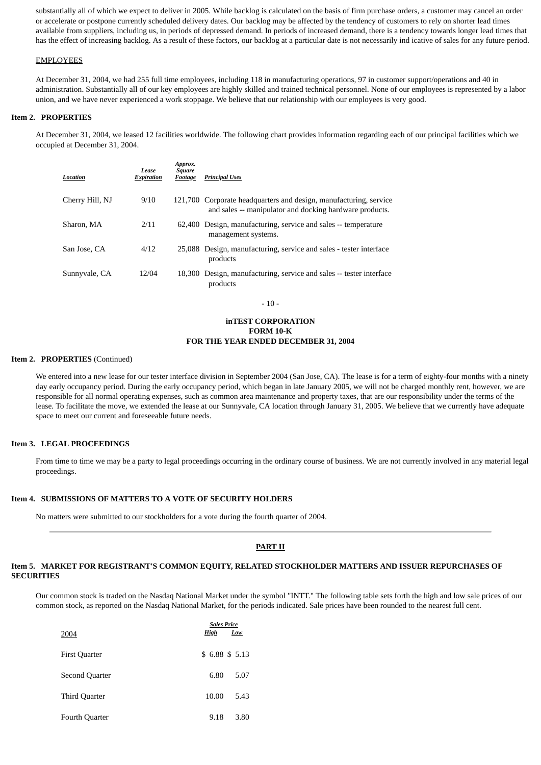substantially all of which we expect to deliver in 2005. While backlog is calculated on the basis of firm purchase orders, a customer may cancel an order or accelerate or postpone currently scheduled delivery dates. Our backlog may be affected by the tendency of customers to rely on shorter lead times available from suppliers, including us, in periods of depressed demand. In periods of increased demand, there is a tendency towards longer lead times that has the effect of increasing backlog. As a result of these factors, our backlog at a particular date is not necessarily ind icative of sales for any future period.

#### EMPLOYEES

At December 31, 2004, we had 255 full time employees, including 118 in manufacturing operations, 97 in customer support/operations and 40 in administration. Substantially all of our key employees are highly skilled and trained technical personnel. None of our employees is represented by a labor union, and we have never experienced a work stoppage. We believe that our relationship with our employees is very good.

#### **Item 2. PROPERTIES**

At December 31, 2004, we leased 12 facilities worldwide. The following chart provides information regarding each of our principal facilities which we occupied at December 31, 2004.

| Location        | Lease<br><b>Expiration</b> | Approx.<br><b>Square</b><br>Footage | <b>Principal Uses</b>                                                                                                        |
|-----------------|----------------------------|-------------------------------------|------------------------------------------------------------------------------------------------------------------------------|
| Cherry Hill, NJ | 9/10                       |                                     | 121,700 Corporate headquarters and design, manufacturing, service<br>and sales -- manipulator and docking hardware products. |
| Sharon, MA      | 2/11                       |                                     | 62,400 Design, manufacturing, service and sales -- temperature<br>management systems.                                        |
| San Jose, CA    | 4/12                       |                                     | 25,088 Design, manufacturing, service and sales - tester interface<br>products                                               |
| Sunnyvale, CA   | 12/04                      |                                     | 18,300 Design, manufacturing, service and sales -- tester interface<br>products                                              |

- 10 -

# **inTEST CORPORATION FORM 10-K FOR THE YEAR ENDED DECEMBER 31, 2004**

#### **Item 2. PROPERTIES** (Continued)

We entered into a new lease for our tester interface division in September 2004 (San Jose, CA). The lease is for a term of eighty-four months with a ninety day early occupancy period. During the early occupancy period, which began in late January 2005, we will not be charged monthly rent, however, we are responsible for all normal operating expenses, such as common area maintenance and property taxes, that are our responsibility under the terms of the lease. To facilitate the move, we extended the lease at our Sunnyvale, CA location through January 31, 2005. We believe that we currently have adequate space to meet our current and foreseeable future needs.

## **Item 3. LEGAL PROCEEDINGS**

From time to time we may be a party to legal proceedings occurring in the ordinary course of business. We are not currently involved in any material legal proceedings.

#### **Item 4. SUBMISSIONS OF MATTERS TO A VOTE OF SECURITY HOLDERS**

No matters were submitted to our stockholders for a vote during the fourth quarter of 2004.

#### **PART II**

#### **Item 5. MARKET FOR REGISTRANT'S COMMON EQUITY, RELATED STOCKHOLDER MATTERS AND ISSUER REPURCHASES OF SECURITIES**

Our common stock is traded on the Nasdaq National Market under the symbol "INTT." The following table sets forth the high and low sale prices of our common stock, as reported on the Nasdaq National Market, for the periods indicated. Sale prices have been rounded to the nearest full cent.

|                       | <b>Sales Price</b> |              |  |  |
|-----------------------|--------------------|--------------|--|--|
| 2004                  | High               | Low          |  |  |
| <b>First Quarter</b>  |                    | \$6.88\$5.13 |  |  |
| Second Quarter        | 6.80               | 5.07         |  |  |
| Third Quarter         | 10.00              | 5.43         |  |  |
| <b>Fourth Quarter</b> | 9.18               | 3.80         |  |  |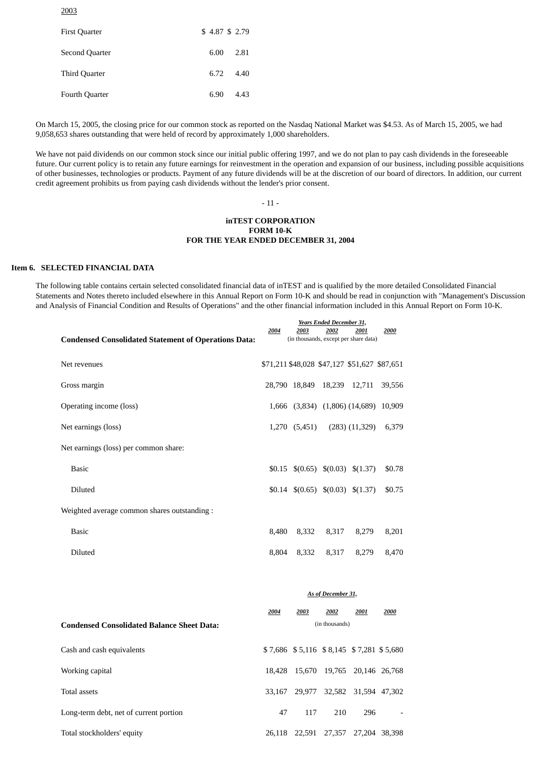2003

| <b>First Quarter</b> | \$4.87 \$2.79 |      |
|----------------------|---------------|------|
| Second Quarter       | 6.00          | 2.81 |
| Third Quarter        | 6.72          | 4.40 |
| Fourth Quarter       | 6.90          | 4.43 |

On March 15, 2005, the closing price for our common stock as reported on the Nasdaq National Market was \$4.53. As of March 15, 2005, we had 9,058,653 shares outstanding that were held of record by approximately 1,000 shareholders.

We have not paid dividends on our common stock since our initial public offering 1997, and we do not plan to pay cash dividends in the foreseeable future. Our current policy is to retain any future earnings for reinvestment in the operation and expansion of our business, including possible acquisitions of other businesses, technologies or products. Payment of any future dividends will be at the discretion of our board of directors. In addition, our current credit agreement prohibits us from paying cash dividends without the lender's prior consent.

- 11 -

## **inTEST CORPORATION FORM 10-K FOR THE YEAR ENDED DECEMBER 31, 2004**

# **Item 6. SELECTED FINANCIAL DATA**

The following table contains certain selected consolidated financial data of inTEST and is qualified by the more detailed Consolidated Financial Statements and Notes thereto included elsewhere in this Annual Report on Form 10-K and should be read in conjunction with "Management's Discussion and Analysis of Financial Condition and Results of Operations" and the other financial information included in this Annual Report on Form 10-K.

| <b>Condensed Consolidated Statement of Operations Data:</b> | 2004  | 2003          | <b>Years Ended December 31,</b><br>2002 | 2001<br>(in thousands, except per share data)     | 2000   |
|-------------------------------------------------------------|-------|---------------|-----------------------------------------|---------------------------------------------------|--------|
| Net revenues                                                |       |               |                                         | \$71,211 \$48,028 \$47,127 \$51,627 \$87,651      |        |
| Gross margin                                                |       |               | 28,790 18,849 18,239 12,711             |                                                   | 39,556 |
| Operating income (loss)                                     |       |               |                                         | 1,666 (3,834) (1,806) (14,689) 10,909             |        |
| Net earnings (loss)                                         |       | 1,270 (5,451) |                                         | $(283)$ $(11,329)$                                | 6,379  |
| Net earnings (loss) per common share:                       |       |               |                                         |                                                   |        |
| <b>Basic</b>                                                |       |               |                                         | $$0.15 \quad $(0.65) \quad $(0.03) \quad $(1.37)$ | \$0.78 |
| <b>Diluted</b>                                              |       |               |                                         | $$0.14 \quad $(0.65) \quad $(0.03) \quad $(1.37)$ | \$0.75 |
| Weighted average common shares outstanding :                |       |               |                                         |                                                   |        |
| <b>Basic</b>                                                | 8,480 | 8,332         | 8,317                                   | 8,279                                             | 8,201  |
| <b>Diluted</b>                                              |       | 8,804 8,332   | 8,317                                   | 8,279                                             | 8,470  |
|                                                             |       |               |                                         |                                                   |        |

|                                                   | As of December 31, |                                         |        |                      |               |  |  |  |
|---------------------------------------------------|--------------------|-----------------------------------------|--------|----------------------|---------------|--|--|--|
|                                                   | 2004               | 2003                                    | 2002   | 2001                 | 2000          |  |  |  |
| <b>Condensed Consolidated Balance Sheet Data:</b> | (in thousands)     |                                         |        |                      |               |  |  |  |
| Cash and cash equivalents                         |                    | \$7,686 \$5,116 \$8,145 \$7,281 \$5,680 |        |                      |               |  |  |  |
| Working capital                                   |                    | 18.428 15.670                           | 19.765 |                      | 20,146 26,768 |  |  |  |
| Total assets                                      | 33.167             | 29.977                                  |        | 32,582 31,594 47,302 |               |  |  |  |
| Long-term debt, net of current portion            | 47                 | 117                                     | 210    | 296                  |               |  |  |  |
| Total stockholders' equity                        | 26.118             | 22.591                                  | 27.357 |                      | 27.204 38.398 |  |  |  |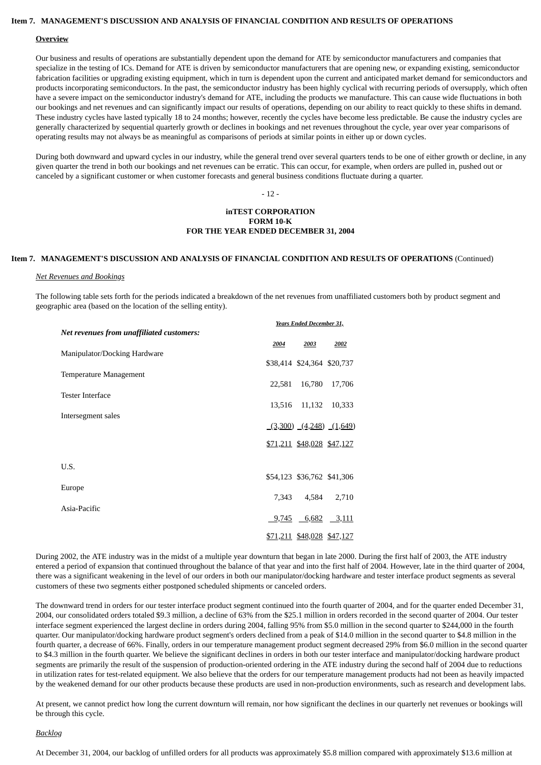## **Item 7. MANAGEMENT'S DISCUSSION AND ANALYSIS OF FINANCIAL CONDITION AND RESULTS OF OPERATIONS**

#### **Overview**

Our business and results of operations are substantially dependent upon the demand for ATE by semiconductor manufacturers and companies that specialize in the testing of ICs. Demand for ATE is driven by semiconductor manufacturers that are opening new, or expanding existing, semiconductor fabrication facilities or upgrading existing equipment, which in turn is dependent upon the current and anticipated market demand for semiconductors and products incorporating semiconductors. In the past, the semiconductor industry has been highly cyclical with recurring periods of oversupply, which often have a severe impact on the semiconductor industry's demand for ATE, including the products we manufacture. This can cause wide fluctuations in both our bookings and net revenues and can significantly impact our results of operations, depending on our ability to react quickly to these shifts in demand. These industry cycles have lasted typically 18 to 24 months; however, recently the cycles have become less predictable. Be cause the industry cycles are generally characterized by sequential quarterly growth or declines in bookings and net revenues throughout the cycle, year over year comparisons of operating results may not always be as meaningful as comparisons of periods at similar points in either up or down cycles.

During both downward and upward cycles in our industry, while the general trend over several quarters tends to be one of either growth or decline, in any given quarter the trend in both our bookings and net revenues can be erratic. This can occur, for example, when orders are pulled in, pushed out or canceled by a significant customer or when customer forecasts and general business conditions fluctuate during a quarter.

- 12 -

# **inTEST CORPORATION FORM 10-K FOR THE YEAR ENDED DECEMBER 31, 2004**

# **Item 7. MANAGEMENT'S DISCUSSION AND ANALYSIS OF FINANCIAL CONDITION AND RESULTS OF OPERATIONS** (Continued)

#### *Net Revenues and Bookings*

The following table sets forth for the periods indicated a breakdown of the net revenues from unaffiliated customers both by product segment and geographic area (based on the location of the selling entity).

| <b>Years Ended December 31,</b>           |        |                                   |                               |  |  |  |
|-------------------------------------------|--------|-----------------------------------|-------------------------------|--|--|--|
| Net revenues from unaffiliated customers: |        |                                   |                               |  |  |  |
|                                           | 2004   | 2003                              | 2002                          |  |  |  |
| Manipulator/Docking Hardware              |        |                                   |                               |  |  |  |
|                                           |        | \$38,414 \$24,364 \$20,737        |                               |  |  |  |
| Temperature Management                    |        |                                   |                               |  |  |  |
|                                           | 22,581 | 16,780                            | 17,706                        |  |  |  |
| <b>Tester Interface</b>                   | 13,516 | 11,132                            | 10,333                        |  |  |  |
| Intersegment sales                        |        |                                   |                               |  |  |  |
|                                           |        |                                   | $(3,300)$ $(4,248)$ $(1,649)$ |  |  |  |
|                                           |        |                                   |                               |  |  |  |
|                                           |        | <u>\$71,211 \$48,028 \$47,127</u> |                               |  |  |  |
|                                           |        |                                   |                               |  |  |  |
| U.S.                                      |        |                                   |                               |  |  |  |
|                                           |        | \$54,123 \$36,762 \$41,306        |                               |  |  |  |
| Europe                                    | 7,343  | 4,584                             | 2,710                         |  |  |  |
| Asia-Pacific                              |        |                                   |                               |  |  |  |
|                                           | 9,745  | $-6,682$                          | 3,111                         |  |  |  |
|                                           |        |                                   |                               |  |  |  |
|                                           |        | <u>\$71,211</u> \$48,028 \$47,127 |                               |  |  |  |

During 2002, the ATE industry was in the midst of a multiple year downturn that began in late 2000. During the first half of 2003, the ATE industry entered a period of expansion that continued throughout the balance of that year and into the first half of 2004. However, late in the third quarter of 2004, there was a significant weakening in the level of our orders in both our manipulator/docking hardware and tester interface product segments as several customers of these two segments either postponed scheduled shipments or canceled orders.

The downward trend in orders for our tester interface product segment continued into the fourth quarter of 2004, and for the quarter ended December 31, 2004, our consolidated orders totaled \$9.3 million, a decline of 63% from the \$25.1 million in orders recorded in the second quarter of 2004. Our tester interface segment experienced the largest decline in orders during 2004, falling 95% from \$5.0 million in the second quarter to \$244,000 in the fourth quarter. Our manipulator/docking hardware product segment's orders declined from a peak of \$14.0 million in the second quarter to \$4.8 million in the fourth quarter, a decrease of 66%. Finally, orders in our temperature management product segment decreased 29% from \$6.0 million in the second quarter to \$4.3 million in the fourth quarter. We believe the significant declines in orders in both our tester interface and manipulator/docking hardware product segments are primarily the result of the suspension of production-oriented ordering in the ATE industry during the second half of 2004 due to reductions in utilization rates for test-related equipment. We also believe that the orders for our temperature management products had not been as heavily impacted by the weakened demand for our other products because these products are used in non-production environments, such as research and development labs.

At present, we cannot predict how long the current downturn will remain, nor how significant the declines in our quarterly net revenues or bookings will be through this cycle.

#### *Backlog*

At December 31, 2004, our backlog of unfilled orders for all products was approximately \$5.8 million compared with approximately \$13.6 million at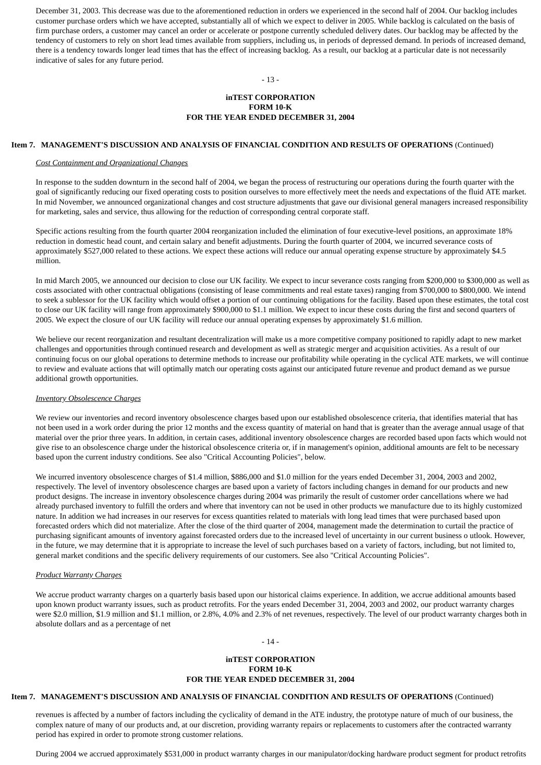December 31, 2003. This decrease was due to the aforementioned reduction in orders we experienced in the second half of 2004. Our backlog includes customer purchase orders which we have accepted, substantially all of which we expect to deliver in 2005. While backlog is calculated on the basis of firm purchase orders, a customer may cancel an order or accelerate or postpone currently scheduled delivery dates. Our backlog may be affected by the tendency of customers to rely on short lead times available from suppliers, including us, in periods of depressed demand. In periods of increased demand, there is a tendency towards longer lead times that has the effect of increasing backlog. As a result, our backlog at a particular date is not necessarily indicative of sales for any future period.

#### - 13 -

## **inTEST CORPORATION FORM 10-K FOR THE YEAR ENDED DECEMBER 31, 2004**

#### **Item 7. MANAGEMENT'S DISCUSSION AND ANALYSIS OF FINANCIAL CONDITION AND RESULTS OF OPERATIONS** (Continued)

#### *Cost Containment and Organizational Changes*

In response to the sudden downturn in the second half of 2004, we began the process of restructuring our operations during the fourth quarter with the goal of significantly reducing our fixed operating costs to position ourselves to more effectively meet the needs and expectations of the fluid ATE market. In mid November, we announced organizational changes and cost structure adjustments that gave our divisional general managers increased responsibility for marketing, sales and service, thus allowing for the reduction of corresponding central corporate staff.

Specific actions resulting from the fourth quarter 2004 reorganization included the elimination of four executive-level positions, an approximate 18% reduction in domestic head count, and certain salary and benefit adjustments. During the fourth quarter of 2004, we incurred severance costs of approximately \$527,000 related to these actions. We expect these actions will reduce our annual operating expense structure by approximately \$4.5 million.

In mid March 2005, we announced our decision to close our UK facility. We expect to incur severance costs ranging from \$200,000 to \$300,000 as well as costs associated with other contractual obligations (consisting of lease commitments and real estate taxes) ranging from \$700,000 to \$800,000. We intend to seek a sublessor for the UK facility which would offset a portion of our continuing obligations for the facility. Based upon these estimates, the total cost to close our UK facility will range from approximately \$900,000 to \$1.1 million. We expect to incur these costs during the first and second quarters of 2005. We expect the closure of our UK facility will reduce our annual operating expenses by approximately \$1.6 million.

We believe our recent reorganization and resultant decentralization will make us a more competitive company positioned to rapidly adapt to new market challenges and opportunities through continued research and development as well as strategic merger and acquisition activities. As a result of our continuing focus on our global operations to determine methods to increase our profitability while operating in the cyclical ATE markets, we will continue to review and evaluate actions that will optimally match our operating costs against our anticipated future revenue and product demand as we pursue additional growth opportunities.

## *Inventory Obsolescence Charges*

We review our inventories and record inventory obsolescence charges based upon our established obsolescence criteria, that identifies material that has not been used in a work order during the prior 12 months and the excess quantity of material on hand that is greater than the average annual usage of that material over the prior three years. In addition, in certain cases, additional inventory obsolescence charges are recorded based upon facts which would not give rise to an obsolescence charge under the historical obsolescence criteria or, if in management's opinion, additional amounts are felt to be necessary based upon the current industry conditions. See also "Critical Accounting Policies", below.

We incurred inventory obsolescence charges of \$1.4 million, \$886,000 and \$1.0 million for the years ended December 31, 2004, 2003 and 2002, respectively. The level of inventory obsolescence charges are based upon a variety of factors including changes in demand for our products and new product designs. The increase in inventory obsolescence charges during 2004 was primarily the result of customer order cancellations where we had already purchased inventory to fulfill the orders and where that inventory can not be used in other products we manufacture due to its highly customized nature. In addition we had increases in our reserves for excess quantities related to materials with long lead times that were purchased based upon forecasted orders which did not materialize. After the close of the third quarter of 2004, management made the determination to curtail the practice of purchasing significant amounts of inventory against forecasted orders due to the increased level of uncertainty in our current business o utlook. However, in the future, we may determine that it is appropriate to increase the level of such purchases based on a variety of factors, including, but not limited to, general market conditions and the specific delivery requirements of our customers. See also "Critical Accounting Policies".

#### *Product Warranty Charges*

We accrue product warranty charges on a quarterly basis based upon our historical claims experience. In addition, we accrue additional amounts based upon known product warranty issues, such as product retrofits. For the years ended December 31, 2004, 2003 and 2002, our product warranty charges were \$2.0 million, \$1.9 million and \$1.1 million, or 2.8%, 4.0% and 2.3% of net revenues, respectively. The level of our product warranty charges both in absolute dollars and as a percentage of net

# - 14 -

## **inTEST CORPORATION FORM 10-K FOR THE YEAR ENDED DECEMBER 31, 2004**

#### **Item 7. MANAGEMENT'S DISCUSSION AND ANALYSIS OF FINANCIAL CONDITION AND RESULTS OF OPERATIONS** (Continued)

revenues is affected by a number of factors including the cyclicality of demand in the ATE industry, the prototype nature of much of our business, the complex nature of many of our products and, at our discretion, providing warranty repairs or replacements to customers after the contracted warranty period has expired in order to promote strong customer relations.

During 2004 we accrued approximately \$531,000 in product warranty charges in our manipulator/docking hardware product segment for product retrofits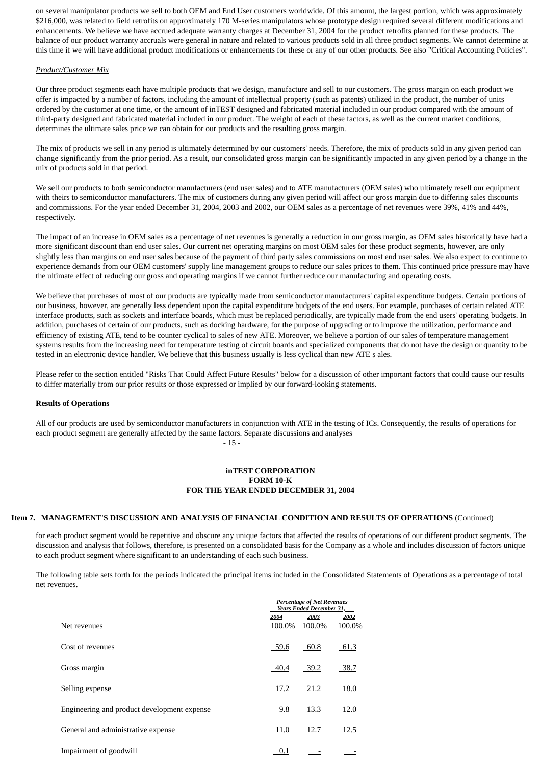on several manipulator products we sell to both OEM and End User customers worldwide. Of this amount, the largest portion, which was approximately \$216,000, was related to field retrofits on approximately 170 M-series manipulators whose prototype design required several different modifications and enhancements. We believe we have accrued adequate warranty charges at December 31, 2004 for the product retrofits planned for these products. The balance of our product warranty accruals were general in nature and related to various products sold in all three product segments. We cannot determine at this time if we will have additional product modifications or enhancements for these or any of our other products. See also "Critical Accounting Policies".

#### *Product/Customer Mix*

Our three product segments each have multiple products that we design, manufacture and sell to our customers. The gross margin on each product we offer is impacted by a number of factors, including the amount of intellectual property (such as patents) utilized in the product, the number of units ordered by the customer at one time, or the amount of inTEST designed and fabricated material included in our product compared with the amount of third-party designed and fabricated material included in our product. The weight of each of these factors, as well as the current market conditions, determines the ultimate sales price we can obtain for our products and the resulting gross margin.

The mix of products we sell in any period is ultimately determined by our customers' needs. Therefore, the mix of products sold in any given period can change significantly from the prior period. As a result, our consolidated gross margin can be significantly impacted in any given period by a change in the mix of products sold in that period.

We sell our products to both semiconductor manufacturers (end user sales) and to ATE manufacturers (OEM sales) who ultimately resell our equipment with theirs to semiconductor manufacturers. The mix of customers during any given period will affect our gross margin due to differing sales discounts and commissions. For the year ended December 31, 2004, 2003 and 2002, our OEM sales as a percentage of net revenues were 39%, 41% and 44%, respectively.

The impact of an increase in OEM sales as a percentage of net revenues is generally a reduction in our gross margin, as OEM sales historically have had a more significant discount than end user sales. Our current net operating margins on most OEM sales for these product segments, however, are only slightly less than margins on end user sales because of the payment of third party sales commissions on most end user sales. We also expect to continue to experience demands from our OEM customers' supply line management groups to reduce our sales prices to them. This continued price pressure may have the ultimate effect of reducing our gross and operating margins if we cannot further reduce our manufacturing and operating costs.

We believe that purchases of most of our products are typically made from semiconductor manufacturers' capital expenditure budgets. Certain portions of our business, however, are generally less dependent upon the capital expenditure budgets of the end users. For example, purchases of certain related ATE interface products, such as sockets and interface boards, which must be replaced periodically, are typically made from the end users' operating budgets. In addition, purchases of certain of our products, such as docking hardware, for the purpose of upgrading or to improve the utilization, performance and efficiency of existing ATE, tend to be counter cyclical to sales of new ATE. Moreover, we believe a portion of our sales of temperature management systems results from the increasing need for temperature testing of circuit boards and specialized components that do not have the design or quantity to be tested in an electronic device handler. We believe that this business usually is less cyclical than new ATE s ales.

Please refer to the section entitled "Risks That Could Affect Future Results" below for a discussion of other important factors that could cause our results to differ materially from our prior results or those expressed or implied by our forward-looking statements.

#### **Results of Operations**

All of our products are used by semiconductor manufacturers in conjunction with ATE in the testing of ICs. Consequently, the results of operations for each product segment are generally affected by the same factors. Separate discussions and analyses  $-15$  -

# **inTEST CORPORATION FORM 10-K FOR THE YEAR ENDED DECEMBER 31, 2004**

# **Item 7. MANAGEMENT'S DISCUSSION AND ANALYSIS OF FINANCIAL CONDITION AND RESULTS OF OPERATIONS** (Continued)

for each product segment would be repetitive and obscure any unique factors that affected the results of operations of our different product segments. The discussion and analysis that follows, therefore, is presented on a consolidated basis for the Company as a whole and includes discussion of factors unique to each product segment where significant to an understanding of each such business.

The following table sets forth for the periods indicated the principal items included in the Consolidated Statements of Operations as a percentage of total net revenues.

|                                             | <b>Percentage of Net Revenues</b><br><b>Years Ended December 31,</b> |        |        |  |  |  |  |
|---------------------------------------------|----------------------------------------------------------------------|--------|--------|--|--|--|--|
|                                             | 2004                                                                 | 2002   |        |  |  |  |  |
| Net revenues                                | 100.0%                                                               | 100.0% | 100.0% |  |  |  |  |
| Cost of revenues                            | 59.6                                                                 | 60.8   | 61.3   |  |  |  |  |
| Gross margin                                | 40.4                                                                 | 39.2   | 38.7   |  |  |  |  |
| Selling expense                             | 17.2                                                                 | 21.2   | 18.0   |  |  |  |  |
| Engineering and product development expense | 9.8                                                                  | 13.3   | 12.0   |  |  |  |  |
| General and administrative expense          | 11.0                                                                 | 12.7   | 12.5   |  |  |  |  |
| Impairment of goodwill                      | 0.1                                                                  |        |        |  |  |  |  |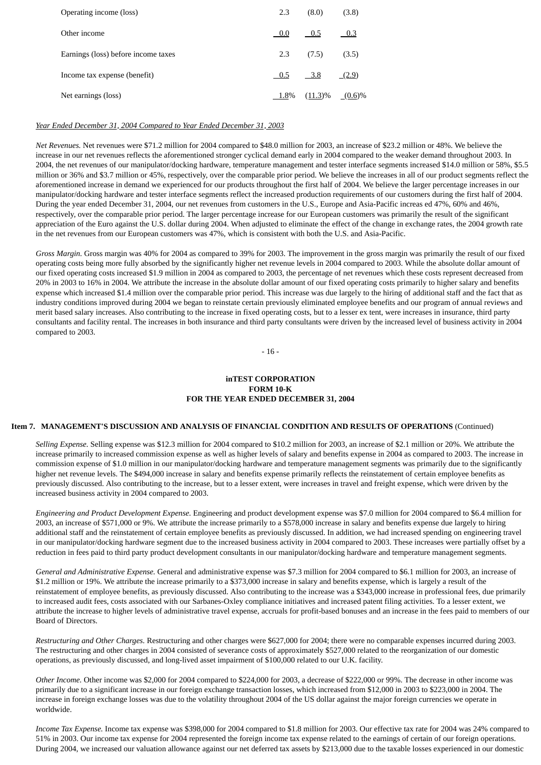| Operating income (loss)             | 2.3     | (8.0)      | (3.8)     |
|-------------------------------------|---------|------------|-----------|
| Other income                        | 0.0     | 0.5        | 0.3       |
| Earnings (loss) before income taxes | 2.3     | (7.5)      | (3.5)     |
| Income tax expense (benefit)        | 0.5     | $-3.8$     | (2.9)     |
| Net earnings (loss)                 | $1.8\%$ | $(11.3)\%$ | $(0.6)\%$ |

## *Year Ended December 31, 2004 Compared to Year Ended December 31, 2003*

*Net Revenues.* Net revenues were \$71.2 million for 2004 compared to \$48.0 million for 2003, an increase of \$23.2 million or 48%. We believe the increase in our net revenues reflects the aforementioned stronger cyclical demand early in 2004 compared to the weaker demand throughout 2003. In 2004, the net revenues of our manipulator/docking hardware, temperature management and tester interface segments increased \$14.0 million or 58%, \$5.5 million or 36% and \$3.7 million or 45%, respectively, over the comparable prior period. We believe the increases in all of our product segments reflect the aforementioned increase in demand we experienced for our products throughout the first half of 2004. We believe the larger percentage increases in our manipulator/docking hardware and tester interface segments reflect the increased production requirements of our customers during the first half of 2004. During the year ended December 31, 2004, our net revenues from customers in the U.S., Europe and Asia-Pacific increas ed 47%, 60% and 46%, respectively, over the comparable prior period. The larger percentage increase for our European customers was primarily the result of the significant appreciation of the Euro against the U.S. dollar during 2004. When adjusted to eliminate the effect of the change in exchange rates, the 2004 growth rate in the net revenues from our European customers was 47%, which is consistent with both the U.S. and Asia-Pacific.

*Gross Margin.* Gross margin was 40% for 2004 as compared to 39% for 2003. The improvement in the gross margin was primarily the result of our fixed operating costs being more fully absorbed by the significantly higher net revenue levels in 2004 compared to 2003. While the absolute dollar amount of our fixed operating costs increased \$1.9 million in 2004 as compared to 2003, the percentage of net revenues which these costs represent decreased from 20% in 2003 to 16% in 2004. We attribute the increase in the absolute dollar amount of our fixed operating costs primarily to higher salary and benefits expense which increased \$1.4 million over the comparable prior period. This increase was due largely to the hiring of additional staff and the fact that as industry conditions improved during 2004 we began to reinstate certain previously eliminated employee benefits and our program of annual reviews and merit based salary increases. Also contributing to the increase in fixed operating costs, but to a lesser ex tent, were increases in insurance, third party consultants and facility rental. The increases in both insurance and third party consultants were driven by the increased level of business activity in 2004 compared to 2003.

- 16 -

## **inTEST CORPORATION FORM 10-K FOR THE YEAR ENDED DECEMBER 31, 2004**

# **Item 7. MANAGEMENT'S DISCUSSION AND ANALYSIS OF FINANCIAL CONDITION AND RESULTS OF OPERATIONS** (Continued)

*Selling Expense.* Selling expense was \$12.3 million for 2004 compared to \$10.2 million for 2003, an increase of \$2.1 million or 20%. We attribute the increase primarily to increased commission expense as well as higher levels of salary and benefits expense in 2004 as compared to 2003. The increase in commission expense of \$1.0 million in our manipulator/docking hardware and temperature management segments was primarily due to the significantly higher net revenue levels. The \$494,000 increase in salary and benefits expense primarily reflects the reinstatement of certain employee benefits as previously discussed. Also contributing to the increase, but to a lesser extent, were increases in travel and freight expense, which were driven by the increased business activity in 2004 compared to 2003.

*Engineering and Product Development Expense.* Engineering and product development expense was \$7.0 million for 2004 compared to \$6.4 million for 2003, an increase of \$571,000 or 9%. We attribute the increase primarily to a \$578,000 increase in salary and benefits expense due largely to hiring additional staff and the reinstatement of certain employee benefits as previously discussed. In addition, we had increased spending on engineering travel in our manipulator/docking hardware segment due to the increased business activity in 2004 compared to 2003. These increases were partially offset by a reduction in fees paid to third party product development consultants in our manipulator/docking hardware and temperature management segments.

*General and Administrative Expense.* General and administrative expense was \$7.3 million for 2004 compared to \$6.1 million for 2003, an increase of \$1.2 million or 19%. We attribute the increase primarily to a \$373,000 increase in salary and benefits expense, which is largely a result of the reinstatement of employee benefits, as previously discussed. Also contributing to the increase was a \$343,000 increase in professional fees, due primarily to increased audit fees, costs associated with our Sarbanes-Oxley compliance initiatives and increased patent filing activities. To a lesser extent, we attribute the increase to higher levels of administrative travel expense, accruals for profit-based bonuses and an increase in the fees paid to members of our Board of Directors.

*Restructuring and Other Charges.* Restructuring and other charges were \$627,000 for 2004; there were no comparable expenses incurred during 2003. The restructuring and other charges in 2004 consisted of severance costs of approximately \$527,000 related to the reorganization of our domestic operations, as previously discussed, and long-lived asset impairment of \$100,000 related to our U.K. facility.

*Other Income.* Other income was \$2,000 for 2004 compared to \$224,000 for 2003, a decrease of \$222,000 or 99%. The decrease in other income was primarily due to a significant increase in our foreign exchange transaction losses, which increased from \$12,000 in 2003 to \$223,000 in 2004. The increase in foreign exchange losses was due to the volatility throughout 2004 of the US dollar against the major foreign currencies we operate in worldwide.

*Income Tax Expense.* Income tax expense was \$398,000 for 2004 compared to \$1.8 million for 2003. Our effective tax rate for 2004 was 24% compared to 51% in 2003. Our income tax expense for 2004 represented the foreign income tax expense related to the earnings of certain of our foreign operations. During 2004, we increased our valuation allowance against our net deferred tax assets by \$213,000 due to the taxable losses experienced in our domestic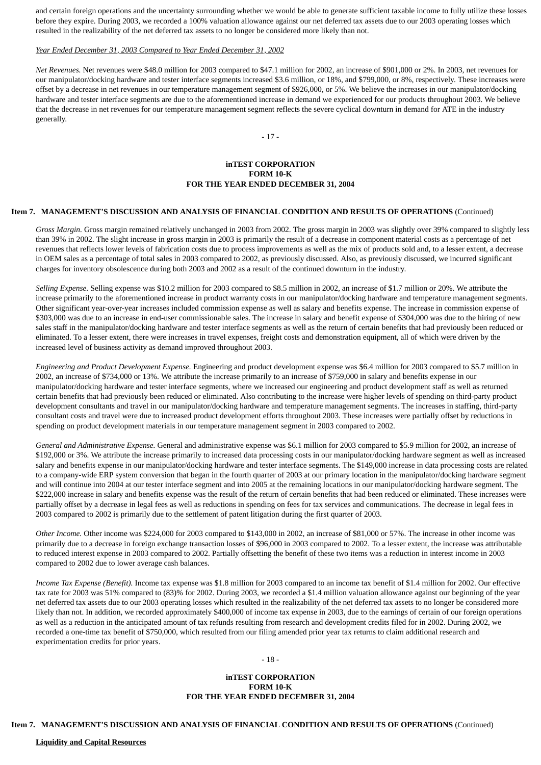and certain foreign operations and the uncertainty surrounding whether we would be able to generate sufficient taxable income to fully utilize these losses before they expire. During 2003, we recorded a 100% valuation allowance against our net deferred tax assets due to our 2003 operating losses which resulted in the realizability of the net deferred tax assets to no longer be considered more likely than not.

#### *Year Ended December 31, 2003 Compared to Year Ended December 31, 2002*

*Net Revenues.* Net revenues were \$48.0 million for 2003 compared to \$47.1 million for 2002, an increase of \$901,000 or 2%. In 2003, net revenues for our manipulator/docking hardware and tester interface segments increased \$3.6 million, or 18%, and \$799,000, or 8%, respectively. These increases were offset by a decrease in net revenues in our temperature management segment of \$926,000, or 5%. We believe the increases in our manipulator/docking hardware and tester interface segments are due to the aforementioned increase in demand we experienced for our products throughout 2003. We believe that the decrease in net revenues for our temperature management segment reflects the severe cyclical downturn in demand for ATE in the industry generally.

- 17 -

# **inTEST CORPORATION FORM 10-K FOR THE YEAR ENDED DECEMBER 31, 2004**

#### **Item 7. MANAGEMENT'S DISCUSSION AND ANALYSIS OF FINANCIAL CONDITION AND RESULTS OF OPERATIONS** (Continued)

*Gross Margin.* Gross margin remained relatively unchanged in 2003 from 2002. The gross margin in 2003 was slightly over 39% compared to slightly less than 39% in 2002. The slight increase in gross margin in 2003 is primarily the result of a decrease in component material costs as a percentage of net revenues that reflects lower levels of fabrication costs due to process improvements as well as the mix of products sold and, to a lesser extent, a decrease in OEM sales as a percentage of total sales in 2003 compared to 2002, as previously discussed. Also, as previously discussed, we incurred significant charges for inventory obsolescence during both 2003 and 2002 as a result of the continued downturn in the industry.

*Selling Expense.* Selling expense was \$10.2 million for 2003 compared to \$8.5 million in 2002, an increase of \$1.7 million or 20%. We attribute the increase primarily to the aforementioned increase in product warranty costs in our manipulator/docking hardware and temperature management segments. Other significant year-over-year increases included commission expense as well as salary and benefits expense. The increase in commission expense of \$303,000 was due to an increase in end-user commissionable sales. The increase in salary and benefit expense of \$304,000 was due to the hiring of new sales staff in the manipulator/docking hardware and tester interface segments as well as the return of certain benefits that had previously been reduced or eliminated. To a lesser extent, there were increases in travel expenses, freight costs and demonstration equipment, all of which were driven by the increased level of business activity as demand improved throughout 2003.

*Engineering and Product Development Expense.* Engineering and product development expense was \$6.4 million for 2003 compared to \$5.7 million in 2002, an increase of \$734,000 or 13%. We attribute the increase primarily to an increase of \$759,000 in salary and benefits expense in our manipulator/docking hardware and tester interface segments, where we increased our engineering and product development staff as well as returned certain benefits that had previously been reduced or eliminated. Also contributing to the increase were higher levels of spending on third-party product development consultants and travel in our manipulator/docking hardware and temperature management segments. The increases in staffing, third-party consultant costs and travel were due to increased product development efforts throughout 2003. These increases were partially offset by reductions in spending on product development materials in our temperature management segment in 2003 compared to 2002.

*General and Administrative Expense.* General and administrative expense was \$6.1 million for 2003 compared to \$5.9 million for 2002, an increase of \$192,000 or 3%. We attribute the increase primarily to increased data processing costs in our manipulator/docking hardware segment as well as increased salary and benefits expense in our manipulator/docking hardware and tester interface segments. The \$149,000 increase in data processing costs are related to a company-wide ERP system conversion that began in the fourth quarter of 2003 at our primary location in the manipulator/docking hardware segment and will continue into 2004 at our tester interface segment and into 2005 at the remaining locations in our manipulator/docking hardware segment. The \$222,000 increase in salary and benefits expense was the result of the return of certain benefits that had been reduced or eliminated. These increases were partially offset by a decrease in legal fees as well as reductions in spending on fees for tax services and communications. The decrease in legal fees in 2003 compared to 2002 is primarily due to the settlement of patent litigation during the first quarter of 2003.

*Other Income.* Other income was \$224,000 for 2003 compared to \$143,000 in 2002, an increase of \$81,000 or 57%. The increase in other income was primarily due to a decrease in foreign exchange transaction losses of \$96,000 in 2003 compared to 2002. To a lesser extent, the increase was attributable to reduced interest expense in 2003 compared to 2002. Partially offsetting the benefit of these two items was a reduction in interest income in 2003 compared to 2002 due to lower average cash balances.

*Income Tax Expense (Benefit).* Income tax expense was \$1.8 million for 2003 compared to an income tax benefit of \$1.4 million for 2002. Our effective tax rate for 2003 was 51% compared to (83)% for 2002. During 2003, we recorded a \$1.4 million valuation allowance against our beginning of the year net deferred tax assets due to our 2003 operating losses which resulted in the realizability of the net deferred tax assets to no longer be considered more likely than not. In addition, we recorded approximately \$400,000 of income tax expense in 2003, due to the earnings of certain of our foreign operations as well as a reduction in the anticipated amount of tax refunds resulting from research and development credits filed for in 2002. During 2002, we recorded a one-time tax benefit of \$750,000, which resulted from our filing amended prior year tax returns to claim additional research and experimentation credits for prior years.

# - 18 -

# **inTEST CORPORATION FORM 10-K FOR THE YEAR ENDED DECEMBER 31, 2004**

**Item 7. MANAGEMENT'S DISCUSSION AND ANALYSIS OF FINANCIAL CONDITION AND RESULTS OF OPERATIONS** (Continued)

# **Liquidity and Capital Resources**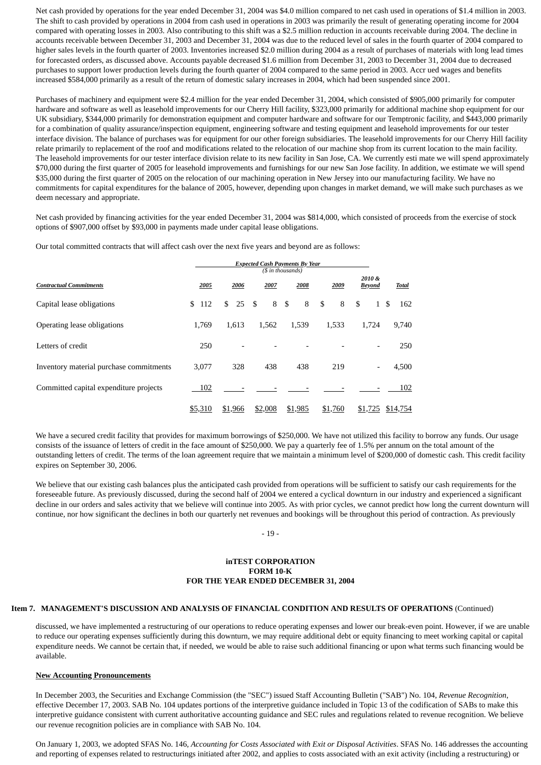Net cash provided by operations for the year ended December 31, 2004 was \$4.0 million compared to net cash used in operations of \$1.4 million in 2003. The shift to cash provided by operations in 2004 from cash used in operations in 2003 was primarily the result of generating operating income for 2004 compared with operating losses in 2003. Also contributing to this shift was a \$2.5 million reduction in accounts receivable during 2004. The decline in accounts receivable between December 31, 2003 and December 31, 2004 was due to the reduced level of sales in the fourth quarter of 2004 compared to higher sales levels in the fourth quarter of 2003. Inventories increased \$2.0 million during 2004 as a result of purchases of materials with long lead times for forecasted orders, as discussed above. Accounts payable decreased \$1.6 million from December 31, 2003 to December 31, 2004 due to decreased purchases to support lower production levels during the fourth quarter of 2004 compared to the same period in 2003. Accr ued wages and benefits increased \$584,000 primarily as a result of the return of domestic salary increases in 2004, which had been suspended since 2001.

Purchases of machinery and equipment were \$2.4 million for the year ended December 31, 2004, which consisted of \$905,000 primarily for computer hardware and software as well as leasehold improvements for our Cherry Hill facility, \$323,000 primarily for additional machine shop equipment for our UK subsidiary, \$344,000 primarily for demonstration equipment and computer hardware and software for our Temptronic facility, and \$443,000 primarily for a combination of quality assurance/inspection equipment, engineering software and testing equipment and leasehold improvements for our tester interface division. The balance of purchases was for equipment for our other foreign subsidiaries. The leasehold improvements for our Cherry Hill facility relate primarily to replacement of the roof and modifications related to the relocation of our machine shop from its current location to the main facility. The leasehold improvements for our tester interface division relate to its new facility in San Jose, CA. We currently esti mate we will spend approximately \$70,000 during the first quarter of 2005 for leasehold improvements and furnishings for our new San Jose facility. In addition, we estimate we will spend \$35,000 during the first quarter of 2005 on the relocation of our machining operation in New Jersey into our manufacturing facility. We have no commitments for capital expenditures for the balance of 2005, however, depending upon changes in market demand, we will make such purchases as we deem necessary and appropriate.

Net cash provided by financing activities for the year ended December 31, 2004 was \$814,000, which consisted of proceeds from the exercise of stock options of \$907,000 offset by \$93,000 in payments made under capital lease obligations.

Our total committed contracts that will affect cash over the next five years and beyond are as follows:

|                                         | <b>Expected Cash Payments By Year</b><br>(\$ in thousands) |      |         |     |      |         |      |         |      |         |                        |                          |              |          |
|-----------------------------------------|------------------------------------------------------------|------|---------|-----|------|---------|------|---------|------|---------|------------------------|--------------------------|--------------|----------|
| <b>Contractual Commitments</b>          |                                                            | 2005 | 2006    |     | 2007 |         | 2008 |         | 2009 |         | 2010&<br><b>Beyond</b> |                          | <b>Total</b> |          |
| Capital lease obligations               | 112<br>\$                                                  |      | \$      | 25S |      | 8       | \$   | 8       | \$   | 8       | \$                     | $\mathbf{1}$             | -S           | 162      |
| Operating lease obligations             | 1.769                                                      |      | 1.613   |     |      | 1,562   |      | 1,539   |      | 1,533   |                        | 1.724                    |              | 9,740    |
| Letters of credit                       | 250                                                        |      |         |     |      |         |      |         |      |         |                        |                          |              | 250      |
| Inventory material purchase commitments | 3,077                                                      |      |         | 328 |      | 438     |      | 438     |      | 219     |                        | $\overline{\phantom{0}}$ |              | 4,500    |
| Committed capital expenditure projects  | 102                                                        |      |         |     |      |         |      |         |      |         |                        |                          |              | 102      |
|                                         | \$5,310                                                    |      | \$1,966 |     |      | \$2,008 |      | \$1,985 |      | \$1,760 |                        | \$1,725                  |              | \$14,754 |

We have a secured credit facility that provides for maximum borrowings of \$250,000. We have not utilized this facility to borrow any funds. Our usage consists of the issuance of letters of credit in the face amount of \$250,000. We pay a quarterly fee of 1.5% per annum on the total amount of the outstanding letters of credit. The terms of the loan agreement require that we maintain a minimum level of \$200,000 of domestic cash. This credit facility expires on September 30, 2006.

We believe that our existing cash balances plus the anticipated cash provided from operations will be sufficient to satisfy our cash requirements for the foreseeable future. As previously discussed, during the second half of 2004 we entered a cyclical downturn in our industry and experienced a significant decline in our orders and sales activity that we believe will continue into 2005. As with prior cycles, we cannot predict how long the current downturn will continue, nor how significant the declines in both our quarterly net revenues and bookings will be throughout this period of contraction. As previously

- 19 -

# **inTEST CORPORATION FORM 10-K FOR THE YEAR ENDED DECEMBER 31, 2004**

#### **Item 7. MANAGEMENT'S DISCUSSION AND ANALYSIS OF FINANCIAL CONDITION AND RESULTS OF OPERATIONS** (Continued)

discussed, we have implemented a restructuring of our operations to reduce operating expenses and lower our break-even point. However, if we are unable to reduce our operating expenses sufficiently during this downturn, we may require additional debt or equity financing to meet working capital or capital expenditure needs. We cannot be certain that, if needed, we would be able to raise such additional financing or upon what terms such financing would be available.

#### **New Accounting Pronouncements**

In December 2003, the Securities and Exchange Commission (the "SEC") issued Staff Accounting Bulletin ("SAB") No. 104, *Revenue Recognition*, effective December 17, 2003. SAB No. 104 updates portions of the interpretive guidance included in Topic 13 of the codification of SABs to make this interpretive guidance consistent with current authoritative accounting guidance and SEC rules and regulations related to revenue recognition. We believe our revenue recognition policies are in compliance with SAB No. 104.

On January 1, 2003, we adopted SFAS No. 146, *Accounting for Costs Associated with Exit or Disposal Activities*. SFAS No. 146 addresses the accounting and reporting of expenses related to restructurings initiated after 2002, and applies to costs associated with an exit activity (including a restructuring) or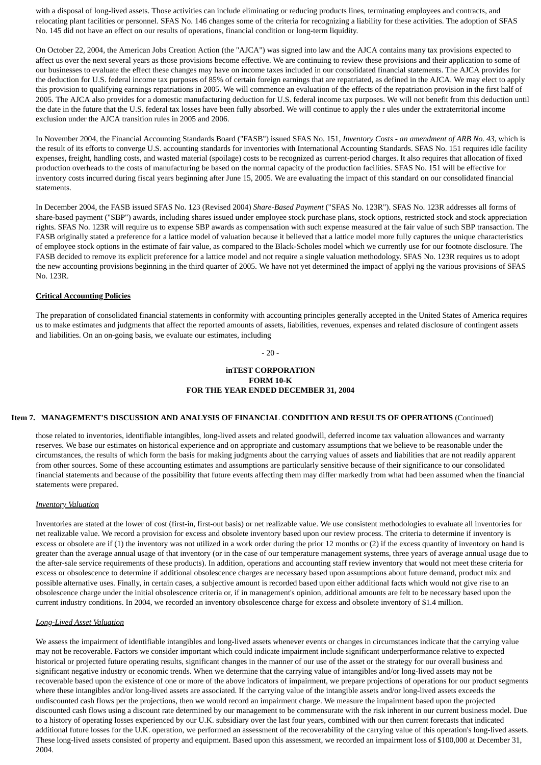with a disposal of long-lived assets. Those activities can include eliminating or reducing products lines, terminating employees and contracts, and relocating plant facilities or personnel. SFAS No. 146 changes some of the criteria for recognizing a liability for these activities. The adoption of SFAS No. 145 did not have an effect on our results of operations, financial condition or long-term liquidity.

On October 22, 2004, the American Jobs Creation Action (the "AJCA") was signed into law and the AJCA contains many tax provisions expected to affect us over the next several years as those provisions become effective. We are continuing to review these provisions and their application to some of our businesses to evaluate the effect these changes may have on income taxes included in our consolidated financial statements. The AJCA provides for the deduction for U.S. federal income tax purposes of 85% of certain foreign earnings that are repatriated, as defined in the AJCA. We may elect to apply this provision to qualifying earnings repatriations in 2005. We will commence an evaluation of the effects of the repatriation provision in the first half of 2005. The AJCA also provides for a domestic manufacturing deduction for U.S. federal income tax purposes. We will not benefit from this deduction until the date in the future that the U.S. federal tax losses have been fully absorbed. We will continue to apply the r ules under the extraterritorial income exclusion under the AJCA transition rules in 2005 and 2006.

In November 2004, the Financial Accounting Standards Board ("FASB") issued SFAS No. 151, *Inventory Costs - an amendment of ARB No. 43*, which is the result of its efforts to converge U.S. accounting standards for inventories with International Accounting Standards. SFAS No. 151 requires idle facility expenses, freight, handling costs, and wasted material (spoilage) costs to be recognized as current-period charges. It also requires that allocation of fixed production overheads to the costs of manufacturing be based on the normal capacity of the production facilities. SFAS No. 151 will be effective for inventory costs incurred during fiscal years beginning after June 15, 2005. We are evaluating the impact of this standard on our consolidated financial statements.

In December 2004, the FASB issued SFAS No. 123 (Revised 2004) *Share-Based Payment* ("SFAS No. 123R"). SFAS No. 123R addresses all forms of share-based payment ("SBP") awards, including shares issued under employee stock purchase plans, stock options, restricted stock and stock appreciation rights. SFAS No. 123R will require us to expense SBP awards as compensation with such expense measured at the fair value of such SBP transaction. The FASB originally stated a preference for a lattice model of valuation because it believed that a lattice model more fully captures the unique characteristics of employee stock options in the estimate of fair value, as compared to the Black-Scholes model which we currently use for our footnote disclosure. The FASB decided to remove its explicit preference for a lattice model and not require a single valuation methodology. SFAS No. 123R requires us to adopt the new accounting provisions beginning in the third quarter of 2005. We have not yet determined the impact of applyi ng the various provisions of SFAS No. 123R.

## **Critical Accounting Policies**

The preparation of consolidated financial statements in conformity with accounting principles generally accepted in the United States of America requires us to make estimates and judgments that affect the reported amounts of assets, liabilities, revenues, expenses and related disclosure of contingent assets and liabilities. On an on-going basis, we evaluate our estimates, including

# - 20 -

# **inTEST CORPORATION FORM 10-K FOR THE YEAR ENDED DECEMBER 31, 2004**

# **Item 7. MANAGEMENT'S DISCUSSION AND ANALYSIS OF FINANCIAL CONDITION AND RESULTS OF OPERATIONS** (Continued)

those related to inventories, identifiable intangibles, long-lived assets and related goodwill, deferred income tax valuation allowances and warranty reserves. We base our estimates on historical experience and on appropriate and customary assumptions that we believe to be reasonable under the circumstances, the results of which form the basis for making judgments about the carrying values of assets and liabilities that are not readily apparent from other sources. Some of these accounting estimates and assumptions are particularly sensitive because of their significance to our consolidated financial statements and because of the possibility that future events affecting them may differ markedly from what had been assumed when the financial statements were prepared.

#### *Inventory Valuation*

Inventories are stated at the lower of cost (first-in, first-out basis) or net realizable value. We use consistent methodologies to evaluate all inventories for net realizable value. We record a provision for excess and obsolete inventory based upon our review process. The criteria to determine if inventory is excess or obsolete are if (1) the inventory was not utilized in a work order during the prior 12 months or (2) if the excess quantity of inventory on hand is greater than the average annual usage of that inventory (or in the case of our temperature management systems, three years of average annual usage due to the after-sale service requirements of these products). In addition, operations and accounting staff review inventory that would not meet these criteria for excess or obsolescence to determine if additional obsolescence charges are necessary based upon assumptions about future demand, product mix and possible alternative uses. Finally, in certain cases, a subjective amount is recorded based upon either additional facts which would not give rise to an obsolescence charge under the initial obsolescence criteria or, if in management's opinion, additional amounts are felt to be necessary based upon the current industry conditions. In 2004, we recorded an inventory obsolescence charge for excess and obsolete inventory of \$1.4 million.

## *Long-Lived Asset Valuation*

We assess the impairment of identifiable intangibles and long-lived assets whenever events or changes in circumstances indicate that the carrying value may not be recoverable. Factors we consider important which could indicate impairment include significant underperformance relative to expected historical or projected future operating results, significant changes in the manner of our use of the asset or the strategy for our overall business and significant negative industry or economic trends. When we determine that the carrying value of intangibles and/or long-lived assets may not be recoverable based upon the existence of one or more of the above indicators of impairment, we prepare projections of operations for our product segments where these intangibles and/or long-lived assets are associated. If the carrying value of the intangible assets and/or long-lived assets exceeds the undiscounted cash flows per the projections, then we would record an impairment charge. We measure the impairment based upon the projected discounted cash flows using a discount rate determined by our management to be commensurate with the risk inherent in our current business model. Due to a history of operating losses experienced by our U.K. subsidiary over the last four years, combined with our then current forecasts that indicated additional future losses for the U.K. operation, we performed an assessment of the recoverability of the carrying value of this operation's long-lived assets. These long-lived assets consisted of property and equipment. Based upon this assessment, we recorded an impairment loss of \$100,000 at December 31, 2004.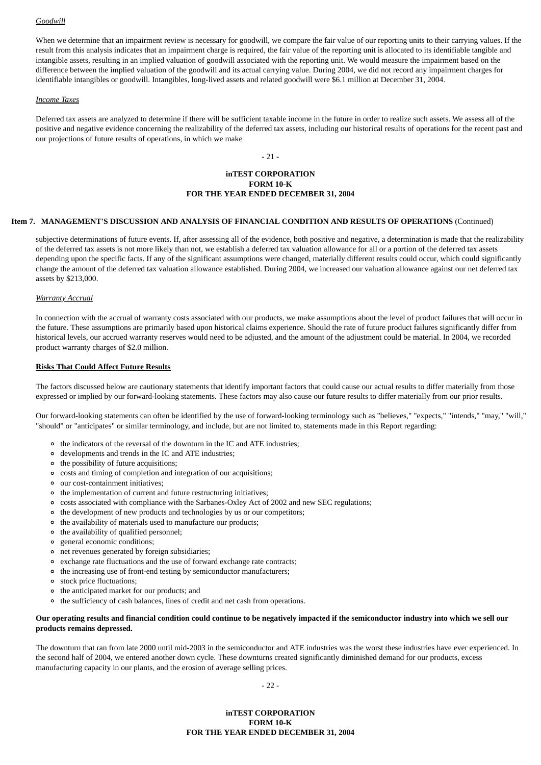#### *Goodwill*

When we determine that an impairment review is necessary for goodwill, we compare the fair value of our reporting units to their carrying values. If the result from this analysis indicates that an impairment charge is required, the fair value of the reporting unit is allocated to its identifiable tangible and intangible assets, resulting in an implied valuation of goodwill associated with the reporting unit. We would measure the impairment based on the difference between the implied valuation of the goodwill and its actual carrying value. During 2004, we did not record any impairment charges for identifiable intangibles or goodwill. Intangibles, long-lived assets and related goodwill were \$6.1 million at December 31, 2004.

#### *Income Taxes*

Deferred tax assets are analyzed to determine if there will be sufficient taxable income in the future in order to realize such assets. We assess all of the positive and negative evidence concerning the realizability of the deferred tax assets, including our historical results of operations for the recent past and our projections of future results of operations, in which we make

#### - 21 -

## **inTEST CORPORATION FORM 10-K FOR THE YEAR ENDED DECEMBER 31, 2004**

#### **Item 7. MANAGEMENT'S DISCUSSION AND ANALYSIS OF FINANCIAL CONDITION AND RESULTS OF OPERATIONS** (Continued)

subjective determinations of future events. If, after assessing all of the evidence, both positive and negative, a determination is made that the realizability of the deferred tax assets is not more likely than not, we establish a deferred tax valuation allowance for all or a portion of the deferred tax assets depending upon the specific facts. If any of the significant assumptions were changed, materially different results could occur, which could significantly change the amount of the deferred tax valuation allowance established. During 2004, we increased our valuation allowance against our net deferred tax assets by \$213,000.

#### *Warranty Accrual*

In connection with the accrual of warranty costs associated with our products, we make assumptions about the level of product failures that will occur in the future. These assumptions are primarily based upon historical claims experience. Should the rate of future product failures significantly differ from historical levels, our accrued warranty reserves would need to be adjusted, and the amount of the adjustment could be material. In 2004, we recorded product warranty charges of \$2.0 million.

#### **Risks That Could Affect Future Results**

The factors discussed below are cautionary statements that identify important factors that could cause our actual results to differ materially from those expressed or implied by our forward-looking statements. These factors may also cause our future results to differ materially from our prior results.

Our forward-looking statements can often be identified by the use of forward-looking terminology such as "believes," "expects," "intends," "may," "will," "should" or "anticipates" or similar terminology, and include, but are not limited to, statements made in this Report regarding:

- the indicators of the reversal of the downturn in the IC and ATE industries;
- developments and trends in the IC and ATE industries;
- the possibility of future acquisitions;
- costs and timing of completion and integration of our acquisitions;
- our cost-containment initiatives;
- the implementation of current and future restructuring initiatives;
- costs associated with compliance with the Sarbanes-Oxley Act of 2002 and new SEC regulations;
- the development of new products and technologies by us or our competitors;
- the availability of materials used to manufacture our products;
- the availability of qualified personnel;
- general economic conditions;
- net revenues generated by foreign subsidiaries;
- exchange rate fluctuations and the use of forward exchange rate contracts;
- the increasing use of front-end testing by semiconductor manufacturers;
- stock price fluctuations;
- the anticipated market for our products; and
- the sufficiency of cash balances, lines of credit and net cash from operations.

#### **Our operating results and financial condition could continue to be negatively impacted if the semiconductor industry into which we sell our products remains depressed.**

The downturn that ran from late 2000 until mid-2003 in the semiconductor and ATE industries was the worst these industries have ever experienced. In the second half of 2004, we entered another down cycle. These downturns created significantly diminished demand for our products, excess manufacturing capacity in our plants, and the erosion of average selling prices.

- 22 -

# **inTEST CORPORATION FORM 10-K FOR THE YEAR ENDED DECEMBER 31, 2004**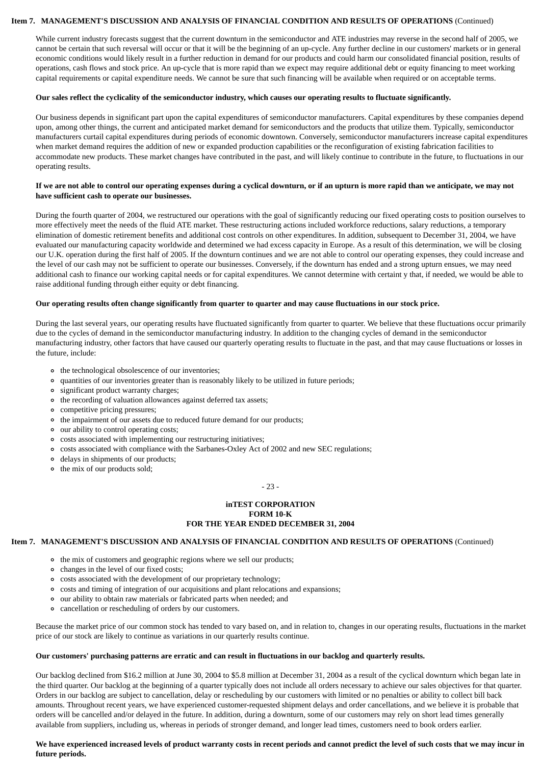#### **Item 7. MANAGEMENT'S DISCUSSION AND ANALYSIS OF FINANCIAL CONDITION AND RESULTS OF OPERATIONS** (Continued)

While current industry forecasts suggest that the current downturn in the semiconductor and ATE industries may reverse in the second half of 2005, we cannot be certain that such reversal will occur or that it will be the beginning of an up-cycle. Any further decline in our customers' markets or in general economic conditions would likely result in a further reduction in demand for our products and could harm our consolidated financial position, results of operations, cash flows and stock price. An up-cycle that is more rapid than we expect may require additional debt or equity financing to meet working capital requirements or capital expenditure needs. We cannot be sure that such financing will be available when required or on acceptable terms.

#### **Our sales reflect the cyclicality of the semiconductor industry, which causes our operating results to fluctuate significantly.**

Our business depends in significant part upon the capital expenditures of semiconductor manufacturers. Capital expenditures by these companies depend upon, among other things, the current and anticipated market demand for semiconductors and the products that utilize them. Typically, semiconductor manufacturers curtail capital expenditures during periods of economic downtown. Conversely, semiconductor manufacturers increase capital expenditures when market demand requires the addition of new or expanded production capabilities or the reconfiguration of existing fabrication facilities to accommodate new products. These market changes have contributed in the past, and will likely continue to contribute in the future, to fluctuations in our operating results.

#### **If we are not able to control our operating expenses during a cyclical downturn, or if an upturn is more rapid than we anticipate, we may not have sufficient cash to operate our businesses.**

During the fourth quarter of 2004, we restructured our operations with the goal of significantly reducing our fixed operating costs to position ourselves to more effectively meet the needs of the fluid ATE market. These restructuring actions included workforce reductions, salary reductions, a temporary elimination of domestic retirement benefits and additional cost controls on other expenditures. In addition, subsequent to December 31, 2004, we have evaluated our manufacturing capacity worldwide and determined we had excess capacity in Europe. As a result of this determination, we will be closing our U.K. operation during the first half of 2005. If the downturn continues and we are not able to control our operating expenses, they could increase and the level of our cash may not be sufficient to operate our businesses. Conversely, if the downturn has ended and a strong upturn ensues, we may need additional cash to finance our working capital needs or for capital expenditures. We cannot determine with certaint y that, if needed, we would be able to raise additional funding through either equity or debt financing.

#### **Our operating results often change significantly from quarter to quarter and may cause fluctuations in our stock price.**

During the last several years, our operating results have fluctuated significantly from quarter to quarter. We believe that these fluctuations occur primarily due to the cycles of demand in the semiconductor manufacturing industry. In addition to the changing cycles of demand in the semiconductor manufacturing industry, other factors that have caused our quarterly operating results to fluctuate in the past, and that may cause fluctuations or losses in the future, include:

- the technological obsolescence of our inventories;
- quantities of our inventories greater than is reasonably likely to be utilized in future periods;
- significant product warranty charges;
- the recording of valuation allowances against deferred tax assets;
- competitive pricing pressures;
- the impairment of our assets due to reduced future demand for our products;
- our ability to control operating costs;
- costs associated with implementing our restructuring initiatives;
- costs associated with compliance with the Sarbanes-Oxley Act of 2002 and new SEC regulations;
- delays in shipments of our products;
- the mix of our products sold;

- 23 -

# **inTEST CORPORATION FORM 10-K FOR THE YEAR ENDED DECEMBER 31, 2004**

# **Item 7. MANAGEMENT'S DISCUSSION AND ANALYSIS OF FINANCIAL CONDITION AND RESULTS OF OPERATIONS** (Continued)

- the mix of customers and geographic regions where we sell our products;
- changes in the level of our fixed costs;
- costs associated with the development of our proprietary technology;
- costs and timing of integration of our acquisitions and plant relocations and expansions;
- our ability to obtain raw materials or fabricated parts when needed; and
- cancellation or rescheduling of orders by our customers.

Because the market price of our common stock has tended to vary based on, and in relation to, changes in our operating results, fluctuations in the market price of our stock are likely to continue as variations in our quarterly results continue.

#### **Our customers' purchasing patterns are erratic and can result in fluctuations in our backlog and quarterly results.**

Our backlog declined from \$16.2 million at June 30, 2004 to \$5.8 million at December 31, 2004 as a result of the cyclical downturn which began late in the third quarter. Our backlog at the beginning of a quarter typically does not include all orders necessary to achieve our sales objectives for that quarter. Orders in our backlog are subject to cancellation, delay or rescheduling by our customers with limited or no penalties or ability to collect bill back amounts. Throughout recent years, we have experienced customer-requested shipment delays and order cancellations, and we believe it is probable that orders will be cancelled and/or delayed in the future. In addition, during a downturn, some of our customers may rely on short lead times generally available from suppliers, including us, whereas in periods of stronger demand, and longer lead times, customers need to book orders earlier.

# **We have experienced increased levels of product warranty costs in recent periods and cannot predict the level of such costs that we may incur in future periods.**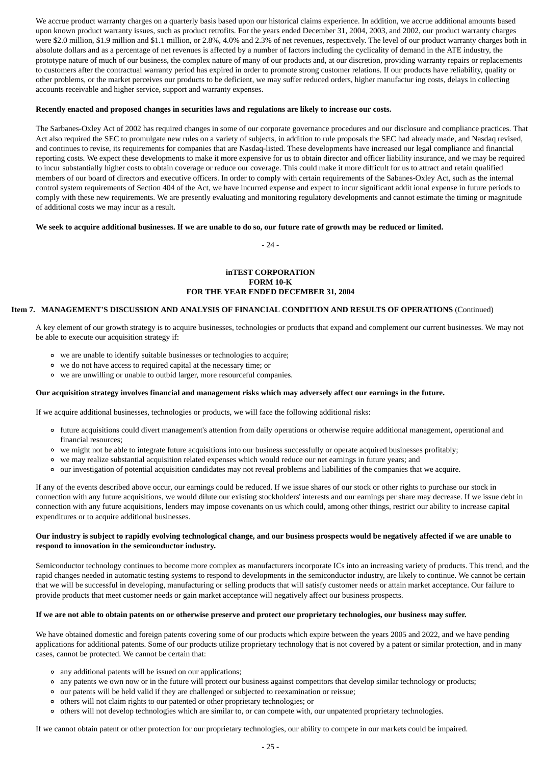We accrue product warranty charges on a quarterly basis based upon our historical claims experience. In addition, we accrue additional amounts based upon known product warranty issues, such as product retrofits. For the years ended December 31, 2004, 2003, and 2002, our product warranty charges were \$2.0 million, \$1.9 million and \$1.1 million, or 2.8%, 4.0% and 2.3% of net revenues, respectively. The level of our product warranty charges both in absolute dollars and as a percentage of net revenues is affected by a number of factors including the cyclicality of demand in the ATE industry, the prototype nature of much of our business, the complex nature of many of our products and, at our discretion, providing warranty repairs or replacements to customers after the contractual warranty period has expired in order to promote strong customer relations. If our products have reliability, quality or other problems, or the market perceives our products to be deficient, we may suffer reduced orders, higher manufactur ing costs, delays in collecting accounts receivable and higher service, support and warranty expenses.

#### **Recently enacted and proposed changes in securities laws and regulations are likely to increase our costs.**

The Sarbanes-Oxley Act of 2002 has required changes in some of our corporate governance procedures and our disclosure and compliance practices. That Act also required the SEC to promulgate new rules on a variety of subjects, in addition to rule proposals the SEC had already made, and Nasdaq revised, and continues to revise, its requirements for companies that are Nasdaq-listed. These developments have increased our legal compliance and financial reporting costs. We expect these developments to make it more expensive for us to obtain director and officer liability insurance, and we may be required to incur substantially higher costs to obtain coverage or reduce our coverage. This could make it more difficult for us to attract and retain qualified members of our board of directors and executive officers. In order to comply with certain requirements of the Sabanes-Oxley Act, such as the internal control system requirements of Section 404 of the Act, we have incurred expense and expect to incur significant addit ional expense in future periods to comply with these new requirements. We are presently evaluating and monitoring regulatory developments and cannot estimate the timing or magnitude of additional costs we may incur as a result.

#### **We seek to acquire additional businesses. If we are unable to do so, our future rate of growth may be reduced or limited.**

- 24 -

## **inTEST CORPORATION FORM 10-K FOR THE YEAR ENDED DECEMBER 31, 2004**

#### **Item 7. MANAGEMENT'S DISCUSSION AND ANALYSIS OF FINANCIAL CONDITION AND RESULTS OF OPERATIONS** (Continued)

A key element of our growth strategy is to acquire businesses, technologies or products that expand and complement our current businesses. We may not be able to execute our acquisition strategy if:

- we are unable to identify suitable businesses or technologies to acquire;
- we do not have access to required capital at the necessary time; or
- we are unwilling or unable to outbid larger, more resourceful companies.

## **Our acquisition strategy involves financial and management risks which may adversely affect our earnings in the future.**

If we acquire additional businesses, technologies or products, we will face the following additional risks:

- future acquisitions could divert management's attention from daily operations or otherwise require additional management, operational and financial resources;
- we might not be able to integrate future acquisitions into our business successfully or operate acquired businesses profitably;
- we may realize substantial acquisition related expenses which would reduce our net earnings in future years; and
- our investigation of potential acquisition candidates may not reveal problems and liabilities of the companies that we acquire.

If any of the events described above occur, our earnings could be reduced. If we issue shares of our stock or other rights to purchase our stock in connection with any future acquisitions, we would dilute our existing stockholders' interests and our earnings per share may decrease. If we issue debt in connection with any future acquisitions, lenders may impose covenants on us which could, among other things, restrict our ability to increase capital expenditures or to acquire additional businesses.

#### **Our industry is subject to rapidly evolving technological change, and our business prospects would be negatively affected if we are unable to respond to innovation in the semiconductor industry.**

Semiconductor technology continues to become more complex as manufacturers incorporate ICs into an increasing variety of products. This trend, and the rapid changes needed in automatic testing systems to respond to developments in the semiconductor industry, are likely to continue. We cannot be certain that we will be successful in developing, manufacturing or selling products that will satisfy customer needs or attain market acceptance. Our failure to provide products that meet customer needs or gain market acceptance will negatively affect our business prospects.

#### **If we are not able to obtain patents on or otherwise preserve and protect our proprietary technologies, our business may suffer.**

We have obtained domestic and foreign patents covering some of our products which expire between the years 2005 and 2022, and we have pending applications for additional patents. Some of our products utilize proprietary technology that is not covered by a patent or similar protection, and in many cases, cannot be protected. We cannot be certain that:

- any additional patents will be issued on our applications;
- any patents we own now or in the future will protect our business against competitors that develop similar technology or products;
- our patents will be held valid if they are challenged or subjected to reexamination or reissue;
- others will not claim rights to our patented or other proprietary technologies; or
- others will not develop technologies which are similar to, or can compete with, our unpatented proprietary technologies.

If we cannot obtain patent or other protection for our proprietary technologies, our ability to compete in our markets could be impaired.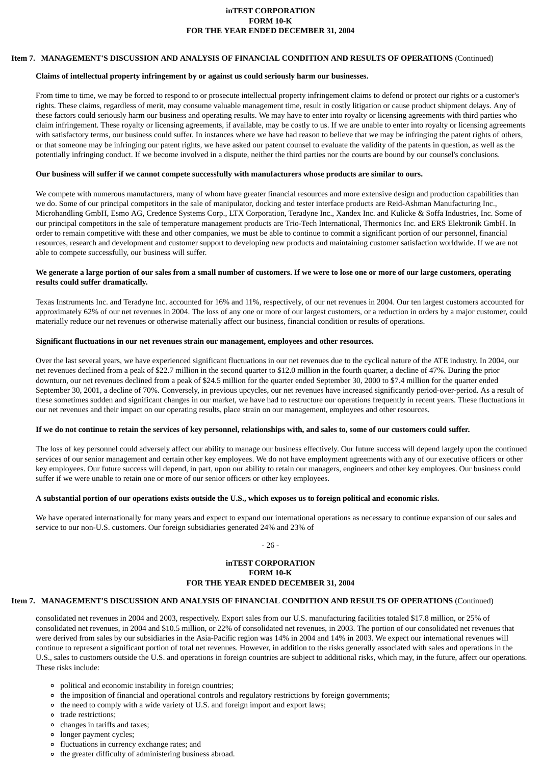# **inTEST CORPORATION FORM 10-K FOR THE YEAR ENDED DECEMBER 31, 2004**

## **Item 7. MANAGEMENT'S DISCUSSION AND ANALYSIS OF FINANCIAL CONDITION AND RESULTS OF OPERATIONS** (Continued)

#### **Claims of intellectual property infringement by or against us could seriously harm our businesses.**

From time to time, we may be forced to respond to or prosecute intellectual property infringement claims to defend or protect our rights or a customer's rights. These claims, regardless of merit, may consume valuable management time, result in costly litigation or cause product shipment delays. Any of these factors could seriously harm our business and operating results. We may have to enter into royalty or licensing agreements with third parties who claim infringement. These royalty or licensing agreements, if available, may be costly to us. If we are unable to enter into royalty or licensing agreements with satisfactory terms, our business could suffer. In instances where we have had reason to believe that we may be infringing the patent rights of others, or that someone may be infringing our patent rights, we have asked our patent counsel to evaluate the validity of the patents in question, as well as the potentially infringing conduct. If we become involved in a dispute, neither the third parties nor the courts are bound by our counsel's conclusions.

## **Our business will suffer if we cannot compete successfully with manufacturers whose products are similar to ours.**

We compete with numerous manufacturers, many of whom have greater financial resources and more extensive design and production capabilities than we do. Some of our principal competitors in the sale of manipulator, docking and tester interface products are Reid-Ashman Manufacturing Inc., Microhandling GmbH, Esmo AG, Credence Systems Corp., LTX Corporation, Teradyne Inc., Xandex Inc. and Kulicke & Soffa Industries, Inc. Some of our principal competitors in the sale of temperature management products are Trio-Tech International, Thermonics Inc. and ERS Elektronik GmbH. In order to remain competitive with these and other companies, we must be able to continue to commit a significant portion of our personnel, financial resources, research and development and customer support to developing new products and maintaining customer satisfaction worldwide. If we are not able to compete successfully, our business will suffer.

#### **We generate a large portion of our sales from a small number of customers. If we were to lose one or more of our large customers, operating results could suffer dramatically.**

Texas Instruments Inc. and Teradyne Inc. accounted for 16% and 11%, respectively, of our net revenues in 2004. Our ten largest customers accounted for approximately 62% of our net revenues in 2004. The loss of any one or more of our largest customers, or a reduction in orders by a major customer, could materially reduce our net revenues or otherwise materially affect our business, financial condition or results of operations.

## **Significant fluctuations in our net revenues strain our management, employees and other resources.**

Over the last several years, we have experienced significant fluctuations in our net revenues due to the cyclical nature of the ATE industry. In 2004, our net revenues declined from a peak of \$22.7 million in the second quarter to \$12.0 million in the fourth quarter, a decline of 47%. During the prior downturn, our net revenues declined from a peak of \$24.5 million for the quarter ended September 30, 2000 to \$7.4 million for the quarter ended September 30, 2001, a decline of 70%. Conversely, in previous upcycles, our net revenues have increased significantly period-over-period. As a result of these sometimes sudden and significant changes in our market, we have had to restructure our operations frequently in recent years. These fluctuations in our net revenues and their impact on our operating results, place strain on our management, employees and other resources.

#### **If we do not continue to retain the services of key personnel, relationships with, and sales to, some of our customers could suffer.**

The loss of key personnel could adversely affect our ability to manage our business effectively. Our future success will depend largely upon the continued services of our senior management and certain other key employees. We do not have employment agreements with any of our executive officers or other key employees. Our future success will depend, in part, upon our ability to retain our managers, engineers and other key employees. Our business could suffer if we were unable to retain one or more of our senior officers or other key employees.

# **A substantial portion of our operations exists outside the U.S., which exposes us to foreign political and economic risks.**

We have operated internationally for many years and expect to expand our international operations as necessary to continue expansion of our sales and service to our non-U.S. customers. Our foreign subsidiaries generated 24% and 23% of

- 26 -

# **inTEST CORPORATION FORM 10-K FOR THE YEAR ENDED DECEMBER 31, 2004**

## **Item 7. MANAGEMENT'S DISCUSSION AND ANALYSIS OF FINANCIAL CONDITION AND RESULTS OF OPERATIONS** (Continued)

consolidated net revenues in 2004 and 2003, respectively. Export sales from our U.S. manufacturing facilities totaled \$17.8 million, or 25% of consolidated net revenues, in 2004 and \$10.5 million, or 22% of consolidated net revenues, in 2003. The portion of our consolidated net revenues that were derived from sales by our subsidiaries in the Asia-Pacific region was 14% in 2004 and 14% in 2003. We expect our international revenues will continue to represent a significant portion of total net revenues. However, in addition to the risks generally associated with sales and operations in the U.S., sales to customers outside the U.S. and operations in foreign countries are subject to additional risks, which may, in the future, affect our operations. These risks include:

- political and economic instability in foreign countries;
- the imposition of financial and operational controls and regulatory restrictions by foreign governments;
- the need to comply with a wide variety of U.S. and foreign import and export laws;
- trade restrictions;
- changes in tariffs and taxes;
- longer payment cycles;
- fluctuations in currency exchange rates; and
- the greater difficulty of administering business abroad.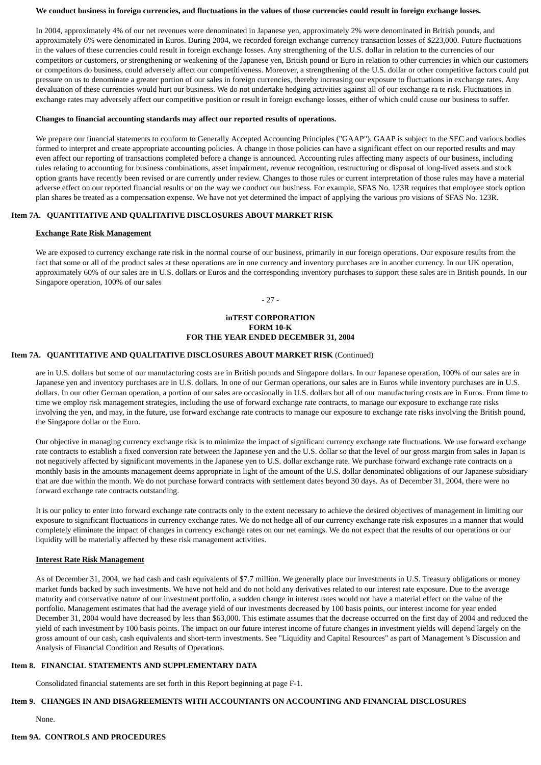#### **We conduct business in foreign currencies, and fluctuations in the values of those currencies could result in foreign exchange losses.**

In 2004, approximately 4% of our net revenues were denominated in Japanese yen, approximately 2% were denominated in British pounds, and approximately 6% were denominated in Euros. During 2004, we recorded foreign exchange currency transaction losses of \$223,000. Future fluctuations in the values of these currencies could result in foreign exchange losses. Any strengthening of the U.S. dollar in relation to the currencies of our competitors or customers, or strengthening or weakening of the Japanese yen, British pound or Euro in relation to other currencies in which our customers or competitors do business, could adversely affect our competitiveness. Moreover, a strengthening of the U.S. dollar or other competitive factors could put pressure on us to denominate a greater portion of our sales in foreign currencies, thereby increasing our exposure to fluctuations in exchange rates. Any devaluation of these currencies would hurt our business. We do not undertake hedging activities against all of our exchange ra te risk. Fluctuations in exchange rates may adversely affect our competitive position or result in foreign exchange losses, either of which could cause our business to suffer.

#### **Changes to financial accounting standards may affect our reported results of operations.**

We prepare our financial statements to conform to Generally Accepted Accounting Principles ("GAAP"). GAAP is subject to the SEC and various bodies formed to interpret and create appropriate accounting policies. A change in those policies can have a significant effect on our reported results and may even affect our reporting of transactions completed before a change is announced. Accounting rules affecting many aspects of our business, including rules relating to accounting for business combinations, asset impairment, revenue recognition, restructuring or disposal of long-lived assets and stock option grants have recently been revised or are currently under review. Changes to those rules or current interpretation of those rules may have a material adverse effect on our reported financial results or on the way we conduct our business. For example, SFAS No. 123R requires that employee stock option plan shares be treated as a compensation expense. We have not yet determined the impact of applying the various pro visions of SFAS No. 123R.

## **Item 7A. QUANTITATIVE AND QUALITATIVE DISCLOSURES ABOUT MARKET RISK**

## **Exchange Rate Risk Management**

We are exposed to currency exchange rate risk in the normal course of our business, primarily in our foreign operations. Our exposure results from the fact that some or all of the product sales at these operations are in one currency and inventory purchases are in another currency. In our UK operation, approximately 60% of our sales are in U.S. dollars or Euros and the corresponding inventory purchases to support these sales are in British pounds. In our Singapore operation, 100% of our sales

- 27 -

# **inTEST CORPORATION FORM 10-K FOR THE YEAR ENDED DECEMBER 31, 2004**

## **Item 7A. QUANTITATIVE AND QUALITATIVE DISCLOSURES ABOUT MARKET RISK** (Continued)

are in U.S. dollars but some of our manufacturing costs are in British pounds and Singapore dollars. In our Japanese operation, 100% of our sales are in Japanese yen and inventory purchases are in U.S. dollars. In one of our German operations, our sales are in Euros while inventory purchases are in U.S. dollars. In our other German operation, a portion of our sales are occasionally in U.S. dollars but all of our manufacturing costs are in Euros. From time to time we employ risk management strategies, including the use of forward exchange rate contracts, to manage our exposure to exchange rate risks involving the yen, and may, in the future, use forward exchange rate contracts to manage our exposure to exchange rate risks involving the British pound, the Singapore dollar or the Euro.

Our objective in managing currency exchange risk is to minimize the impact of significant currency exchange rate fluctuations. We use forward exchange rate contracts to establish a fixed conversion rate between the Japanese yen and the U.S. dollar so that the level of our gross margin from sales in Japan is not negatively affected by significant movements in the Japanese yen to U.S. dollar exchange rate. We purchase forward exchange rate contracts on a monthly basis in the amounts management deems appropriate in light of the amount of the U.S. dollar denominated obligations of our Japanese subsidiary that are due within the month. We do not purchase forward contracts with settlement dates beyond 30 days. As of December 31, 2004, there were no forward exchange rate contracts outstanding.

It is our policy to enter into forward exchange rate contracts only to the extent necessary to achieve the desired objectives of management in limiting our exposure to significant fluctuations in currency exchange rates. We do not hedge all of our currency exchange rate risk exposures in a manner that would completely eliminate the impact of changes in currency exchange rates on our net earnings. We do not expect that the results of our operations or our liquidity will be materially affected by these risk management activities.

#### **Interest Rate Risk Management**

As of December 31, 2004, we had cash and cash equivalents of \$7.7 million. We generally place our investments in U.S. Treasury obligations or money market funds backed by such investments. We have not held and do not hold any derivatives related to our interest rate exposure. Due to the average maturity and conservative nature of our investment portfolio, a sudden change in interest rates would not have a material effect on the value of the portfolio. Management estimates that had the average yield of our investments decreased by 100 basis points, our interest income for year ended December 31, 2004 would have decreased by less than \$63,000. This estimate assumes that the decrease occurred on the first day of 2004 and reduced the yield of each investment by 100 basis points. The impact on our future interest income of future changes in investment yields will depend largely on the gross amount of our cash, cash equivalents and short-term investments. See "Liquidity and Capital Resources" as part of Management 's Discussion and Analysis of Financial Condition and Results of Operations.

#### **Item 8. FINANCIAL STATEMENTS AND SUPPLEMENTARY DATA**

Consolidated financial statements are set forth in this Report beginning at page F-1.

# **Item 9. CHANGES IN AND DISAGREEMENTS WITH ACCOUNTANTS ON ACCOUNTING AND FINANCIAL DISCLOSURES**

# None.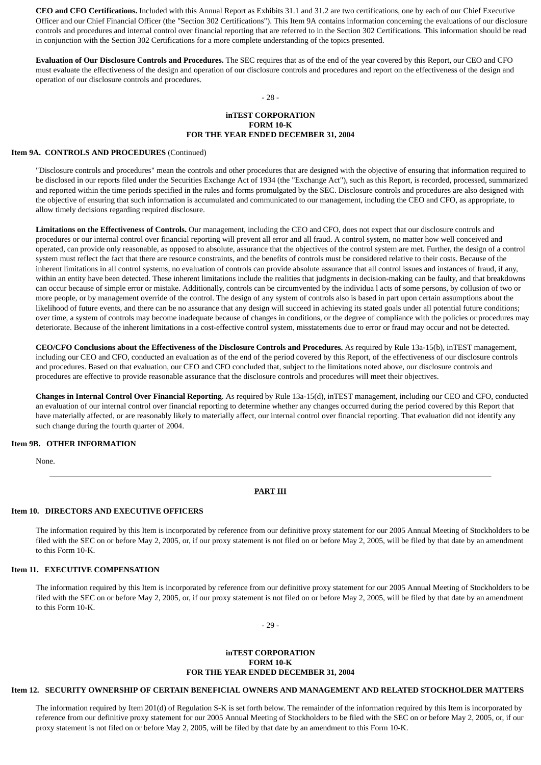**CEO and CFO Certifications.** Included with this Annual Report as Exhibits 31.1 and 31.2 are two certifications, one by each of our Chief Executive Officer and our Chief Financial Officer (the "Section 302 Certifications"). This Item 9A contains information concerning the evaluations of our disclosure controls and procedures and internal control over financial reporting that are referred to in the Section 302 Certifications. This information should be read in conjunction with the Section 302 Certifications for a more complete understanding of the topics presented.

**Evaluation of Our Disclosure Controls and Procedures.** The SEC requires that as of the end of the year covered by this Report, our CEO and CFO must evaluate the effectiveness of the design and operation of our disclosure controls and procedures and report on the effectiveness of the design and operation of our disclosure controls and procedures.

# - 28 -

## **inTEST CORPORATION FORM 10-K FOR THE YEAR ENDED DECEMBER 31, 2004**

#### **Item 9A. CONTROLS AND PROCEDURES** (Continued)

"Disclosure controls and procedures" mean the controls and other procedures that are designed with the objective of ensuring that information required to be disclosed in our reports filed under the Securities Exchange Act of 1934 (the "Exchange Act"), such as this Report, is recorded, processed, summarized and reported within the time periods specified in the rules and forms promulgated by the SEC. Disclosure controls and procedures are also designed with the objective of ensuring that such information is accumulated and communicated to our management, including the CEO and CFO, as appropriate, to allow timely decisions regarding required disclosure.

**Limitations on the Effectiveness of Controls.** Our management, including the CEO and CFO, does not expect that our disclosure controls and procedures or our internal control over financial reporting will prevent all error and all fraud. A control system, no matter how well conceived and operated, can provide only reasonable, as opposed to absolute, assurance that the objectives of the control system are met. Further, the design of a control system must reflect the fact that there are resource constraints, and the benefits of controls must be considered relative to their costs. Because of the inherent limitations in all control systems, no evaluation of controls can provide absolute assurance that all control issues and instances of fraud, if any, within an entity have been detected. These inherent limitations include the realities that judgments in decision-making can be faulty, and that breakdowns can occur because of simple error or mistake. Additionally, controls can be circumvented by the individua l acts of some persons, by collusion of two or more people, or by management override of the control. The design of any system of controls also is based in part upon certain assumptions about the likelihood of future events, and there can be no assurance that any design will succeed in achieving its stated goals under all potential future conditions; over time, a system of controls may become inadequate because of changes in conditions, or the degree of compliance with the policies or procedures may deteriorate. Because of the inherent limitations in a cost-effective control system, misstatements due to error or fraud may occur and not be detected.

**CEO/CFO Conclusions about the Effectiveness of the Disclosure Controls and Procedures.** As required by Rule 13a-15(b), inTEST management, including our CEO and CFO, conducted an evaluation as of the end of the period covered by this Report, of the effectiveness of our disclosure controls and procedures. Based on that evaluation, our CEO and CFO concluded that, subject to the limitations noted above, our disclosure controls and procedures are effective to provide reasonable assurance that the disclosure controls and procedures will meet their objectives.

**Changes in Internal Control Over Financial Reporting**. As required by Rule 13a-15(d), inTEST management, including our CEO and CFO, conducted an evaluation of our internal control over financial reporting to determine whether any changes occurred during the period covered by this Report that have materially affected, or are reasonably likely to materially affect, our internal control over financial reporting. That evaluation did not identify any such change during the fourth quarter of 2004.

#### **Item 9B. OTHER INFORMATION**

None.

#### **PART III**

# **Item 10. DIRECTORS AND EXECUTIVE OFFICERS**

The information required by this Item is incorporated by reference from our definitive proxy statement for our 2005 Annual Meeting of Stockholders to be filed with the SEC on or before May 2, 2005, or, if our proxy statement is not filed on or before May 2, 2005, will be filed by that date by an amendment to this Form 10-K.

#### **Item 11. EXECUTIVE COMPENSATION**

The information required by this Item is incorporated by reference from our definitive proxy statement for our 2005 Annual Meeting of Stockholders to be filed with the SEC on or before May 2, 2005, or, if our proxy statement is not filed on or before May 2, 2005, will be filed by that date by an amendment to this Form 10-K.

- 29 -

#### **inTEST CORPORATION FORM 10-K FOR THE YEAR ENDED DECEMBER 31, 2004**

# **Item 12. SECURITY OWNERSHIP OF CERTAIN BENEFICIAL OWNERS AND MANAGEMENT AND RELATED STOCKHOLDER MATTERS**

The information required by Item 201(d) of Regulation S-K is set forth below. The remainder of the information required by this Item is incorporated by reference from our definitive proxy statement for our 2005 Annual Meeting of Stockholders to be filed with the SEC on or before May 2, 2005, or, if our proxy statement is not filed on or before May 2, 2005, will be filed by that date by an amendment to this Form 10-K.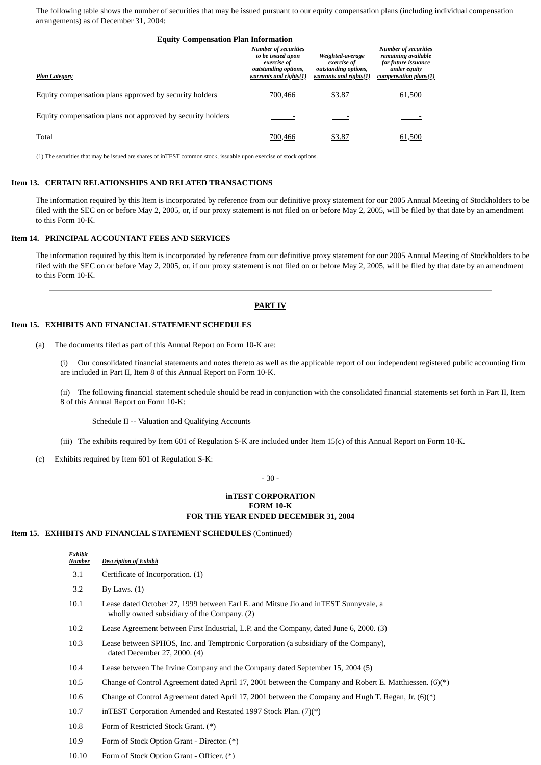The following table shows the number of securities that may be issued pursuant to our equity compensation plans (including individual compensation arrangements) as of December 31, 2004:

| <b>Equity Compensation Plan Information</b>                |                                                                                                                   |                                                                                   |                                                                                                                    |  |  |  |  |  |
|------------------------------------------------------------|-------------------------------------------------------------------------------------------------------------------|-----------------------------------------------------------------------------------|--------------------------------------------------------------------------------------------------------------------|--|--|--|--|--|
| <b>Plan Category</b>                                       | <b>Number of securities</b><br>to be issued upon<br>exercise of<br>outstanding options,<br>warrants and rights(1) | Weighted-average<br>exercise of<br>outstanding options,<br>warrants and rights(1) | <b>Number of securities</b><br>remaining available<br>for future issuance<br>under equity<br>compensation plans(1) |  |  |  |  |  |
| Equity compensation plans approved by security holders     | 700,466                                                                                                           | \$3.87                                                                            | 61,500                                                                                                             |  |  |  |  |  |
| Equity compensation plans not approved by security holders |                                                                                                                   |                                                                                   |                                                                                                                    |  |  |  |  |  |
| Total                                                      | 700,466                                                                                                           | \$3.87                                                                            | 61.500                                                                                                             |  |  |  |  |  |

(1) The securities that may be issued are shares of inTEST common stock, issuable upon exercise of stock options.

#### **Item 13. CERTAIN RELATIONSHIPS AND RELATED TRANSACTIONS**

The information required by this Item is incorporated by reference from our definitive proxy statement for our 2005 Annual Meeting of Stockholders to be filed with the SEC on or before May 2, 2005, or, if our proxy statement is not filed on or before May 2, 2005, will be filed by that date by an amendment to this Form 10-K.

#### **Item 14. PRINCIPAL ACCOUNTANT FEES AND SERVICES**

The information required by this Item is incorporated by reference from our definitive proxy statement for our 2005 Annual Meeting of Stockholders to be filed with the SEC on or before May 2, 2005, or, if our proxy statement is not filed on or before May 2, 2005, will be filed by that date by an amendment to this Form 10-K.

#### **PART IV**

## **Item 15. EXHIBITS AND FINANCIAL STATEMENT SCHEDULES**

(a) The documents filed as part of this Annual Report on Form 10-K are:

(i) Our consolidated financial statements and notes thereto as well as the applicable report of our independent registered public accounting firm are included in Part II, Item 8 of this Annual Report on Form 10-K.

(ii) The following financial statement schedule should be read in conjunction with the consolidated financial statements set forth in Part II, Item 8 of this Annual Report on Form 10-K:

Schedule II -- Valuation and Qualifying Accounts

- (iii) The exhibits required by Item 601 of Regulation S-K are included under Item 15(c) of this Annual Report on Form 10-K.
- (c) Exhibits required by Item 601 of Regulation S-K:

- 30 -

#### **inTEST CORPORATION FORM 10-K FOR THE YEAR ENDED DECEMBER 31, 2004**

#### **Item 15. EXHIBITS AND FINANCIAL STATEMENT SCHEDULES** (Continued)

| Exhibit<br>Number | <b>Description of Exhibit</b>                                                                                                       |
|-------------------|-------------------------------------------------------------------------------------------------------------------------------------|
| 3.1               | Certificate of Incorporation. (1)                                                                                                   |
| 3.2               | By Laws. $(1)$                                                                                                                      |
| 10.1              | Lease dated October 27, 1999 between Earl E. and Mitsue Jio and in TEST Sunnyvale, a<br>wholly owned subsidiary of the Company. (2) |
| 10.2              | Lease Agreement between First Industrial, L.P. and the Company, dated June 6, 2000. (3)                                             |
| 10.3              | Lease between SPHOS, Inc. and Temptronic Corporation (a subsidiary of the Company),<br>dated December 27, 2000. (4)                 |
| 10.4              | Lease between The Irvine Company and the Company dated September 15, 2004 (5)                                                       |
| 10.5              | Change of Control Agreement dated April 17, 2001 between the Company and Robert E. Matthiessen. $(6)(*)$                            |
| 10.6              | Change of Control Agreement dated April 17, 2001 between the Company and Hugh T. Regan, Jr. $(6)(*)$                                |
| 10.7              | inTEST Corporation Amended and Restated 1997 Stock Plan. (7)(*)                                                                     |
| 10.8              | Form of Restricted Stock Grant. (*)                                                                                                 |
| 10.9              | Form of Stock Option Grant - Director. (*)                                                                                          |

10.10 Form of Stock Option Grant - Officer. (\*)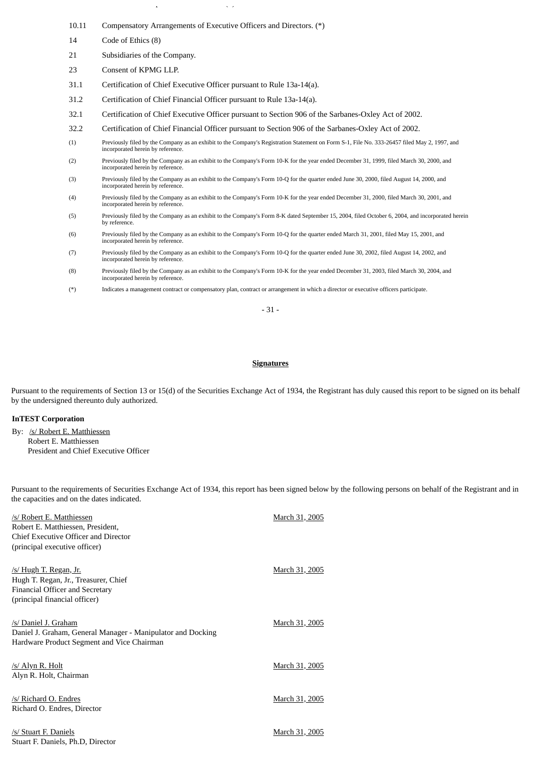10.11 Compensatory Arrangements of Executive Officers and Directors. (\*)

p ( ) and ( ) and ( ) and ( ) and ( ) and ( ) and ( ) and ( ) and ( ) and ( ) and ( ) and ( ) and ( ) and ( ) and ( ) and ( ) and ( ) and ( ) and ( ) and ( ) and ( ) and ( ) and ( ) and ( ) and ( ) and ( ) and ( ) and ( )

- 14 Code of Ethics (8)
- 21 Subsidiaries of the Company.
- 23 Consent of KPMG LLP.
- 31.1 Certification of Chief Executive Officer pursuant to Rule 13a-14(a).
- 31.2 Certification of Chief Financial Officer pursuant to Rule 13a-14(a).
- 32.1 Certification of Chief Executive Officer pursuant to Section 906 of the Sarbanes-Oxley Act of 2002.
- 32.2 Certification of Chief Financial Officer pursuant to Section 906 of the Sarbanes-Oxley Act of 2002.
- (1) Previously filed by the Company as an exhibit to the Company's Registration Statement on Form S-1, File No. 333-26457 filed May 2, 1997, and incorporated herein by reference.
- (2) Previously filed by the Company as an exhibit to the Company's Form 10-K for the year ended December 31, 1999, filed March 30, 2000, and incorporated herein by reference.
- (3) Previously filed by the Company as an exhibit to the Company's Form 10-Q for the quarter ended June 30, 2000, filed August 14, 2000, and incorporated herein by reference.
- (4) Previously filed by the Company as an exhibit to the Company's Form 10-K for the year ended December 31, 2000, filed March 30, 2001, and incorporated herein by reference.
- (5) Previously filed by the Company as an exhibit to the Company's Form 8-K dated September 15, 2004, filed October 6, 2004, and incorporated herein by reference.
- (6) Previously filed by the Company as an exhibit to the Company's Form 10-Q for the quarter ended March 31, 2001, filed May 15, 2001, and incorporated herein by reference.
- (7) Previously filed by the Company as an exhibit to the Company's Form 10-Q for the quarter ended June 30, 2002, filed August 14, 2002, and incorporated herein by reference.
- (8) Previously filed by the Company as an exhibit to the Company's Form 10-K for the year ended December 31, 2003, filed March 30, 2004, and incorporated herein by reference.
- (\*) Indicates a management contract or compensatory plan, contract or arrangement in which a director or executive officers participate.

- 31 -

#### **Signatures**

Pursuant to the requirements of Section 13 or 15(d) of the Securities Exchange Act of 1934, the Registrant has duly caused this report to be signed on its behalf by the undersigned thereunto duly authorized.

# **InTEST Corporation**

By: /s/ Robert E. Matthiessen Robert E. Matthiessen President and Chief Executive Officer

Pursuant to the requirements of Securities Exchange Act of 1934, this report has been signed below by the following persons on behalf of the Registrant and in the capacities and on the dates indicated.

| /s/ Robert E. Matthiessen<br>Robert E. Matthiessen, President,<br>Chief Executive Officer and Director<br>(principal executive officer)   | March 31, 2005 |
|-------------------------------------------------------------------------------------------------------------------------------------------|----------------|
| /s/ Hugh T. Regan, Jr.<br>Hugh T. Regan, Jr., Treasurer, Chief<br><b>Financial Officer and Secretary</b><br>(principal financial officer) | March 31, 2005 |
| /s/ Daniel J. Graham<br>Daniel J. Graham, General Manager - Manipulator and Docking<br>Hardware Product Segment and Vice Chairman         | March 31, 2005 |
| /s/ Alyn R. Holt<br>Alyn R. Holt, Chairman                                                                                                | March 31, 2005 |
| /s/ Richard O. Endres<br>Richard O. Endres, Director                                                                                      | March 31, 2005 |
| /s/ Stuart F. Daniels<br>Stuart F. Daniels, Ph.D, Director                                                                                | March 31, 2005 |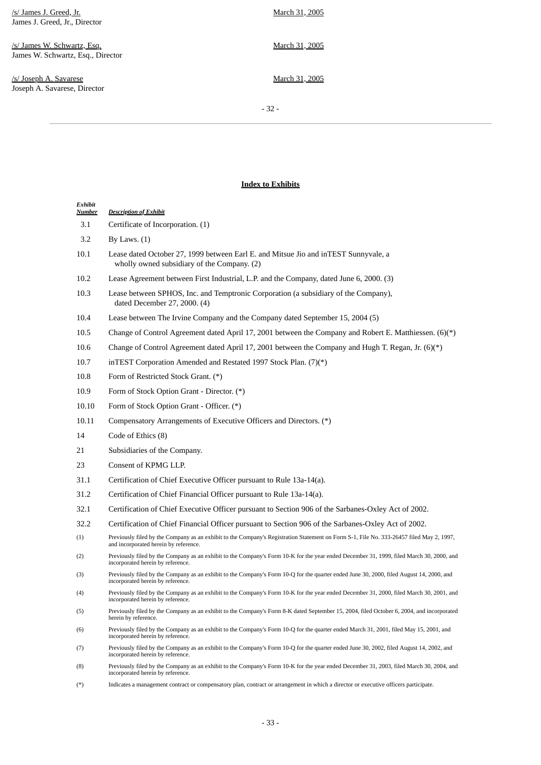/s/ James J. Greed, Jr. James J. Greed, Jr., Director

/s/ James W. Schwartz, Esq. James W. Schwartz, Esq., Director

/s/ Joseph A. Savarese Joseph A. Savarese, Director March 31, 2005

March 31, 2005

March 31, 2005

- 32 -

# **Index to Exhibits**

| Exhibit<br>Number | <b>Description of Exhibit</b>                                                                                                                                                     |
|-------------------|-----------------------------------------------------------------------------------------------------------------------------------------------------------------------------------|
| 3.1               | Certificate of Incorporation. (1)                                                                                                                                                 |
| 3.2               | By Laws. $(1)$                                                                                                                                                                    |
| 10.1              | Lease dated October 27, 1999 between Earl E. and Mitsue Jio and inTEST Sunnyvale, a<br>wholly owned subsidiary of the Company. (2)                                                |
| 10.2              | Lease Agreement between First Industrial, L.P. and the Company, dated June 6, 2000. (3)                                                                                           |
| 10.3              | Lease between SPHOS, Inc. and Temptronic Corporation (a subsidiary of the Company),<br>dated December 27, 2000. (4)                                                               |
| 10.4              | Lease between The Irvine Company and the Company dated September 15, 2004 (5)                                                                                                     |
| 10.5              | Change of Control Agreement dated April 17, 2001 between the Company and Robert E. Matthiessen. (6)(*)                                                                            |
| 10.6              | Change of Control Agreement dated April 17, 2001 between the Company and Hugh T. Regan, Jr. $(6)(*)$                                                                              |
| 10.7              | inTEST Corporation Amended and Restated 1997 Stock Plan. (7)(*)                                                                                                                   |
| 10.8              | Form of Restricted Stock Grant. (*)                                                                                                                                               |
| 10.9              | Form of Stock Option Grant - Director. (*)                                                                                                                                        |
| 10.10             | Form of Stock Option Grant - Officer. (*)                                                                                                                                         |
| 10.11             | Compensatory Arrangements of Executive Officers and Directors. (*)                                                                                                                |
| 14                | Code of Ethics (8)                                                                                                                                                                |
| 21                | Subsidiaries of the Company.                                                                                                                                                      |
| 23                | Consent of KPMG LLP.                                                                                                                                                              |
| 31.1              | Certification of Chief Executive Officer pursuant to Rule 13a-14(a).                                                                                                              |
| 31.2              | Certification of Chief Financial Officer pursuant to Rule 13a-14(a).                                                                                                              |
| 32.1              | Certification of Chief Executive Officer pursuant to Section 906 of the Sarbanes-Oxley Act of 2002.                                                                               |
| 32.2              | Certification of Chief Financial Officer pursuant to Section 906 of the Sarbanes-Oxley Act of 2002.                                                                               |
| (1)               | Previously filed by the Company as an exhibit to the Company's Registration Statement on Form S-1, File No. 333-26457 filed May 2, 1997,<br>and incorporated herein by reference. |
| (2)               | Previously filed by the Company as an exhibit to the Company's Form 10-K for the year ended December 31, 1999, filed March 30, 2000, and<br>incorporated herein by reference.     |
| (3)               | Previously filed by the Company as an exhibit to the Company's Form 10-Q for the quarter ended June 30, 2000, filed August 14, 2000, and<br>incorporated herein by reference.     |
| (4)               | Previously filed by the Company as an exhibit to the Company's Form 10-K for the year ended December 31, 2000, filed March 30, 2001, and<br>incorporated herein by reference.     |
| (5)               | Previously filed by the Company as an exhibit to the Company's Form 8-K dated September 15, 2004, filed October 6, 2004, and incorporated<br>herein by reference.                 |
| (6)               | Previously filed by the Company as an exhibit to the Company's Form 10-Q for the quarter ended March 31, 2001, filed May 15, 2001, and<br>incorporated herein by reference.       |
| (7)               | Previously filed by the Company as an exhibit to the Company's Form 10-Q for the quarter ended June 30, 2002, filed August 14, 2002, and<br>incorporated herein by reference.     |
| (8)               | Previously filed by the Company as an exhibit to the Company's Form 10-K for the year ended December 31, 2003, filed March 30, 2004, and<br>incorporated herein by reference.     |
|                   |                                                                                                                                                                                   |

(\*) Indicates a management contract or compensatory plan, contract or arrangement in which a director or executive officers participate.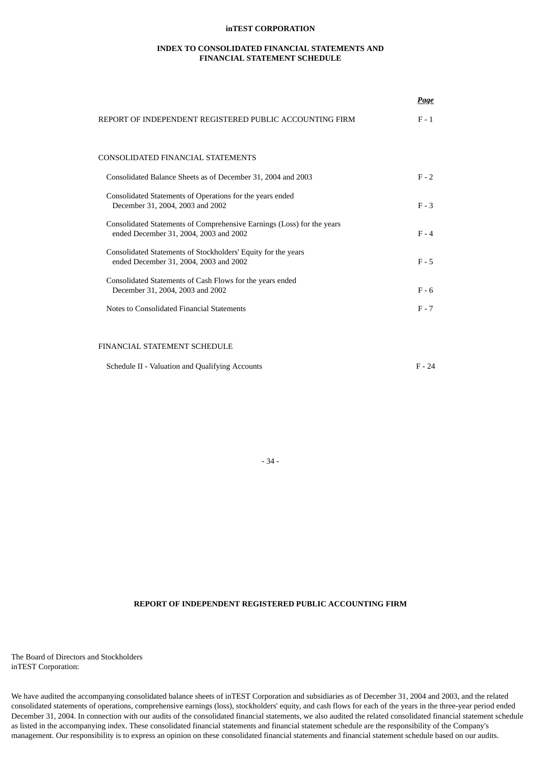## **inTEST CORPORATION**

## **INDEX TO CONSOLIDATED FINANCIAL STATEMENTS AND FINANCIAL STATEMENT SCHEDULE**

*Page*

|                                                                                                                  | <u>Luyc</u> |
|------------------------------------------------------------------------------------------------------------------|-------------|
| REPORT OF INDEPENDENT REGISTERED PUBLIC ACCOUNTING FIRM                                                          | $F - 1$     |
| CONSOLIDATED FINANCIAL STATEMENTS                                                                                |             |
| Consolidated Balance Sheets as of December 31, 2004 and 2003                                                     | $F - 2$     |
| Consolidated Statements of Operations for the years ended<br>December 31, 2004, 2003 and 2002                    | $F - 3$     |
| Consolidated Statements of Comprehensive Earnings (Loss) for the years<br>ended December 31, 2004, 2003 and 2002 | $F - 4$     |
| Consolidated Statements of Stockholders' Equity for the years<br>ended December 31, 2004, 2003 and 2002          | $F - 5$     |
| Consolidated Statements of Cash Flows for the years ended<br>December 31, 2004, 2003 and 2002                    | $F - 6$     |
| Notes to Consolidated Financial Statements                                                                       | $F - 7$     |
|                                                                                                                  |             |
|                                                                                                                  |             |

# FINANCIAL STATEMENT SCHEDULE

| Schedule II - Valuation and Qualifying Accounts | $F - 24$ |
|-------------------------------------------------|----------|
|-------------------------------------------------|----------|

- 34 -

# **REPORT OF INDEPENDENT REGISTERED PUBLIC ACCOUNTING FIRM**

The Board of Directors and Stockholders inTEST Corporation:

We have audited the accompanying consolidated balance sheets of inTEST Corporation and subsidiaries as of December 31, 2004 and 2003, and the related consolidated statements of operations, comprehensive earnings (loss), stockholders' equity, and cash flows for each of the years in the three-year period ended December 31, 2004. In connection with our audits of the consolidated financial statements, we also audited the related consolidated financial statement schedule as listed in the accompanying index. These consolidated financial statements and financial statement schedule are the responsibility of the Company's management. Our responsibility is to express an opinion on these consolidated financial statements and financial statement schedule based on our audits.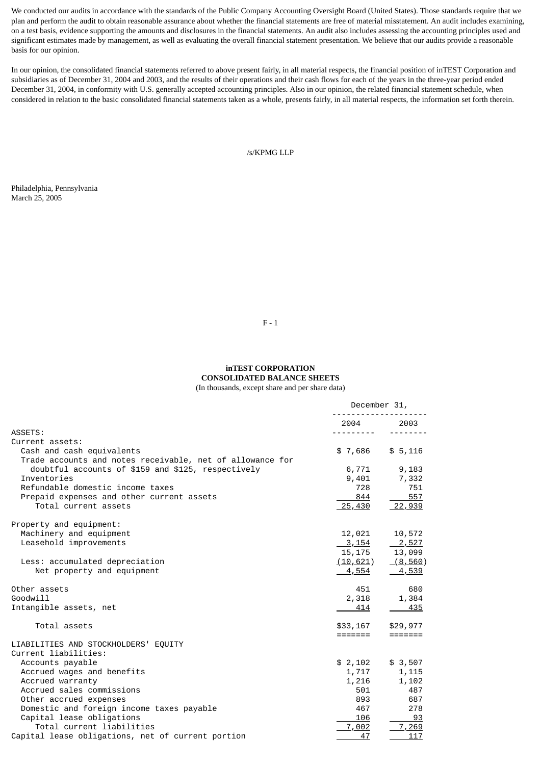We conducted our audits in accordance with the standards of the Public Company Accounting Oversight Board (United States). Those standards require that we plan and perform the audit to obtain reasonable assurance about whether the financial statements are free of material misstatement. An audit includes examining, on a test basis, evidence supporting the amounts and disclosures in the financial statements. An audit also includes assessing the accounting principles used and significant estimates made by management, as well as evaluating the overall financial statement presentation. We believe that our audits provide a reasonable basis for our opinion.

In our opinion, the consolidated financial statements referred to above present fairly, in all material respects, the financial position of inTEST Corporation and subsidiaries as of December 31, 2004 and 2003, and the results of their operations and their cash flows for each of the years in the three-year period ended December 31, 2004, in conformity with U.S. generally accepted accounting principles. Also in our opinion, the related financial statement schedule, when considered in relation to the basic consolidated financial statements taken as a whole, presents fairly, in all material respects, the information set forth therein.

/s/KPMG LLP

Philadelphia, Pennsylvania March 25, 2005

F - 1

# **inTEST CORPORATION CONSOLIDATED BALANCE SHEETS** (In thousands, except share and per share data)

|                                                                                                           | December 31,    |                         |  |
|-----------------------------------------------------------------------------------------------------------|-----------------|-------------------------|--|
|                                                                                                           | 2004            | 2003                    |  |
| ASSETS:                                                                                                   |                 |                         |  |
| Current assets:<br>Cash and cash equivalents<br>Trade accounts and notes receivable, net of allowance for | \$7,686         | \$5,116                 |  |
| doubtful accounts of \$159 and \$125, respectively                                                        | 6,771           | 9,183                   |  |
| Inventories                                                                                               | 9,401           | 7,332                   |  |
| Refundable domestic income taxes                                                                          | 728             | 751                     |  |
| Prepaid expenses and other current assets                                                                 | 844             | 557                     |  |
| Total current assets                                                                                      | <u>25,430</u>   | <u>22,939</u>           |  |
| Property and equipment:                                                                                   |                 |                         |  |
| Machinery and equipment                                                                                   | 12,021          | 10,572                  |  |
| Leasehold improvements                                                                                    | <u>3, 154</u>   | $\frac{2,527}{ }$       |  |
|                                                                                                           | 15,175          | 13,099                  |  |
| Less: accumulated depreciation                                                                            | <u>(10,621)</u> | (8, 560)                |  |
| Net property and equipment                                                                                | <u>4,554</u>    | <u>4,539</u>            |  |
| Other assets                                                                                              | 451             | 680                     |  |
| Goodwill                                                                                                  | 2,318           | 1,384                   |  |
| Intangible assets, net                                                                                    | 414             | 435                     |  |
| Total assets                                                                                              | \$33,167        | \$29,977                |  |
|                                                                                                           | =======         | $=$ $=$ $=$ $=$ $=$ $=$ |  |
| LIABILITIES AND STOCKHOLDERS' EQUITY<br>Current liabilities:                                              |                 |                         |  |
| Accounts payable                                                                                          | \$2,102         | \$3,507                 |  |
| Accrued wages and benefits                                                                                | 1,717           | 1,115                   |  |
| Accrued warranty                                                                                          | 1,216           | 1,102                   |  |
| Accrued sales commissions                                                                                 | 501             | 487                     |  |
| Other accrued expenses                                                                                    | 893             | 687                     |  |
| Domestic and foreign income taxes payable                                                                 | 467             | 278                     |  |
| Capital lease obligations                                                                                 | 106             | 93                      |  |
| Total current liabilities                                                                                 | 7,002           | 7,269                   |  |
| Capital lease obligations, net of current portion                                                         | 47              | 117                     |  |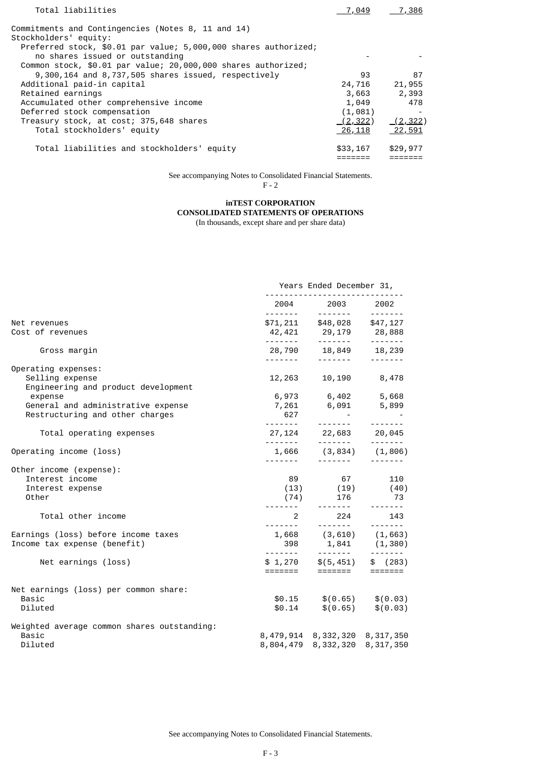| Total liabilities                                               | 7,049          | 7,386          |
|-----------------------------------------------------------------|----------------|----------------|
| Commitments and Contingencies (Notes 8, 11 and 14)              |                |                |
| Stockholders' equity:                                           |                |                |
| Preferred stock, \$0.01 par value; 5,000,000 shares authorized; |                |                |
| no shares issued or outstanding                                 |                |                |
| Common stock, \$0.01 par value; 20,000,000 shares authorized;   |                |                |
| 9,300,164 and 8,737,505 shares issued, respectively             | 93             | 87             |
| Additional paid-in capital                                      | 24,716         | 21,955         |
| Retained earnings                                               | 3,663          | 2,393          |
| Accumulated other comprehensive income                          | 1,049          | 478            |
| Deferred stock compensation                                     | (1,081)        |                |
| Treasury stock, at cost; 375,648 shares                         | (2, 322)       | <u>(2,322)</u> |
| Total stockholders' equity                                      | <u> 26,118</u> | <u>22,591</u>  |
| Total liabilities and stockholders' equity                      | \$33,167       | \$29,977       |

See accompanying Notes to Consolidated Financial Statements.

F - 2

# **inTEST CORPORATION**

**CONSOLIDATED STATEMENTS OF OPERATIONS**

(In thousands, except share and per share data)

|                                                                                                                                | Years Ended December 31, |                                                                                                                                                                   |                                 |  |
|--------------------------------------------------------------------------------------------------------------------------------|--------------------------|-------------------------------------------------------------------------------------------------------------------------------------------------------------------|---------------------------------|--|
|                                                                                                                                |                          | 2004 2003 2002                                                                                                                                                    |                                 |  |
| Net revenues<br>Cost of revenues                                                                                               |                          | $$71,211$ $$48,028$ $$47,127$<br>$42,421$ $29,179$ $28,888$<br>------- ------- -------                                                                            |                                 |  |
| Gross margin                                                                                                                   |                          | $28,790$ $18,849$ $18,239$<br>------- ------- ------                                                                                                              |                                 |  |
| Operating expenses:<br>Selling expense<br>Engineering and product development<br>expense<br>General and administrative expense | 12,263                   | 6,973 6,402 5,668<br>7,261 6,091 5,899                                                                                                                            | 10,190 8,478                    |  |
| Restructuring and other charges<br>Total operating expenses                                                                    | 627                      | $27,124$ $22,683$ $20,045$<br>------- ------- -------                                                                                                             |                                 |  |
| Operating income (loss)                                                                                                        |                          | $1,666$ $(3,834)$ $(1,806)$                                                                                                                                       |                                 |  |
| Other income (expense):<br>Interest income<br>Interest expense<br>Other                                                        | 89<br>--------           | $(13)$ $(19)$ $(40)$<br>$(74)$ 176                                                                                                                                | 67 110<br>73<br>$- - - - - - -$ |  |
| Total other income                                                                                                             | $\overline{2}$           | <u> 1111111 - 1111111 - 1111111</u>                                                                                                                               | 224<br>143                      |  |
| Earnings (loss) before income taxes<br>Income tax expense (benefit)                                                            |                          | $1,668$ $(3,610)$ $(1,663)$                                                                                                                                       |                                 |  |
| Net earnings (loss)                                                                                                            |                          | $398$ 1, 841 (1, 380)<br>$398$ 1, 841 (1, 380)<br>$$1, 270$ $$(5, 451)$ $$(283)$<br>$300$<br>$300$ $$(283)$<br>$300$<br>$300$ $$(283)$<br>$300$<br>$300$ $$(283)$ |                                 |  |
| Net earnings (loss) per common share:<br>Basic<br>Diluted                                                                      |                          | $$0.15$ $$(0.65)$ $$(0.03)$<br>$$0.14$ $$(0.65)$ $$(0.03)$                                                                                                        |                                 |  |
| Weighted average common shares outstanding:<br>Basic<br>Diluted                                                                |                          | 8, 479, 914 8, 332, 320 8, 317, 350<br>8,804,479 8,332,320 8,317,350                                                                                              |                                 |  |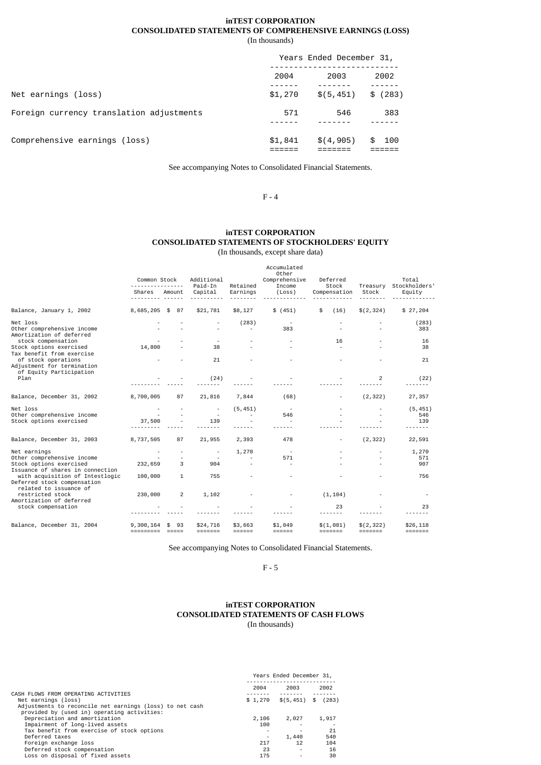# **inTEST CORPORATION CONSOLIDATED STATEMENTS OF COMPREHENSIVE EARNINGS (LOSS)**

(In thousands)

|                                          | Years Ended December 31, |            |             |  |
|------------------------------------------|--------------------------|------------|-------------|--|
|                                          | 2004                     | 2003       | 2002        |  |
| Net earnings (loss)                      | \$1,270                  | \$(5, 451) | (283)<br>\$ |  |
| Foreign currency translation adjustments | 571                      | 546        | 383         |  |
| Comprehensive earnings (loss)            | \$1,841                  | \$(4, 905) | 100<br>æ.   |  |

See accompanying Notes to Consolidated Financial Statements.

F - 4

# **inTEST CORPORATION CONSOLIDATED STATEMENTS OF STOCKHOLDERS' EQUITY** (In thousands, except share data)

|                                                                                                           | Common Stock                 |                                 | Additional<br>Paid-In           | Retained          | Accumulated<br>Other<br>Comprehensive<br>Income | Deferred<br>Stock        | Treasury              | Total<br>Stockholders'                |
|-----------------------------------------------------------------------------------------------------------|------------------------------|---------------------------------|---------------------------------|-------------------|-------------------------------------------------|--------------------------|-----------------------|---------------------------------------|
|                                                                                                           | Shares                       | Amount                          | Capital                         | Earnings          | (Loss)                                          | Compensation             | Stock                 | Equity                                |
| Balance, January 1, 2002                                                                                  | 8,685,205 \$ 87              |                                 | \$21,781                        | \$8,127           | \$ (451)                                        | \$<br>(16)               | \$(2,324)             | \$27,204                              |
| Net loss<br>Other comprehensive income<br>Amortization of deferred                                        |                              |                                 |                                 | (283)             | 383                                             |                          |                       | (283)<br>383                          |
| stock compensation<br>Stock options exercised<br>Tax benefit from exercise                                | 14,800                       |                                 | 38                              |                   |                                                 | 16                       |                       | 16<br>38                              |
| of stock operations<br>Adjustment for termination<br>of Equity Participation                              |                              |                                 | 21                              |                   |                                                 |                          |                       | 21                                    |
| Plan                                                                                                      |                              |                                 | (24)                            |                   |                                                 |                          | $\overline{2}$        | (22)                                  |
| Balance, December 31, 2002                                                                                | 8,700,005                    | 87                              | 21,816                          | 7,844             | (68)                                            | $\overline{\phantom{a}}$ | (2, 322)              | 27,357                                |
| Net loss<br>Other comprehensive income<br>Stock options exercised                                         | 37,500                       |                                 | $\overline{\phantom{a}}$<br>139 | (5, 451)          | 546                                             |                          |                       | (5, 451)<br>546<br>139<br>$- - - - -$ |
| Balance, December 31, 2003                                                                                | 8,737,505                    | 87                              | 21,955                          | 2,393             | 478                                             | $\overline{\phantom{a}}$ | (2, 322)              | 22,591                                |
| Net earnings<br>Other comprehensive income<br>Stock options exercised<br>Issuance of shares in connection | 232,659                      | 3                               | $\overline{\phantom{a}}$<br>904 | 1,270             | 571                                             |                          |                       | 1,270<br>571<br>907                   |
| with acquisition of Intestlogic<br>Deferred stock compensation<br>related to issuance of                  | 100,000                      | $\mathbf{1}$                    | 755                             |                   |                                                 |                          |                       | 756                                   |
| restricted stock<br>Amortization of deferred                                                              | 230,000                      | $\overline{2}$                  | 1,102                           |                   |                                                 | (1, 104)                 |                       |                                       |
| stock compensation                                                                                        |                              |                                 |                                 |                   |                                                 | 23<br>-----              |                       | 23                                    |
| Balance, December 31, 2004                                                                                | 9,300,164<br><b>EEEEEEEE</b> | 93<br>\$<br>$=$ $=$ $=$ $=$ $=$ | \$24,716<br>=======             | \$3,663<br>====== | \$1,049<br><b>EEEEEE</b>                        | \$(1,081)<br>=======     | \$(2, 322)<br>======= | \$26,118<br>=======                   |

See accompanying Notes to Consolidated Financial Statements.

F - 5

# **inTEST CORPORATION CONSOLIDATED STATEMENTS OF CASH FLOWS** (In thousands)

|                                                          | Years Ended December 31, |                               |       |  |
|----------------------------------------------------------|--------------------------|-------------------------------|-------|--|
|                                                          | 2004                     | 2003                          | 2002  |  |
| CASH FLOWS FROM OPERATING ACTIVITIES                     |                          |                               |       |  |
| Net earnings (loss)                                      | \$1,270                  | $\frac{1}{2}(5,451)$ \$ (283) |       |  |
| Adjustments to reconcile net earnings (loss) to net cash |                          |                               |       |  |
| provided by (used in) operating activities:              |                          |                               |       |  |
| Depreciation and amortization                            | 2,106                    | 2,027                         | 1,917 |  |
| Impairment of long-lived assets                          | 100                      |                               |       |  |
| Tax benefit from exercise of stock options               |                          |                               | 21    |  |
| Deferred taxes                                           |                          | 1,440                         | 540   |  |
| Foreign exchange loss                                    | 217                      | 12                            | 104   |  |
| Deferred stock compensation                              | 23                       |                               | 16    |  |
| Loss on disposal of fixed assets                         | 175                      |                               | 30    |  |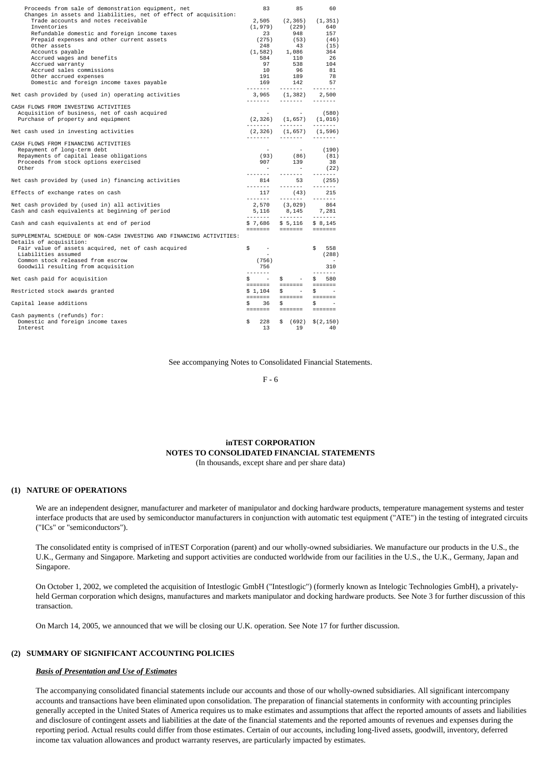| Proceeds from sale of demonstration equipment, net                                                                                                                                                                                                                                                                                                                                                            | 83                                                               | 85                                                                                                                            | 60                                                                                                                                                                                                                                                                                                                                                                                                                                                                                                  |
|---------------------------------------------------------------------------------------------------------------------------------------------------------------------------------------------------------------------------------------------------------------------------------------------------------------------------------------------------------------------------------------------------------------|------------------------------------------------------------------|-------------------------------------------------------------------------------------------------------------------------------|-----------------------------------------------------------------------------------------------------------------------------------------------------------------------------------------------------------------------------------------------------------------------------------------------------------------------------------------------------------------------------------------------------------------------------------------------------------------------------------------------------|
| Changes in assets and liabilities, net of effect of acquisition:<br>Trade accounts and notes receivable<br>Inventories<br>Refundable domestic and foreign income taxes<br>Prepaid expenses and other current assets<br>Other assets<br>Accounts payable<br>Accrued wages and benefits<br>Accrued warranty<br>Accrued sales commissions<br>Other accrued expenses<br>Domestic and foreign income taxes payable | 2,505<br>(1,979)<br>23<br>(275)<br>248<br>584<br>97<br>10<br>169 | (2, 365)<br>(229)<br>948<br>(53)<br>43<br>$(1, 582)$ 1,086<br>110<br>538<br>96<br>191 189<br>142                              | (1, 351)<br>640<br>157<br>(46)<br>(15)<br>364<br>- 26<br>104<br>- 81<br>78<br>57<br>-------                                                                                                                                                                                                                                                                                                                                                                                                         |
| Net cash provided by (used in) operating activities                                                                                                                                                                                                                                                                                                                                                           | <u> 222222 - 1</u>                                               | 3,965 (1,382) 2,500                                                                                                           |                                                                                                                                                                                                                                                                                                                                                                                                                                                                                                     |
| CASH FLOWS FROM INVESTING ACTIVITIES<br>Acquisition of business, net of cash acquired<br>Purchase of property and equipment                                                                                                                                                                                                                                                                                   |                                                                  | $(2,326)$ $(1,657)$ $(1,016)$                                                                                                 | $\begin{array}{cccccccccccccc} \multicolumn{2}{c}{} & \multicolumn{2}{c}{} & \multicolumn{2}{c}{} & \multicolumn{2}{c}{} & \multicolumn{2}{c}{} & \multicolumn{2}{c}{} & \multicolumn{2}{c}{} & \multicolumn{2}{c}{} & \multicolumn{2}{c}{} & \multicolumn{2}{c}{} & \multicolumn{2}{c}{} & \multicolumn{2}{c}{} & \multicolumn{2}{c}{} & \multicolumn{2}{c}{} & \multicolumn{2}{c}{} & \multicolumn{2}{c}{} & \multicolumn{2}{c}{} & \multicolumn{2}{c}{} & \multicolumn{2}{c}{} & \$              |
| Net cash used in investing activities                                                                                                                                                                                                                                                                                                                                                                         |                                                                  | $(2,326)$ $(1,657)$                                                                                                           | (1, 596)                                                                                                                                                                                                                                                                                                                                                                                                                                                                                            |
| CASH FLOWS FROM FINANCING ACTIVITIES<br>Repayment of long-term debt<br>Repayments of capital lease obligations<br>Proceeds from stock options exercised<br>Other                                                                                                                                                                                                                                              | 907                                                              | $\begin{array}{cccc} - & & - & (190) \\ (93) & & (86) & & (81) \end{array}$<br>139<br>$\sim 100$<br><u> 2222222 - 2222222</u> | 38<br>(22)                                                                                                                                                                                                                                                                                                                                                                                                                                                                                          |
| Net cash provided by (used in) financing activities                                                                                                                                                                                                                                                                                                                                                           |                                                                  | 814 53                                                                                                                        | (255)                                                                                                                                                                                                                                                                                                                                                                                                                                                                                               |
| Effects of exchange rates on cash                                                                                                                                                                                                                                                                                                                                                                             |                                                                  | $117$ $(43)$ $215$                                                                                                            |                                                                                                                                                                                                                                                                                                                                                                                                                                                                                                     |
| Net cash provided by (used in) all activities<br>Cash and cash equivalents at beginning of period                                                                                                                                                                                                                                                                                                             |                                                                  | 2,570 (3,029) 864<br>$5,116$ $8,145$ 7, 281                                                                                   |                                                                                                                                                                                                                                                                                                                                                                                                                                                                                                     |
| Cash and cash equivalents at end of period                                                                                                                                                                                                                                                                                                                                                                    |                                                                  | $$7,686$ $$5,116$ $$8,145$                                                                                                    |                                                                                                                                                                                                                                                                                                                                                                                                                                                                                                     |
| SUPPLEMENTAL SCHEDULE OF NON-CASH INVESTING AND FINANCING ACTIVITIES:<br>Details of acquisition:<br>Fair value of assets acquired, net of cash acquired<br>Liabilities assumed<br>Common stock released from escrow<br>Goodwill resulting from acquisition                                                                                                                                                    | \$<br>$\sim 100$<br>(756)<br>756                                 |                                                                                                                               | \$558<br>(288)<br>310                                                                                                                                                                                                                                                                                                                                                                                                                                                                               |
| Net cash paid for acquisition                                                                                                                                                                                                                                                                                                                                                                                 | <b></b><br>$\frac{1}{2}$ $\frac{1}{2}$                           | $\frac{1}{2}$<br><b>Contract Contract</b>                                                                                     | $\begin{array}{cccccccccccccc} \multicolumn{2}{c}{} & \multicolumn{2}{c}{} & \multicolumn{2}{c}{} & \multicolumn{2}{c}{} & \multicolumn{2}{c}{} & \multicolumn{2}{c}{} & \multicolumn{2}{c}{} & \multicolumn{2}{c}{} & \multicolumn{2}{c}{} & \multicolumn{2}{c}{} & \multicolumn{2}{c}{} & \multicolumn{2}{c}{} & \multicolumn{2}{c}{} & \multicolumn{2}{c}{} & \multicolumn{2}{c}{} & \multicolumn{2}{c}{} & \multicolumn{2}{c}{} & \multicolumn{2}{c}{} & \multicolumn{2}{c}{} & \$<br>\$<br>580 |
| Restricted stock awards granted                                                                                                                                                                                                                                                                                                                                                                               | \$1,104                                                          | \$<br><b>Contract Contract</b>                                                                                                | \$                                                                                                                                                                                                                                                                                                                                                                                                                                                                                                  |
| Capital lease additions                                                                                                                                                                                                                                                                                                                                                                                       | \$<br>36                                                         | \$                                                                                                                            | \$                                                                                                                                                                                                                                                                                                                                                                                                                                                                                                  |
| Cash payments (refunds) for:<br>Domestic and foreign income taxes<br>Interest                                                                                                                                                                                                                                                                                                                                 | \$<br>228<br>13                                                  | \$ (692) \$ (2,150)<br>19                                                                                                     | 40                                                                                                                                                                                                                                                                                                                                                                                                                                                                                                  |
|                                                                                                                                                                                                                                                                                                                                                                                                               |                                                                  |                                                                                                                               |                                                                                                                                                                                                                                                                                                                                                                                                                                                                                                     |

See accompanying Notes to Consolidated Financial Statements.

F - 6

# **inTEST CORPORATION NOTES TO CONSOLIDATED FINANCIAL STATEMENTS**

(In thousands, except share and per share data)

#### **(1) NATURE OF OPERATIONS**

We are an independent designer, manufacturer and marketer of manipulator and docking hardware products, temperature management systems and tester interface products that are used by semiconductor manufacturers in conjunction with automatic test equipment ("ATE") in the testing of integrated circuits ("ICs" or "semiconductors").

The consolidated entity is comprised of inTEST Corporation (parent) and our wholly-owned subsidiaries. We manufacture our products in the U.S., the U.K., Germany and Singapore. Marketing and support activities are conducted worldwide from our facilities in the U.S., the U.K., Germany, Japan and Singapore.

On October 1, 2002, we completed the acquisition of Intestlogic GmbH ("Intestlogic") (formerly known as Intelogic Technologies GmbH), a privatelyheld German corporation which designs, manufactures and markets manipulator and docking hardware products. See Note 3 for further discussion of this transaction.

On March 14, 2005, we announced that we will be closing our U.K. operation. See Note 17 for further discussion.

# **(2) SUMMARY OF SIGNIFICANT ACCOUNTING POLICIES**

# *Basis of Presentation and Use of Estimates*

The accompanying consolidated financial statements include our accounts and those of our wholly-owned subsidiaries. All significant intercompany accounts and transactions have been eliminated upon consolidation. The preparation of financial statements in conformity with accounting principles generally accepted in the United States of America requires us to make estimates and assumptions that affect the reported amounts of assets and liabilities and disclosure of contingent assets and liabilities at the date of the financial statements and the reported amounts of revenues and expenses during the reporting period. Actual results could differ from those estimates. Certain of our accounts, including long-lived assets, goodwill, inventory, deferred income tax valuation allowances and product warranty reserves, are particularly impacted by estimates.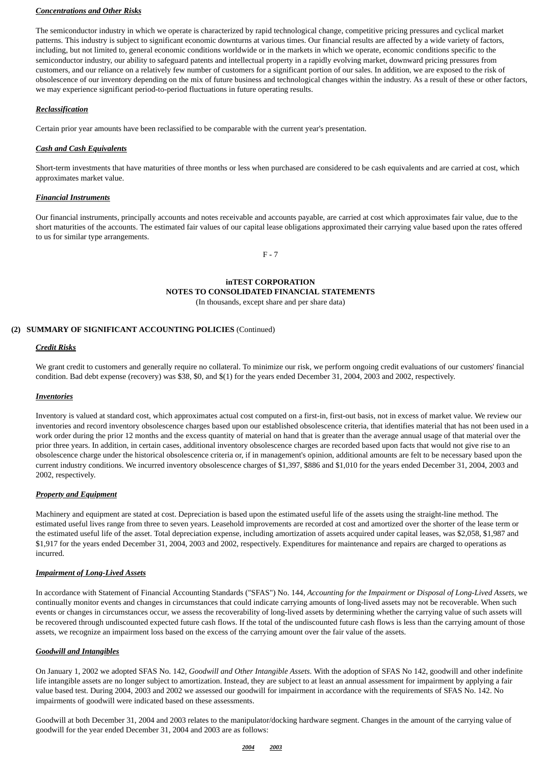# *Concentrations and Other Risks*

The semiconductor industry in which we operate is characterized by rapid technological change, competitive pricing pressures and cyclical market patterns. This industry is subject to significant economic downturns at various times. Our financial results are affected by a wide variety of factors, including, but not limited to, general economic conditions worldwide or in the markets in which we operate, economic conditions specific to the semiconductor industry, our ability to safeguard patents and intellectual property in a rapidly evolving market, downward pricing pressures from customers, and our reliance on a relatively few number of customers for a significant portion of our sales. In addition, we are exposed to the risk of obsolescence of our inventory depending on the mix of future business and technological changes within the industry. As a result of these or other factors, we may experience significant period-to-period fluctuations in future operating results.

# *Reclassification*

Certain prior year amounts have been reclassified to be comparable with the current year's presentation.

# *Cash and Cash Equivalents*

Short-term investments that have maturities of three months or less when purchased are considered to be cash equivalents and are carried at cost, which approximates market value.

#### *Financial Instruments*

Our financial instruments, principally accounts and notes receivable and accounts payable, are carried at cost which approximates fair value, due to the short maturities of the accounts. The estimated fair values of our capital lease obligations approximated their carrying value based upon the rates offered to us for similar type arrangements.

F - 7

# **inTEST CORPORATION NOTES TO CONSOLIDATED FINANCIAL STATEMENTS** (In thousands, except share and per share data)

# **(2) SUMMARY OF SIGNIFICANT ACCOUNTING POLICIES** (Continued)

#### *Credit Risks*

We grant credit to customers and generally require no collateral. To minimize our risk, we perform ongoing credit evaluations of our customers' financial condition. Bad debt expense (recovery) was \$38, \$0, and \$(1) for the years ended December 31, 2004, 2003 and 2002, respectively.

#### *Inventories*

Inventory is valued at standard cost, which approximates actual cost computed on a first-in, first-out basis, not in excess of market value. We review our inventories and record inventory obsolescence charges based upon our established obsolescence criteria, that identifies material that has not been used in a work order during the prior 12 months and the excess quantity of material on hand that is greater than the average annual usage of that material over the prior three years. In addition, in certain cases, additional inventory obsolescence charges are recorded based upon facts that would not give rise to an obsolescence charge under the historical obsolescence criteria or, if in management's opinion, additional amounts are felt to be necessary based upon the current industry conditions. We incurred inventory obsolescence charges of \$1,397, \$886 and \$1,010 for the years ended December 31, 2004, 2003 and 2002, respectively.

# *Property and Equipment*

Machinery and equipment are stated at cost. Depreciation is based upon the estimated useful life of the assets using the straight-line method. The estimated useful lives range from three to seven years. Leasehold improvements are recorded at cost and amortized over the shorter of the lease term or the estimated useful life of the asset. Total depreciation expense, including amortization of assets acquired under capital leases, was \$2,058, \$1,987 and \$1,917 for the years ended December 31, 2004, 2003 and 2002, respectively. Expenditures for maintenance and repairs are charged to operations as incurred.

# *Impairment of Long-Lived Assets*

In accordance with Statement of Financial Accounting Standards ("SFAS") No. 144, *Accounting for the Impairment or Disposal of Long-Lived Assets,* we continually monitor events and changes in circumstances that could indicate carrying amounts of long-lived assets may not be recoverable. When such events or changes in circumstances occur, we assess the recoverability of long-lived assets by determining whether the carrying value of such assets will be recovered through undiscounted expected future cash flows. If the total of the undiscounted future cash flows is less than the carrying amount of those assets, we recognize an impairment loss based on the excess of the carrying amount over the fair value of the assets.

#### *Goodwill and Intangibles*

On January 1, 2002 we adopted SFAS No. 142, *Goodwill and Other Intangible Assets*. With the adoption of SFAS No 142, goodwill and other indefinite life intangible assets are no longer subject to amortization. Instead, they are subject to at least an annual assessment for impairment by applying a fair value based test. During 2004, 2003 and 2002 we assessed our goodwill for impairment in accordance with the requirements of SFAS No. 142. No impairments of goodwill were indicated based on these assessments.

Goodwill at both December 31, 2004 and 2003 relates to the manipulator/docking hardware segment. Changes in the amount of the carrying value of goodwill for the year ended December 31, 2004 and 2003 are as follows:

#### *2004 2003*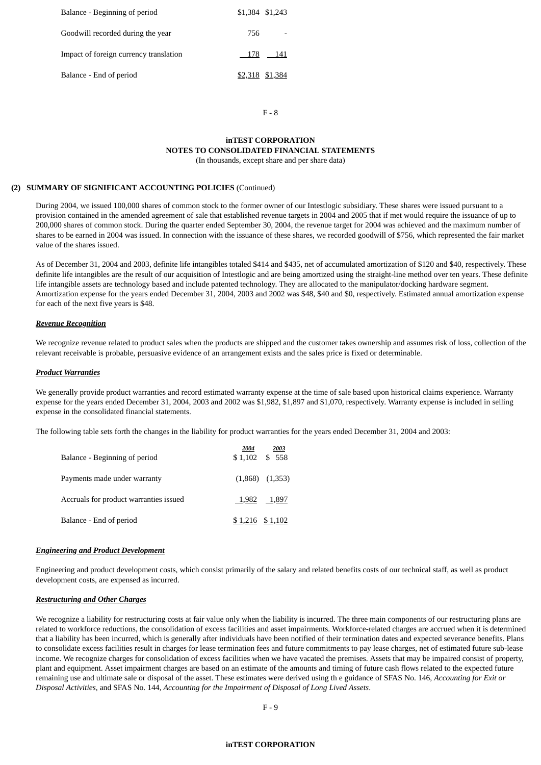| Balance - Beginning of period          | \$1,384 \$1,243 |         |
|----------------------------------------|-----------------|---------|
| Goodwill recorded during the year      | 756             |         |
| Impact of foreign currency translation |                 | 178 141 |
| Balance - End of period                | \$2,318 \$1,384 |         |

F - 8

## **inTEST CORPORATION NOTES TO CONSOLIDATED FINANCIAL STATEMENTS** (In thousands, except share and per share data)

# **(2) SUMMARY OF SIGNIFICANT ACCOUNTING POLICIES** (Continued)

During 2004, we issued 100,000 shares of common stock to the former owner of our Intestlogic subsidiary. These shares were issued pursuant to a provision contained in the amended agreement of sale that established revenue targets in 2004 and 2005 that if met would require the issuance of up to 200,000 shares of common stock. During the quarter ended September 30, 2004, the revenue target for 2004 was achieved and the maximum number of shares to be earned in 2004 was issued. In connection with the issuance of these shares, we recorded goodwill of \$756, which represented the fair market value of the shares issued.

As of December 31, 2004 and 2003, definite life intangibles totaled \$414 and \$435, net of accumulated amortization of \$120 and \$40, respectively. These definite life intangibles are the result of our acquisition of Intestlogic and are being amortized using the straight-line method over ten years. These definite life intangible assets are technology based and include patented technology. They are allocated to the manipulator/docking hardware segment. Amortization expense for the years ended December 31, 2004, 2003 and 2002 was \$48, \$40 and \$0, respectively. Estimated annual amortization expense for each of the next five years is \$48.

# *Revenue Recognition*

We recognize revenue related to product sales when the products are shipped and the customer takes ownership and assumes risk of loss, collection of the relevant receivable is probable, persuasive evidence of an arrangement exists and the sales price is fixed or determinable.

# *Product Warranties*

We generally provide product warranties and record estimated warranty expense at the time of sale based upon historical claims experience. Warranty expense for the years ended December 31, 2004, 2003 and 2002 was \$1,982, \$1,897 and \$1,070, respectively. Warranty expense is included in selling expense in the consolidated financial statements.

The following table sets forth the changes in the liability for product warranties for the years ended December 31, 2004 and 2003:

| Balance - Beginning of period          | 2004<br>\$1,102 \$558 | 2003                |
|----------------------------------------|-----------------------|---------------------|
| Payments made under warranty           |                       | $(1,868)$ $(1,353)$ |
| Accruals for product warranties issued |                       | 1,982 1,897         |
| Balance - End of period                |                       | $$1,216$ $$1,102$   |

# *Engineering and Product Development*

Engineering and product development costs, which consist primarily of the salary and related benefits costs of our technical staff, as well as product development costs, are expensed as incurred.

# *Restructuring and Other Charges*

We recognize a liability for restructuring costs at fair value only when the liability is incurred. The three main components of our restructuring plans are related to workforce reductions, the consolidation of excess facilities and asset impairments. Workforce-related charges are accrued when it is determined that a liability has been incurred, which is generally after individuals have been notified of their termination dates and expected severance benefits. Plans to consolidate excess facilities result in charges for lease termination fees and future commitments to pay lease charges, net of estimated future sub-lease income. We recognize charges for consolidation of excess facilities when we have vacated the premises. Assets that may be impaired consist of property, plant and equipment. Asset impairment charges are based on an estimate of the amounts and timing of future cash flows related to the expected future remaining use and ultimate sale or disposal of the asset. These estimates were derived using th e guidance of SFAS No. 146, *Accounting for Exit or Disposal Activities,* and SFAS No. 144, *Accounting for the Impairment of Disposal of Long Lived Assets*.

## **inTEST CORPORATION**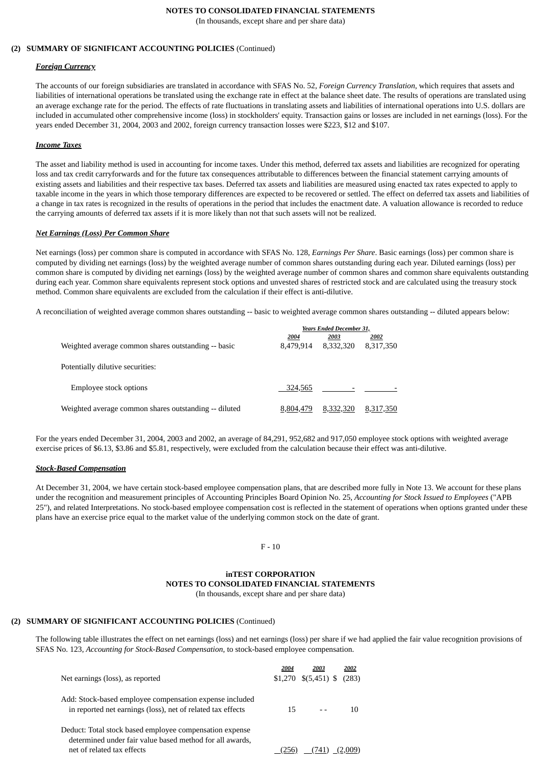# **NOTES TO CONSOLIDATED FINANCIAL STATEMENTS**

(In thousands, except share and per share data)

# **(2) SUMMARY OF SIGNIFICANT ACCOUNTING POLICIES** (Continued)

# *Foreign Currency*

The accounts of our foreign subsidiaries are translated in accordance with SFAS No. 52, *Foreign Currency Translation*, which requires that assets and liabilities of international operations be translated using the exchange rate in effect at the balance sheet date. The results of operations are translated using an average exchange rate for the period. The effects of rate fluctuations in translating assets and liabilities of international operations into U.S. dollars are included in accumulated other comprehensive income (loss) in stockholders' equity. Transaction gains or losses are included in net earnings (loss). For the years ended December 31, 2004, 2003 and 2002, foreign currency transaction losses were \$223, \$12 and \$107.

# *Income Taxes*

The asset and liability method is used in accounting for income taxes. Under this method, deferred tax assets and liabilities are recognized for operating loss and tax credit carryforwards and for the future tax consequences attributable to differences between the financial statement carrying amounts of existing assets and liabilities and their respective tax bases. Deferred tax assets and liabilities are measured using enacted tax rates expected to apply to taxable income in the years in which those temporary differences are expected to be recovered or settled. The effect on deferred tax assets and liabilities of a change in tax rates is recognized in the results of operations in the period that includes the enactment date. A valuation allowance is recorded to reduce the carrying amounts of deferred tax assets if it is more likely than not that such assets will not be realized.

#### *Net Earnings (Loss) Per Common Share*

Net earnings (loss) per common share is computed in accordance with SFAS No. 128, *Earnings Per Share*. Basic earnings (loss) per common share is computed by dividing net earnings (loss) by the weighted average number of common shares outstanding during each year. Diluted earnings (loss) per common share is computed by dividing net earnings (loss) by the weighted average number of common shares and common share equivalents outstanding during each year. Common share equivalents represent stock options and unvested shares of restricted stock and are calculated using the treasury stock method. Common share equivalents are excluded from the calculation if their effect is anti-dilutive.

A reconciliation of weighted average common shares outstanding -- basic to weighted average common shares outstanding -- diluted appears below:

|                                                       | <b>Years Ended December 31,</b> |           |           |
|-------------------------------------------------------|---------------------------------|-----------|-----------|
|                                                       | 2004                            | 2003      | 2002      |
| Weighted average common shares outstanding -- basic   | 8,479,914                       | 8,332,320 | 8,317,350 |
| Potentially dilutive securities:                      |                                 |           |           |
| Employee stock options                                | 324,565                         |           |           |
| Weighted average common shares outstanding -- diluted | 8.804.479                       | 8,332,320 | 8,317,350 |

For the years ended December 31, 2004, 2003 and 2002, an average of 84,291, 952,682 and 917,050 employee stock options with weighted average exercise prices of \$6.13, \$3.86 and \$5.81, respectively, were excluded from the calculation because their effect was anti-dilutive.

# *Stock-Based Compensation*

At December 31, 2004, we have certain stock-based employee compensation plans, that are described more fully in Note 13. We account for these plans under the recognition and measurement principles of Accounting Principles Board Opinion No. 25, *Accounting for Stock Issued to Employees* ("APB 25"), and related Interpretations. No stock-based employee compensation cost is reflected in the statement of operations when options granted under these plans have an exercise price equal to the market value of the underlying common stock on the date of grant.

 $F - 10$ 

# **inTEST CORPORATION NOTES TO CONSOLIDATED FINANCIAL STATEMENTS**

(In thousands, except share and per share data)

# **(2) SUMMARY OF SIGNIFICANT ACCOUNTING POLICIES** (Continued)

The following table illustrates the effect on net earnings (loss) and net earnings (loss) per share if we had applied the fair value recognition provisions of SFAS No. 123, *Accounting for Stock-Based Compensation,* to stock-based employee compensation.

| Net earnings (loss), as reported                                                                                                                  | 2004 | 2003<br>$$1,270$ $$(5,451)$ \$ (283) | 2002 |
|---------------------------------------------------------------------------------------------------------------------------------------------------|------|--------------------------------------|------|
| Add: Stock-based employee compensation expense included<br>in reported net earnings (loss), net of related tax effects                            | 15   |                                      | 10   |
| Deduct: Total stock based employee compensation expense<br>determined under fair value based method for all awards,<br>net of related tax effects |      | (741                                 |      |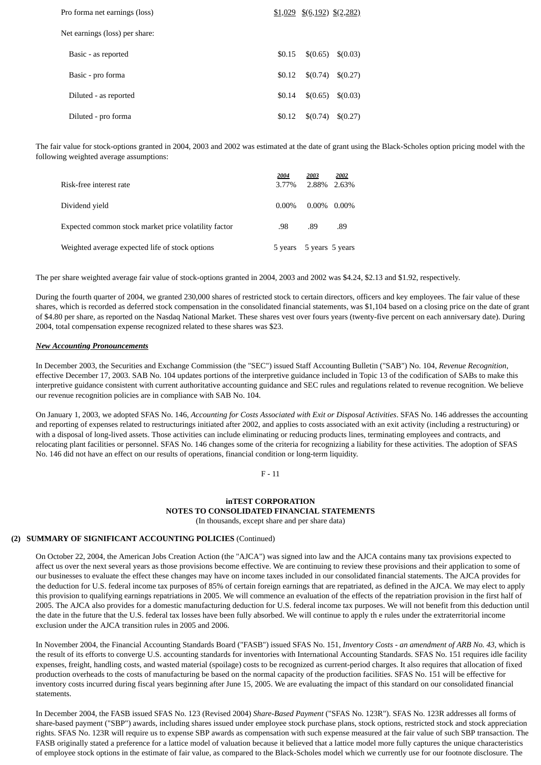| Pro forma net earnings (loss)  |        | $$1,029$ $$(6,192)$ $$(2,282)$ |                             |
|--------------------------------|--------|--------------------------------|-----------------------------|
| Net earnings (loss) per share: |        |                                |                             |
| Basic - as reported            | \$0.15 |                                | $\{(0.65) \quad \{(0.03)\}$ |
| Basic - pro forma              | \$0.12 |                                | $$(0.74) \$(0.27)$          |
| Diluted - as reported          | \$0.14 |                                | $$(0.65) \quad $(0.03)$     |
| Diluted - pro forma            | \$0.12 |                                | $\{(0.74) \quad \{(0.27)\}$ |

The fair value for stock-options granted in 2004, 2003 and 2002 was estimated at the date of grant using the Black-Scholes option pricing model with the following weighted average assumptions:

| Risk-free interest rate                              | 2004<br>3.77% | 2003<br>2.88% 2.63% | 2002 |
|------------------------------------------------------|---------------|---------------------|------|
| Dividend vield                                       | $0.00\%$      | $0.00\%$ 0.00%      |      |
| Expected common stock market price volatility factor | .98           | .89                 | .89  |
| Weighted average expected life of stock options      | 5 years       | 5 years 5 years     |      |

The per share weighted average fair value of stock-options granted in 2004, 2003 and 2002 was \$4.24, \$2.13 and \$1.92, respectively.

During the fourth quarter of 2004, we granted 230,000 shares of restricted stock to certain directors, officers and key employees. The fair value of these shares, which is recorded as deferred stock compensation in the consolidated financial statements, was \$1,104 based on a closing price on the date of grant of \$4.80 per share, as reported on the Nasdaq National Market. These shares vest over fours years (twenty-five percent on each anniversary date). During 2004, total compensation expense recognized related to these shares was \$23.

#### *New Accounting Pronouncements*

In December 2003, the Securities and Exchange Commission (the "SEC") issued Staff Accounting Bulletin ("SAB") No. 104, *Revenue Recognition*, effective December 17, 2003. SAB No. 104 updates portions of the interpretive guidance included in Topic 13 of the codification of SABs to make this interpretive guidance consistent with current authoritative accounting guidance and SEC rules and regulations related to revenue recognition. We believe our revenue recognition policies are in compliance with SAB No. 104.

On January 1, 2003, we adopted SFAS No. 146, *Accounting for Costs Associated with Exit or Disposal Activities*. SFAS No. 146 addresses the accounting and reporting of expenses related to restructurings initiated after 2002, and applies to costs associated with an exit activity (including a restructuring) or with a disposal of long-lived assets. Those activities can include eliminating or reducing products lines, terminating employees and contracts, and relocating plant facilities or personnel. SFAS No. 146 changes some of the criteria for recognizing a liability for these activities. The adoption of SFAS No. 146 did not have an effect on our results of operations, financial condition or long-term liquidity.

F - 11

# **inTEST CORPORATION NOTES TO CONSOLIDATED FINANCIAL STATEMENTS**

(In thousands, except share and per share data)

# **(2) SUMMARY OF SIGNIFICANT ACCOUNTING POLICIES** (Continued)

On October 22, 2004, the American Jobs Creation Action (the "AJCA") was signed into law and the AJCA contains many tax provisions expected to affect us over the next several years as those provisions become effective. We are continuing to review these provisions and their application to some of our businesses to evaluate the effect these changes may have on income taxes included in our consolidated financial statements. The AJCA provides for the deduction for U.S. federal income tax purposes of 85% of certain foreign earnings that are repatriated, as defined in the AJCA. We may elect to apply this provision to qualifying earnings repatriations in 2005. We will commence an evaluation of the effects of the repatriation provision in the first half of 2005. The AJCA also provides for a domestic manufacturing deduction for U.S. federal income tax purposes. We will not benefit from this deduction until the date in the future that the U.S. federal tax losses have been fully absorbed. We will continue to apply th e rules under the extraterritorial income exclusion under the AJCA transition rules in 2005 and 2006.

In November 2004, the Financial Accounting Standards Board ("FASB") issued SFAS No. 151, *Inventory Costs - an amendment of ARB No. 43*, which is the result of its efforts to converge U.S. accounting standards for inventories with International Accounting Standards. SFAS No. 151 requires idle facility expenses, freight, handling costs, and wasted material (spoilage) costs to be recognized as current-period charges. It also requires that allocation of fixed production overheads to the costs of manufacturing be based on the normal capacity of the production facilities. SFAS No. 151 will be effective for inventory costs incurred during fiscal years beginning after June 15, 2005. We are evaluating the impact of this standard on our consolidated financial statements.

In December 2004, the FASB issued SFAS No. 123 (Revised 2004) *Share-Based Payment* ("SFAS No. 123R"). SFAS No. 123R addresses all forms of share-based payment ("SBP") awards, including shares issued under employee stock purchase plans, stock options, restricted stock and stock appreciation rights. SFAS No. 123R will require us to expense SBP awards as compensation with such expense measured at the fair value of such SBP transaction. The FASB originally stated a preference for a lattice model of valuation because it believed that a lattice model more fully captures the unique characteristics of employee stock options in the estimate of fair value, as compared to the Black-Scholes model which we currently use for our footnote disclosure. The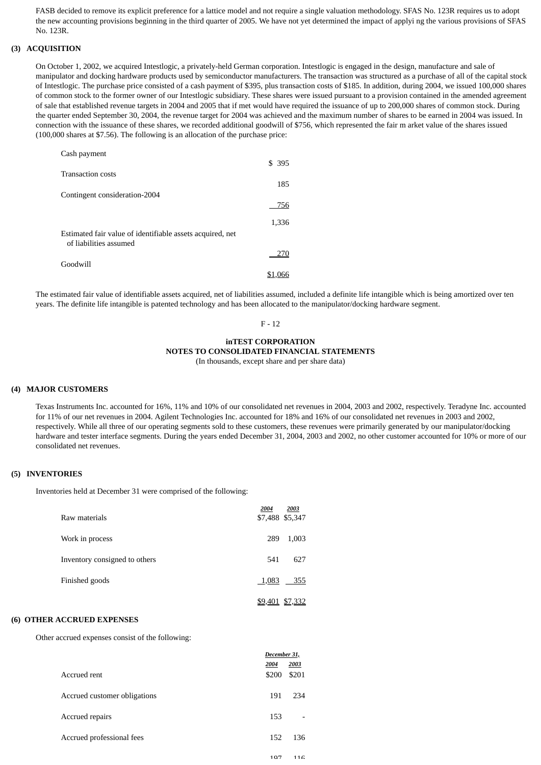FASB decided to remove its explicit preference for a lattice model and not require a single valuation methodology. SFAS No. 123R requires us to adopt the new accounting provisions beginning in the third quarter of 2005. We have not yet determined the impact of applyi ng the various provisions of SFAS No. 123R.

#### **(3) ACQUISITION**

On October 1, 2002, we acquired Intestlogic, a privately-held German corporation. Intestlogic is engaged in the design, manufacture and sale of manipulator and docking hardware products used by semiconductor manufacturers. The transaction was structured as a purchase of all of the capital stock of Intestlogic. The purchase price consisted of a cash payment of \$395, plus transaction costs of \$185. In addition, during 2004, we issued 100,000 shares of common stock to the former owner of our Intestlogic subsidiary. These shares were issued pursuant to a provision contained in the amended agreement of sale that established revenue targets in 2004 and 2005 that if met would have required the issuance of up to 200,000 shares of common stock. During the quarter ended September 30, 2004, the revenue target for 2004 was achieved and the maximum number of shares to be earned in 2004 was issued. In connection with the issuance of these shares, we recorded additional goodwill of \$756, which represented the fair m arket value of the shares issued (100,000 shares at \$7.56). The following is an allocation of the purchase price:

| Cash payment                                                                        |        |
|-------------------------------------------------------------------------------------|--------|
| <b>Transaction costs</b>                                                            | \$ 395 |
|                                                                                     | 185    |
| Contingent consideration-2004                                                       |        |
|                                                                                     | 756    |
|                                                                                     | 1,336  |
| Estimated fair value of identifiable assets acquired, net<br>of liabilities assumed |        |
|                                                                                     | 270    |
| Goodwill                                                                            |        |
|                                                                                     |        |

The estimated fair value of identifiable assets acquired, net of liabilities assumed, included a definite life intangible which is being amortized over ten years. The definite life intangible is patented technology and has been allocated to the manipulator/docking hardware segment.

# F - 12

## **inTEST CORPORATION NOTES TO CONSOLIDATED FINANCIAL STATEMENTS**

(In thousands, except share and per share data)

#### **(4) MAJOR CUSTOMERS**

Texas Instruments Inc. accounted for 16%, 11% and 10% of our consolidated net revenues in 2004, 2003 and 2002, respectively. Teradyne Inc. accounted for 11% of our net revenues in 2004. Agilent Technologies Inc. accounted for 18% and 16% of our consolidated net revenues in 2003 and 2002, respectively. While all three of our operating segments sold to these customers, these revenues were primarily generated by our manipulator/docking hardware and tester interface segments. During the years ended December 31, 2004, 2003 and 2002, no other customer accounted for 10% or more of our consolidated net revenues.

# **(5) INVENTORIES**

Inventories held at December 31 were comprised of the following:

| Raw materials                 | 2004  | 2003<br>\$7,488 \$5,347 |
|-------------------------------|-------|-------------------------|
| Work in process               | 289   | 1,003                   |
| Inventory consigned to others | 541   | 627                     |
| Finished goods                | 1,083 | 355                     |
|                               |       | \$9,401 \$7,332         |

# **(6) OTHER ACCRUED EXPENSES**

Other accrued expenses consist of the following:

|                              | December 31, |       |
|------------------------------|--------------|-------|
|                              | 2004         | 2003  |
| Accrued rent                 | \$200        | \$201 |
| Accrued customer obligations | 191          | 234   |
| Accrued repairs              | 153          |       |
| Accrued professional fees    | 152          | 136   |
|                              | 107          | 116   |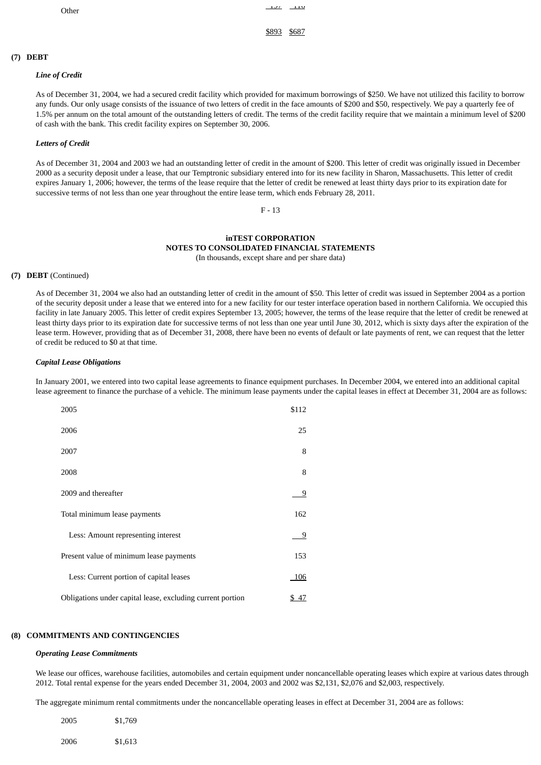\$893 \$687

# **(7) DEBT**

## *Line of Credit*

As of December 31, 2004, we had a secured credit facility which provided for maximum borrowings of \$250. We have not utilized this facility to borrow any funds. Our only usage consists of the issuance of two letters of credit in the face amounts of \$200 and \$50, respectively. We pay a quarterly fee of 1.5% per annum on the total amount of the outstanding letters of credit. The terms of the credit facility require that we maintain a minimum level of \$200 of cash with the bank. This credit facility expires on September 30, 2006.

#### *Letters of Credit*

As of December 31, 2004 and 2003 we had an outstanding letter of credit in the amount of \$200. This letter of credit was originally issued in December 2000 as a security deposit under a lease, that our Temptronic subsidiary entered into for its new facility in Sharon, Massachusetts. This letter of credit expires January 1, 2006; however, the terms of the lease require that the letter of credit be renewed at least thirty days prior to its expiration date for successive terms of not less than one year throughout the entire lease term, which ends February 28, 2011.

#### F - 13

#### **inTEST CORPORATION NOTES TO CONSOLIDATED FINANCIAL STATEMENTS** (In thousands, except share and per share data)

#### **(7) DEBT** (Continued)

As of December 31, 2004 we also had an outstanding letter of credit in the amount of \$50. This letter of credit was issued in September 2004 as a portion of the security deposit under a lease that we entered into for a new facility for our tester interface operation based in northern California. We occupied this facility in late January 2005. This letter of credit expires September 13, 2005; however, the terms of the lease require that the letter of credit be renewed at least thirty days prior to its expiration date for successive terms of not less than one year until June 30, 2012, which is sixty days after the expiration of the lease term. However, providing that as of December 31, 2008, there have been no events of default or late payments of rent, we can request that the letter of credit be reduced to \$0 at that time.

#### *Capital Lease Obligations*

In January 2001, we entered into two capital lease agreements to finance equipment purchases. In December 2004, we entered into an additional capital lease agreement to finance the purchase of a vehicle. The minimum lease payments under the capital leases in effect at December 31, 2004 are as follows:

| 2005                                                       | \$112 |
|------------------------------------------------------------|-------|
| 2006                                                       | 25    |
| 2007                                                       | 8     |
| 2008                                                       | 8     |
| 2009 and thereafter                                        | 9     |
| Total minimum lease payments                               | 162   |
| Less: Amount representing interest                         | 9     |
| Present value of minimum lease payments                    | 153   |
| Less: Current portion of capital leases                    | 106   |
| Obligations under capital lease, excluding current portion | \$47  |

#### **(8) COMMITMENTS AND CONTINGENCIES**

#### *Operating Lease Commitments*

We lease our offices, warehouse facilities, automobiles and certain equipment under noncancellable operating leases which expire at various dates through 2012. Total rental expense for the years ended December 31, 2004, 2003 and 2002 was \$2,131, \$2,076 and \$2,003, respectively.

The aggregate minimum rental commitments under the noncancellable operating leases in effect at December 31, 2004 are as follows:

| 2005 | \$1,769 |
|------|---------|
| 2006 | \$1,613 |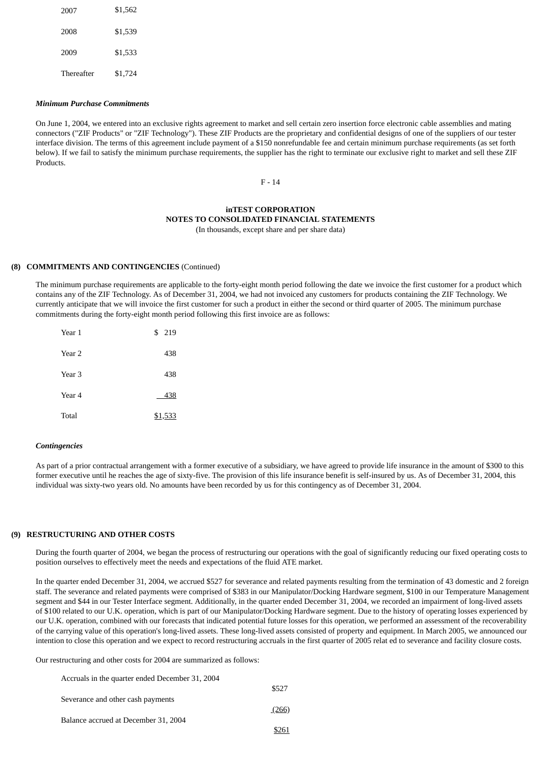| 2007       | \$1,562 |
|------------|---------|
| 2008       | \$1,539 |
| 2009       | \$1,533 |
| Thereafter | \$1,724 |

#### *Minimum Purchase Commitments*

On June 1, 2004, we entered into an exclusive rights agreement to market and sell certain zero insertion force electronic cable assemblies and mating connectors ("ZIF Products" or "ZIF Technology"). These ZIF Products are the proprietary and confidential designs of one of the suppliers of our tester interface division. The terms of this agreement include payment of a \$150 nonrefundable fee and certain minimum purchase requirements (as set forth below). If we fail to satisfy the minimum purchase requirements, the supplier has the right to terminate our exclusive right to market and sell these ZIF Products.

F - 14

#### **inTEST CORPORATION NOTES TO CONSOLIDATED FINANCIAL STATEMENTS** (In thousands, except share and per share data)

#### **(8) COMMITMENTS AND CONTINGENCIES** (Continued)

The minimum purchase requirements are applicable to the forty-eight month period following the date we invoice the first customer for a product which contains any of the ZIF Technology. As of December 31, 2004, we had not invoiced any customers for products containing the ZIF Technology. We currently anticipate that we will invoice the first customer for such a product in either the second or third quarter of 2005. The minimum purchase commitments during the forty-eight month period following this first invoice are as follows:

| Year 1 | \$<br>219 |
|--------|-----------|
| Year 2 | 438       |
| Year 3 | 438       |
| Year 4 | 438       |
| Total  | \$1,533   |

#### *Contingencies*

As part of a prior contractual arrangement with a former executive of a subsidiary, we have agreed to provide life insurance in the amount of \$300 to this former executive until he reaches the age of sixty-five. The provision of this life insurance benefit is self-insured by us. As of December 31, 2004, this individual was sixty-two years old. No amounts have been recorded by us for this contingency as of December 31, 2004.

#### **(9) RESTRUCTURING AND OTHER COSTS**

During the fourth quarter of 2004, we began the process of restructuring our operations with the goal of significantly reducing our fixed operating costs to position ourselves to effectively meet the needs and expectations of the fluid ATE market.

In the quarter ended December 31, 2004, we accrued \$527 for severance and related payments resulting from the termination of 43 domestic and 2 foreign staff. The severance and related payments were comprised of \$383 in our Manipulator/Docking Hardware segment, \$100 in our Temperature Management segment and \$44 in our Tester Interface segment. Additionally, in the quarter ended December 31, 2004, we recorded an impairment of long-lived assets of \$100 related to our U.K. operation, which is part of our Manipulator/Docking Hardware segment. Due to the history of operating losses experienced by our U.K. operation, combined with our forecasts that indicated potential future losses for this operation, we performed an assessment of the recoverability of the carrying value of this operation's long-lived assets. These long-lived assets consisted of property and equipment. In March 2005, we announced our intention to close this operation and we expect to record restructuring accruals in the first quarter of 2005 relat ed to severance and facility closure costs.

Our restructuring and other costs for 2004 are summarized as follows:

| Accruals in the quarter ended December 31, 2004 |       |
|-------------------------------------------------|-------|
|                                                 | \$527 |
| Severance and other cash payments               |       |
|                                                 | (266) |
| Balance accrued at December 31, 2004            |       |
|                                                 | \$261 |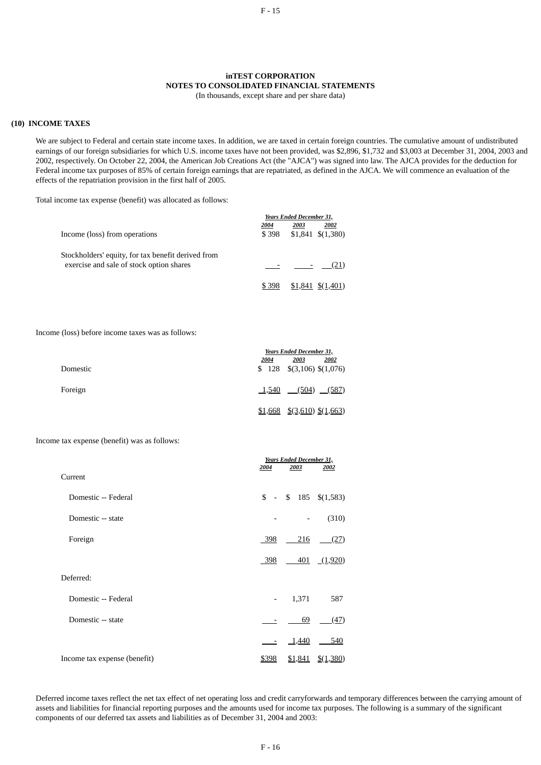# **inTEST CORPORATION NOTES TO CONSOLIDATED FINANCIAL STATEMENTS**

(In thousands, except share and per share data)

#### **(10) INCOME TAXES**

We are subject to Federal and certain state income taxes. In addition, we are taxed in certain foreign countries. The cumulative amount of undistributed earnings of our foreign subsidiaries for which U.S. income taxes have not been provided, was \$2,896, \$1,732 and \$3,003 at December 31, 2004, 2003 and 2002, respectively. On October 22, 2004, the American Job Creations Act (the "AJCA") was signed into law. The AJCA provides for the deduction for Federal income tax purposes of 85% of certain foreign earnings that are repatriated, as defined in the AJCA. We will commence an evaluation of the effects of the repatriation provision in the first half of 2005.

Total income tax expense (benefit) was allocated as follows:

|                                                    |       | Years Ended December 31, |                     |  |  |
|----------------------------------------------------|-------|--------------------------|---------------------|--|--|
|                                                    | 2004  | 2003                     | 2002                |  |  |
| Income (loss) from operations                      | \$398 |                          | $$1,841 \t$(1,380)$ |  |  |
| Stockholders' equity, for tax benefit derived from |       |                          |                     |  |  |
| exercise and sale of stock option shares           |       |                          | (21)                |  |  |
|                                                    | \$398 |                          | $$1,841 \t$(1,401)$ |  |  |

Income (loss) before income taxes was as follows:

|          |              | Years Ended December 31,             |      |  |  |
|----------|--------------|--------------------------------------|------|--|--|
|          | <u> 2004</u> | 2003                                 | 2002 |  |  |
| Domestic |              | $$128 \quad $(3,106) \quad $(1,076)$ |      |  |  |
| Foreign  |              | $\underline{1,540}$ (504) (587)      |      |  |  |
|          |              | $$1,668$ $$(3,610)$ $$(1,663)$       |      |  |  |

Income tax expense (benefit) was as follows:

|                              |                          | <b>Years Ended December 31,</b> |                                         |  |  |  |
|------------------------------|--------------------------|---------------------------------|-----------------------------------------|--|--|--|
| Current                      | 2004                     | 2003                            | 2002                                    |  |  |  |
| Domestic -- Federal          | $s -$                    | $$185 \t$(1,583)$               |                                         |  |  |  |
| Domestic -- state            |                          |                                 | (310)                                   |  |  |  |
| Foreign                      | 398                      | 216                             | (27)                                    |  |  |  |
|                              | 398                      |                                 | $\underline{401}$ $\underline{(1,920)}$ |  |  |  |
| Deferred:                    |                          |                                 |                                         |  |  |  |
| Domestic -- Federal          | $\overline{\phantom{a}}$ | 1,371                           | 587                                     |  |  |  |
| Domestic -- state            |                          | 69                              | (47)                                    |  |  |  |
|                              |                          | 1,440                           | 540                                     |  |  |  |
| Income tax expense (benefit) | \$398                    | <u>\$1,841</u>                  | $\frac{$(1,380)}{2}$                    |  |  |  |

Deferred income taxes reflect the net tax effect of net operating loss and credit carryforwards and temporary differences between the carrying amount of assets and liabilities for financial reporting purposes and the amounts used for income tax purposes. The following is a summary of the significant components of our deferred tax assets and liabilities as of December 31, 2004 and 2003: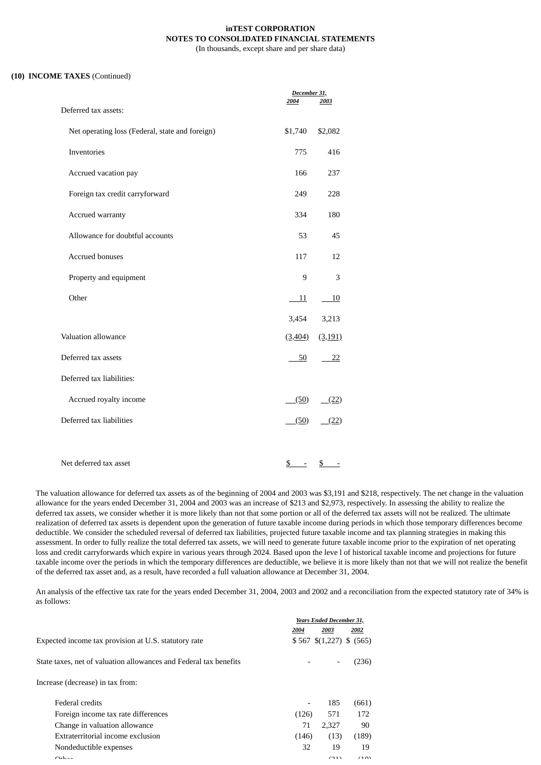# **inTEST CORPORATION NOTES TO CONSOLIDATED FINANCIAL STATEMENTS**

(In thousands, except share and per share data)

#### **(10) INCOME TAXES** (Continued)

|                                                 | December 31,          |           |
|-------------------------------------------------|-----------------------|-----------|
| Deferred tax assets:                            | 2004                  | 2003      |
| Net operating loss (Federal, state and foreign) | \$1,740               | \$2,082   |
| Inventories                                     | 775                   | 416       |
| Accrued vacation pay                            | 166                   | 237       |
| Foreign tax credit carryforward                 | 249                   | 228       |
| Accrued warranty                                | 334                   | 180       |
| Allowance for doubtful accounts                 | 53                    | 45        |
| <b>Accrued bonuses</b>                          | 117                   | 12        |
| Property and equipment                          | 9                     | 3         |
| Other                                           | <u>11</u>             | <u>10</u> |
|                                                 | 3,454                 | 3,213     |
| Valuation allowance                             | (3, 404)              | (3, 191)  |
| Deferred tax assets                             | 50                    | 22        |
| Deferred tax liabilities:                       |                       |           |
| Accrued royalty income                          | (50)                  | (22)      |
| Deferred tax liabilities                        | (50)                  | (22)      |
|                                                 |                       |           |
| Net deferred tax asset                          | $\underline{\$}$<br>Ξ | \$        |

The valuation allowance for deferred tax assets as of the beginning of 2004 and 2003 was \$3,191 and \$218, respectively. The net change in the valuation allowance for the years ended December 31, 2004 and 2003 was an increase of \$213 and \$2,973, respectively. In assessing the ability to realize the deferred tax assets, we consider whether it is more likely than not that some portion or all of the deferred tax assets will not be realized. The ultimate realization of deferred tax assets is dependent upon the generation of future taxable income during periods in which those temporary differences become deductible. We consider the scheduled reversal of deferred tax liabilities, projected future taxable income and tax planning strategies in making this assessment. In order to fully realize the total deferred tax assets, we will need to generate future taxable income prior to the expiration of net operating loss and credit carryforwards which expire in various years through 2024. Based upon the leve l of historical taxable income and projections for future taxable income over the periods in which the temporary differences are deductible, we believe it is more likely than not that we will not realize the benefit of the deferred tax asset and, as a result, have recorded a full valuation allowance at December 31, 2004.

An analysis of the effective tax rate for the years ended December 31, 2004, 2003 and 2002 and a reconciliation from the expected statutory rate of 34% is as follows:

|                                                                   | <b>Years Ended December 31,</b> |                   |          |  |
|-------------------------------------------------------------------|---------------------------------|-------------------|----------|--|
|                                                                   | 2004<br>2003                    |                   | 2002     |  |
| Expected income tax provision at U.S. statutory rate              |                                 | $$567 \t$(1,227)$ | \$ (565) |  |
| State taxes, net of valuation allowances and Federal tax benefits |                                 |                   | (236)    |  |
| Increase (decrease) in tax from:                                  |                                 |                   |          |  |
| Federal credits                                                   | $\qquad \qquad$                 | 185               | (661)    |  |
| Foreign income tax rate differences                               | (126)                           | 571               | 172      |  |
| Change in valuation allowance                                     | 71                              | 2,327             | 90       |  |
| Extraterritorial income exclusion                                 | (146)                           | (13)              | (189)    |  |
| Nondeductible expenses                                            | 32                              | 19                | 19       |  |
| $Q_{\text{L}}$                                                    |                                 | (21)              | (10)     |  |
|                                                                   |                                 |                   |          |  |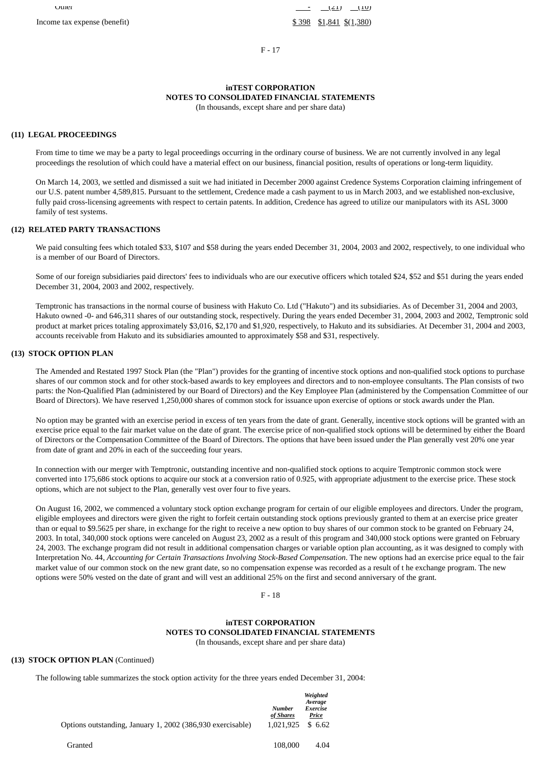F - 17

# **inTEST CORPORATION NOTES TO CONSOLIDATED FINANCIAL STATEMENTS**

(In thousands, except share and per share data)

## **(11) LEGAL PROCEEDINGS**

From time to time we may be a party to legal proceedings occurring in the ordinary course of business. We are not currently involved in any legal proceedings the resolution of which could have a material effect on our business, financial position, results of operations or long-term liquidity.

On March 14, 2003, we settled and dismissed a suit we had initiated in December 2000 against Credence Systems Corporation claiming infringement of our U.S. patent number 4,589,815. Pursuant to the settlement, Credence made a cash payment to us in March 2003, and we established non-exclusive, fully paid cross-licensing agreements with respect to certain patents. In addition, Credence has agreed to utilize our manipulators with its ASL 3000 family of test systems.

#### **(12) RELATED PARTY TRANSACTIONS**

We paid consulting fees which totaled \$33, \$107 and \$58 during the years ended December 31, 2004, 2003 and 2002, respectively, to one individual who is a member of our Board of Directors.

Some of our foreign subsidiaries paid directors' fees to individuals who are our executive officers which totaled \$24, \$52 and \$51 during the years ended December 31, 2004, 2003 and 2002, respectively.

Temptronic has transactions in the normal course of business with Hakuto Co. Ltd ("Hakuto") and its subsidiaries. As of December 31, 2004 and 2003, Hakuto owned -0- and 646,311 shares of our outstanding stock, respectively. During the years ended December 31, 2004, 2003 and 2002, Temptronic sold product at market prices totaling approximately \$3,016, \$2,170 and \$1,920, respectively, to Hakuto and its subsidiaries. At December 31, 2004 and 2003, accounts receivable from Hakuto and its subsidiaries amounted to approximately \$58 and \$31, respectively.

# **(13) STOCK OPTION PLAN**

The Amended and Restated 1997 Stock Plan (the "Plan") provides for the granting of incentive stock options and non-qualified stock options to purchase shares of our common stock and for other stock-based awards to key employees and directors and to non-employee consultants. The Plan consists of two parts: the Non-Qualified Plan (administered by our Board of Directors) and the Key Employee Plan (administered by the Compensation Committee of our Board of Directors). We have reserved 1,250,000 shares of common stock for issuance upon exercise of options or stock awards under the Plan.

No option may be granted with an exercise period in excess of ten years from the date of grant. Generally, incentive stock options will be granted with an exercise price equal to the fair market value on the date of grant. The exercise price of non-qualified stock options will be determined by either the Board of Directors or the Compensation Committee of the Board of Directors. The options that have been issued under the Plan generally vest 20% one year from date of grant and 20% in each of the succeeding four years.

In connection with our merger with Temptronic, outstanding incentive and non-qualified stock options to acquire Temptronic common stock were converted into 175,686 stock options to acquire our stock at a conversion ratio of 0.925, with appropriate adjustment to the exercise price. These stock options, which are not subject to the Plan, generally vest over four to five years.

On August 16, 2002, we commenced a voluntary stock option exchange program for certain of our eligible employees and directors. Under the program, eligible employees and directors were given the right to forfeit certain outstanding stock options previously granted to them at an exercise price greater than or equal to \$9.5625 per share, in exchange for the right to receive a new option to buy shares of our common stock to be granted on February 24, 2003. In total, 340,000 stock options were canceled on August 23, 2002 as a result of this program and 340,000 stock options were granted on February 24, 2003. The exchange program did not result in additional compensation charges or variable option plan accounting, as it was designed to comply with Interpretation No. 44, *Accounting for Certain Transactions Involving Stock-Based Compensation*. The new options had an exercise price equal to the fair market value of our common stock on the new grant date, so no compensation expense was recorded as a result of t he exchange program. The new options were 50% vested on the date of grant and will vest an additional 25% on the first and second anniversary of the grant.

F - 18

## **inTEST CORPORATION NOTES TO CONSOLIDATED FINANCIAL STATEMENTS** (In thousands, except share and per share data)

## **(13) STOCK OPTION PLAN** (Continued)

The following table summarizes the stock option activity for the three years ended December 31, 2004:

| Options outstanding, January 1, 2002 (386,930 exercisable) | <b>Number</b><br>of Shares | Weighted<br>Average<br>Exercise<br>Price |
|------------------------------------------------------------|----------------------------|------------------------------------------|
| Granted                                                    | 1.021.925<br>108,000       | \$6.62<br>4.04                           |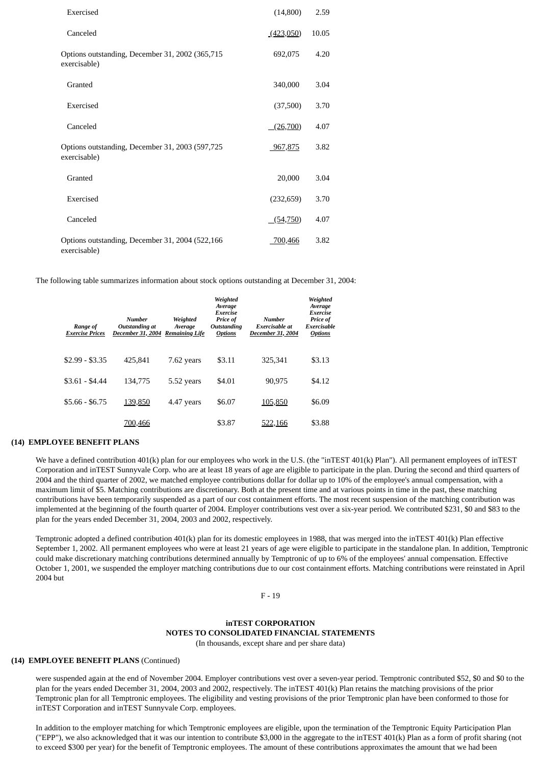| Exercised                                                        | (14,800)   | 2.59  |  |
|------------------------------------------------------------------|------------|-------|--|
| Canceled                                                         | (423,050)  | 10.05 |  |
| Options outstanding, December 31, 2002 (365,715<br>exercisable)  | 692,075    | 4.20  |  |
| Granted                                                          | 340,000    | 3.04  |  |
| Exercised                                                        | (37,500)   | 3.70  |  |
| Canceled                                                         | (26,700)   | 4.07  |  |
| Options outstanding, December 31, 2003 (597,725<br>exercisable)  | 967,875    | 3.82  |  |
| Granted                                                          | 20,000     | 3.04  |  |
| Exercised                                                        | (232, 659) | 3.70  |  |
| Canceled                                                         | (54, 750)  | 4.07  |  |
| Options outstanding, December 31, 2004 (522,166)<br>exercisable) | 700,466    | 3.82  |  |

The following table summarizes information about stock options outstanding at December 31, 2004:

| Range of<br><b>Exercise Prices</b> | Number<br>Outstanding at<br>December 31, 2004 | Weighted<br>Average<br><b>Remaining Life</b> | Weighted<br>Average<br>Exercise<br>Price of<br><b>Outstanding</b><br><b>Options</b> | Number<br>Exercisable at<br>December 31, 2004 | Weighted<br>Average<br>Exercise<br>Price of<br><b>Exercisable</b><br><b>Options</b> |
|------------------------------------|-----------------------------------------------|----------------------------------------------|-------------------------------------------------------------------------------------|-----------------------------------------------|-------------------------------------------------------------------------------------|
| $$2.99 - $3.35$                    | 425.841                                       | 7.62 years                                   | \$3.11                                                                              | 325.341                                       | \$3.13                                                                              |
| $$3.61 - $4.44$                    | 134.775                                       | 5.52 years                                   | \$4.01                                                                              | 90.975                                        | \$4.12                                                                              |
| $$5.66 - $6.75$                    | 139,850                                       | 4.47 years                                   | \$6.07                                                                              | 105,850                                       | \$6.09                                                                              |
|                                    | 700.466                                       |                                              | \$3.87                                                                              | 522,166                                       | \$3.88                                                                              |

# **(14) EMPLOYEE BENEFIT PLANS**

We have a defined contribution 401(k) plan for our employees who work in the U.S. (the "inTEST 401(k) Plan"). All permanent employees of inTEST Corporation and inTEST Sunnyvale Corp. who are at least 18 years of age are eligible to participate in the plan. During the second and third quarters of 2004 and the third quarter of 2002, we matched employee contributions dollar for dollar up to 10% of the employee's annual compensation, with a maximum limit of \$5. Matching contributions are discretionary. Both at the present time and at various points in time in the past, these matching contributions have been temporarily suspended as a part of our cost containment efforts. The most recent suspension of the matching contribution was implemented at the beginning of the fourth quarter of 2004. Employer contributions vest over a six-year period. We contributed \$231, \$0 and \$83 to the plan for the years ended December 31, 2004, 2003 and 2002, respectively.

Temptronic adopted a defined contribution 401(k) plan for its domestic employees in 1988, that was merged into the inTEST 401(k) Plan effective September 1, 2002. All permanent employees who were at least 21 years of age were eligible to participate in the standalone plan. In addition, Temptronic could make discretionary matching contributions determined annually by Temptronic of up to 6% of the employees' annual compensation. Effective October 1, 2001, we suspended the employer matching contributions due to our cost containment efforts. Matching contributions were reinstated in April 2004 but

F - 19

## **inTEST CORPORATION NOTES TO CONSOLIDATED FINANCIAL STATEMENTS** (In thousands, except share and per share data)

#### **(14) EMPLOYEE BENEFIT PLANS** (Continued)

were suspended again at the end of November 2004. Employer contributions vest over a seven-year period. Temptronic contributed \$52, \$0 and \$0 to the plan for the years ended December 31, 2004, 2003 and 2002, respectively. The inTEST 401(k) Plan retains the matching provisions of the prior Temptronic plan for all Temptronic employees. The eligibility and vesting provisions of the prior Temptronic plan have been conformed to those for inTEST Corporation and inTEST Sunnyvale Corp. employees.

In addition to the employer matching for which Temptronic employees are eligible, upon the termination of the Temptronic Equity Participation Plan ("EPP"), we also acknowledged that it was our intention to contribute \$3,000 in the aggregate to the inTEST 401(k) Plan as a form of profit sharing (not to exceed \$300 per year) for the benefit of Temptronic employees. The amount of these contributions approximates the amount that we had been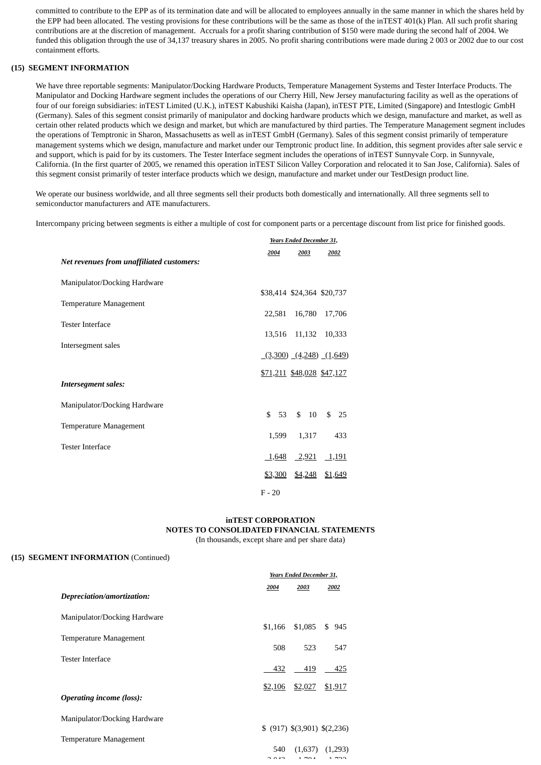committed to contribute to the EPP as of its termination date and will be allocated to employees annually in the same manner in which the shares held by the EPP had been allocated. The vesting provisions for these contributions will be the same as those of the inTEST 401(k) Plan. All such profit sharing contributions are at the discretion of management. Accruals for a profit sharing contribution of \$150 were made during the second half of 2004. We funded this obligation through the use of 34,137 treasury shares in 2005. No profit sharing contributions were made during 2 003 or 2002 due to our cost containment efforts.

## **(15) SEGMENT INFORMATION**

We have three reportable segments: Manipulator/Docking Hardware Products, Temperature Management Systems and Tester Interface Products. The Manipulator and Docking Hardware segment includes the operations of our Cherry Hill, New Jersey manufacturing facility as well as the operations of four of our foreign subsidiaries: inTEST Limited (U.K.), inTEST Kabushiki Kaisha (Japan), inTEST PTE, Limited (Singapore) and Intestlogic GmbH (Germany). Sales of this segment consist primarily of manipulator and docking hardware products which we design, manufacture and market, as well as certain other related products which we design and market, but which are manufactured by third parties. The Temperature Management segment includes the operations of Temptronic in Sharon, Massachusetts as well as inTEST GmbH (Germany). Sales of this segment consist primarily of temperature management systems which we design, manufacture and market under our Temptronic product line. In addition, this segment provides after sale servic e and support, which is paid for by its customers. The Tester Interface segment includes the operations of inTEST Sunnyvale Corp. in Sunnyvale, California. (In the first quarter of 2005, we renamed this operation inTEST Silicon Valley Corporation and relocated it to San Jose, California). Sales of this segment consist primarily of tester interface products which we design, manufacture and market under our TestDesign product line.

We operate our business worldwide, and all three segments sell their products both domestically and internationally. All three segments sell to semiconductor manufacturers and ATE manufacturers.

Intercompany pricing between segments is either a multiple of cost for component parts or a percentage discount from list price for finished goods.

|                                           |          | Years Ended December 31, |                                 |         |  |               |
|-------------------------------------------|----------|--------------------------|---------------------------------|---------|--|---------------|
|                                           |          | 2004                     |                                 | 2003    |  | 2002          |
| Net revenues from unaffiliated customers: |          |                          |                                 |         |  |               |
| Manipulator/Docking Hardware              |          |                          |                                 |         |  |               |
|                                           |          |                          | \$38,414 \$24,364 \$20,737      |         |  |               |
| Temperature Management                    |          |                          | 22,581 16,780 17,706            |         |  |               |
| <b>Tester Interface</b>                   |          |                          |                                 |         |  |               |
|                                           |          | 13,516                   |                                 |         |  | 11,132 10,333 |
| Intersegment sales                        |          |                          | $(3,300)$ $(4,248)$ $(1,649)$   |         |  |               |
|                                           |          |                          |                                 |         |  |               |
|                                           |          |                          |                                 |         |  |               |
| <b>Intersegment sales:</b>                |          |                          |                                 |         |  |               |
| Manipulator/Docking Hardware              |          |                          |                                 |         |  |               |
|                                           |          | \$53                     |                                 | \$10    |  | \$25          |
| Temperature Management                    |          | 1,599                    |                                 | 1,317   |  | 433           |
| <b>Tester Interface</b>                   |          |                          |                                 |         |  |               |
|                                           |          |                          | $\underline{1,648}$ 2,921 1,191 |         |  |               |
|                                           |          | \$3,300                  |                                 | \$4,248 |  | \$1,649       |
|                                           | $F - 20$ |                          |                                 |         |  |               |

# **inTEST CORPORATION NOTES TO CONSOLIDATED FINANCIAL STATEMENTS**

(In thousands, except share and per share data)

#### **(15) SEGMENT INFORMATION** (Continued)

|                                 | Years Ended December 31, |                                   |           |
|---------------------------------|--------------------------|-----------------------------------|-----------|
|                                 | 2004                     | 2003                              | 2002      |
| Depreciation/amortization:      |                          |                                   |           |
| Manipulator/Docking Hardware    |                          |                                   |           |
|                                 | \$1,166                  | \$1,085                           | \$<br>945 |
| Temperature Management          |                          |                                   |           |
|                                 | 508                      | 523                               | 547       |
| <b>Tester Interface</b>         |                          |                                   |           |
|                                 | 432                      | 419                               | 425       |
|                                 | \$2,106                  | \$2,027                           | \$1,917   |
| <b>Operating income (loss):</b> |                          |                                   |           |
|                                 |                          |                                   |           |
| Manipulator/Docking Hardware    |                          |                                   |           |
| Temperature Management          |                          | $$$ (917) $$$ (3,901) $$$ (2,236) |           |
|                                 | 540                      | (1,637)                           | (1,293)   |
|                                 | 0.40                     | $\sim$ $\sim$                     |           |
|                                 |                          |                                   |           |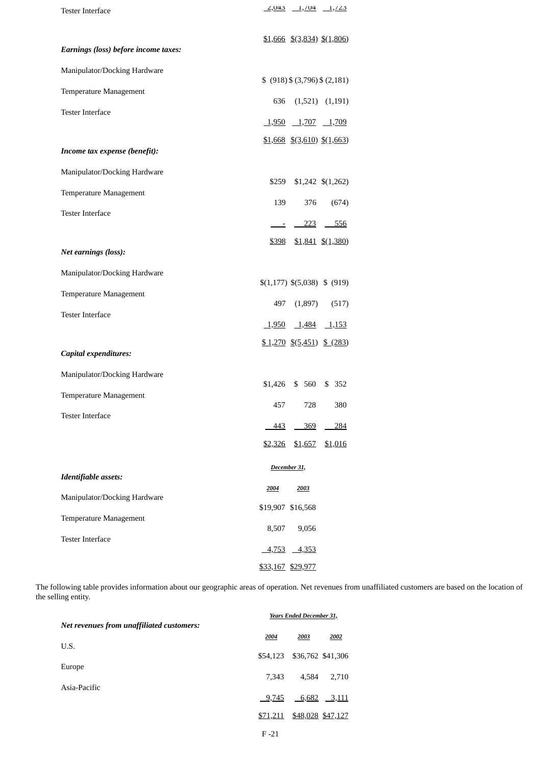| <b>Tester Interface</b>              |                | $2,043$ $1,04$ $1,023$                                      |                                   |
|--------------------------------------|----------------|-------------------------------------------------------------|-----------------------------------|
| Earnings (loss) before income taxes: |                |                                                             | $$1,666$ $$$ (3,834) $$$ (1,806)  |
| Manipulator/Docking Hardware         |                |                                                             |                                   |
| Temperature Management               |                |                                                             | $(918)$ \$ $(3,796)$ \$ $(2,181)$ |
|                                      | 636            |                                                             | $(1,521)$ $(1,191)$               |
| <b>Tester Interface</b>              |                | $\underline{1,950}$ $\underline{1,707}$ $\underline{1,709}$ |                                   |
|                                      |                |                                                             | $$1,668$ $$(3,610)$ $$(1,663)$    |
| Income tax expense (benefit):        |                |                                                             |                                   |
| Manipulator/Docking Hardware         | \$259          |                                                             | $$1,242 \quad $(1,262)$           |
| Temperature Management               |                |                                                             |                                   |
| <b>Tester Interface</b>              | 139            | 376                                                         | (674)                             |
|                                      |                | <u>- 223</u>                                                | $-556$                            |
| Net earnings (loss):                 |                | $$398$ $$1,841$ $$(1,380)$                                  |                                   |
| Manipulator/Docking Hardware         |                |                                                             |                                   |
|                                      |                |                                                             | \$(1,177) \$(5,038) \$ (\$919)    |
| Temperature Management               | 497            | (1,897)                                                     | (517)                             |
| <b>Tester Interface</b>              |                | <u>1,950 1,484</u>                                          | <u>1,153</u>                      |
|                                      |                | $$1,270$ $$(5,451)$ \$ (283)                                |                                   |
| Capital expenditures:                |                |                                                             |                                   |
| Manipulator/Docking Hardware         |                |                                                             |                                   |
| Temperature Management               |                | \$1,426 \$ 560                                              | \$ 352                            |
| <b>Tester Interface</b>              | 457            | 728                                                         | 380                               |
|                                      | 443            | 369                                                         | 284                               |
|                                      | <u>\$2,326</u> | \$1,657                                                     | \$1,016                           |
|                                      |                | December 31,                                                |                                   |
| Identifiable assets:                 | 2004           | 2003                                                        |                                   |
| Manipulator/Docking Hardware         |                | \$19,907 \$16,568                                           |                                   |
| Temperature Management               | 8,507          | 9,056                                                       |                                   |
| <b>Tester Interface</b>              |                |                                                             |                                   |
|                                      | <u>4,753</u>   | <u>4,353</u><br>\$33,167 \$29,977                           |                                   |

The following table provides information about our geographic areas of operation. Net revenues from unaffiliated customers are based on the location of the selling entity.

|                                           |          | <b>Years Ended December 31,</b> |                   |
|-------------------------------------------|----------|---------------------------------|-------------------|
| Net revenues from unaffiliated customers: |          |                                 |                   |
|                                           | 2004     | 2003                            | 2002              |
| U.S.                                      |          |                                 |                   |
|                                           | \$54,123 |                                 | \$36,762 \$41,306 |
| Europe                                    | 7.343    | 4.584                           | 2,710             |
| Asia-Pacific                              |          |                                 |                   |
|                                           | 9,745    | 6,682                           | 3,111             |
|                                           | \$71,211 |                                 | \$48,028 \$47,127 |
|                                           |          |                                 |                   |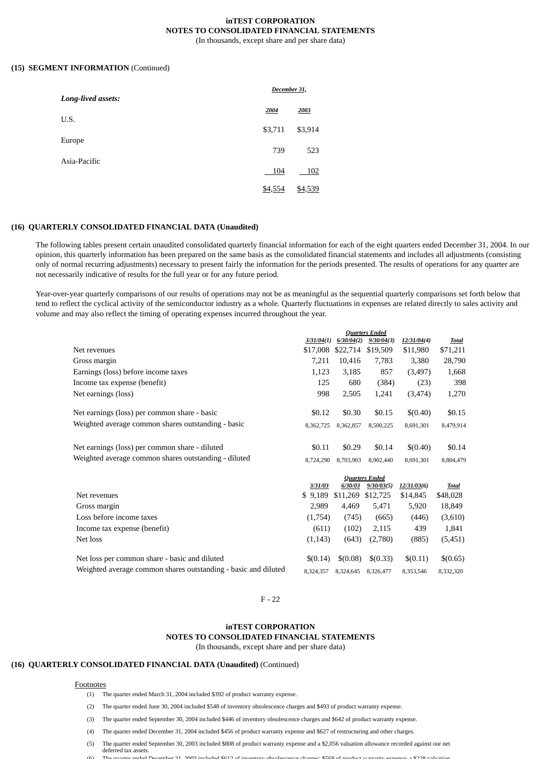#### **inTEST CORPORATION NOTES TO CONSOLIDATED FINANCIAL STATEMENTS** (In thousands, except share and per share data)

#### **(15) SEGMENT INFORMATION** (Continued)

| Long-lived assets: | December 31, |         |  |
|--------------------|--------------|---------|--|
|                    | 2004         | 2003    |  |
| U.S.               | \$3,711      | \$3,914 |  |
| Europe             |              |         |  |
| Asia-Pacific       | 739          | 523     |  |
|                    | 104          | 102     |  |
|                    | \$4,554      | \$4,539 |  |

#### **(16) QUARTERLY CONSOLIDATED FINANCIAL DATA (Unaudited)**

The following tables present certain unaudited consolidated quarterly financial information for each of the eight quarters ended December 31, 2004. In our opinion, this quarterly information has been prepared on the same basis as the consolidated financial statements and includes all adjustments (consisting only of normal recurring adjustments) necessary to present fairly the information for the periods presented. The results of operations for any quarter are not necessarily indicative of results for the full year or for any future period.

Year-over-year quarterly comparisons of our results of operations may not be as meaningful as the sequential quarterly comparisons set forth below that tend to reflect the cyclical activity of the semiconductor industry as a whole. Quarterly fluctuations in expenses are related directly to sales activity and volume and may also reflect the timing of operating expenses incurred throughout the year.

|                                                                |            |            | <b>Quarters Ended</b> |             |              |
|----------------------------------------------------------------|------------|------------|-----------------------|-------------|--------------|
|                                                                | 3/31/04(1) | 6/30/04(2) | 9/30/04(3)            | 12/31/04(4) | Total        |
| Net revenues                                                   | \$17,008   | \$22,714   | \$19,509              | \$11,980    | \$71,211     |
| Gross margin                                                   | 7,211      | 10,416     | 7,783                 | 3,380       | 28,790       |
| Earnings (loss) before income taxes                            | 1,123      | 3,185      | 857                   | (3, 497)    | 1,668        |
| Income tax expense (benefit)                                   | 125        | 680        | (384)                 | (23)        | 398          |
| Net earnings (loss)                                            | 998        | 2,505      | 1,241                 | (3, 474)    | 1,270        |
| Net earnings (loss) per common share - basic                   | \$0.12     | \$0.30     | \$0.15                | \$(0.40)    | \$0.15       |
| Weighted average common shares outstanding - basic             | 8,362,725  | 8,362,857  | 8,500,225             | 8,691,301   | 8,479,914    |
| Net earnings (loss) per common share - diluted                 | \$0.11     | \$0.29     | \$0.14                | \$(0.40)    | \$0.14       |
| Weighted average common shares outstanding - diluted           | 8,724,290  | 8,703,903  | 8,902,440             | 8,691,301   | 8,804,479    |
|                                                                |            |            | <b>Quarters Ended</b> |             |              |
|                                                                | 3/31/03    | 6/30/03    | 9/30/03(5)            | 12/31/03(6) | <b>Total</b> |
| Net revenues                                                   | \$9,189    | \$11,269   | \$12,725              | \$14,845    | \$48,028     |
| Gross margin                                                   | 2,989      | 4,469      | 5,471                 | 5,920       | 18,849       |
| Loss before income taxes                                       | (1,754)    | (745)      | (665)                 | (446)       | (3,610)      |
| Income tax expense (benefit)                                   | (611)      | (102)      | 2,115                 | 439         | 1,841        |
| Net loss                                                       | (1, 143)   | (643)      | (2,780)               | (885)       | (5,451)      |
| Net loss per common share - basic and diluted                  | \$(0.14)   | \$(0.08)   | \$(0.33)              | \$(0.11)    | \$(0.65)     |
| Weighted average common shares outstanding - basic and diluted | 8,324,357  | 8,324,645  | 8,326,477             | 8,353,546   | 8,332,320    |

#### F - 22

#### **inTEST CORPORATION**

**NOTES TO CONSOLIDATED FINANCIAL STATEMENTS**

(In thousands, except share and per share data)

# **(16) QUARTERLY CONSOLIDATED FINANCIAL DATA (Unaudited)** (Continued)

#### **Footnotes**

- (1) The quarter ended March 31, 2004 included \$392 of product warranty expense.
- (2) The quarter ended June 30, 2004 included \$548 of inventory obsolescence charges and \$493 of product warranty expense.
- (3) The quarter ended September 30, 2004 included \$446 of inventory obsolescence charges and \$642 of product warranty expense.
- (4) The quarter ended December 31, 2004 included \$456 of product warranty expense and \$627 of restructuring and other charges.
- (5) The quarter ended September 30, 2003 included \$808 of product warranty expense and a \$2,056 valuation allowance recorded against our net
- deferred tax assets.<br>The quarter ended D (6) The quarter ended December 31 2003 included \$612 of inventory obsolescence charges; \$568 of product warranty expense; a \$228 valuation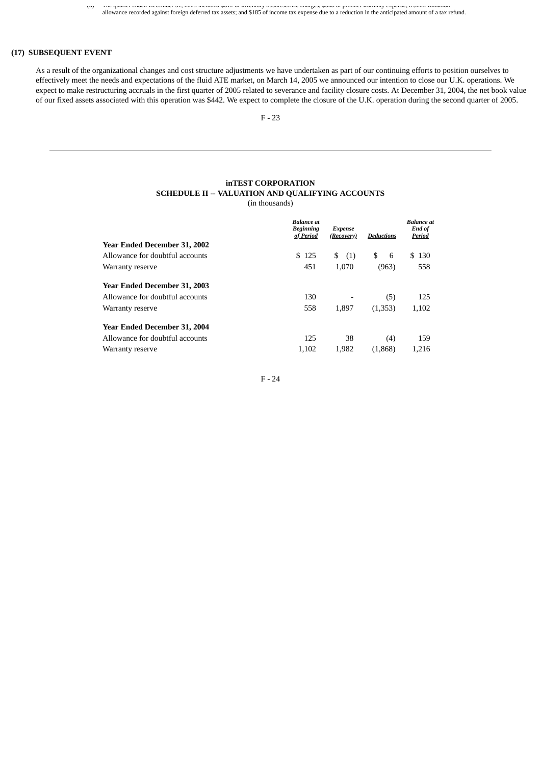(6) The quarter ended December 31, 2003 included \$612 of inventory obsolescence charges; \$568 of product warranty expense; a \$228 valuation allowance recorded against foreign deferred tax assets; and \$185 of income tax expense due to a reduction in the anticipated amount of a tax refund.

# **(17) SUBSEQUENT EVENT**

As a result of the organizational changes and cost structure adjustments we have undertaken as part of our continuing efforts to position ourselves to effectively meet the needs and expectations of the fluid ATE market, on March 14, 2005 we announced our intention to close our U.K. operations. We expect to make restructuring accruals in the first quarter of 2005 related to severance and facility closure costs. At December 31, 2004, the net book value of our fixed assets associated with this operation was \$442. We expect to complete the closure of the U.K. operation during the second quarter of 2005.

# **inTEST CORPORATION SCHEDULE II -- VALUATION AND QUALIFYING ACCOUNTS**

(in thousands)

|                                     | <b>Balance</b> at<br><b>Beginning</b><br>of Period | <b>Expense</b><br>(Recovery) | <b>Deductions</b> | <b>Balance</b> at<br>End of<br>Period |
|-------------------------------------|----------------------------------------------------|------------------------------|-------------------|---------------------------------------|
| <b>Year Ended December 31, 2002</b> |                                                    |                              |                   |                                       |
| Allowance for doubtful accounts     | \$125                                              | S<br>(1)                     | 6<br>\$           | \$130                                 |
| Warranty reserve                    | 451                                                | 1,070                        | (963)             | 558                                   |
| <b>Year Ended December 31, 2003</b> |                                                    |                              |                   |                                       |
| Allowance for doubtful accounts     | 130                                                |                              | (5)               | 125                                   |
| Warranty reserve                    | 558                                                | 1,897                        | (1,353)           | 1,102                                 |
| <b>Year Ended December 31, 2004</b> |                                                    |                              |                   |                                       |
| Allowance for doubtful accounts     | 125                                                | 38                           | (4)               | 159                                   |
| Warranty reserve                    | 1,102                                              | 1,982                        | (1,868)           | 1,216                                 |

F - 24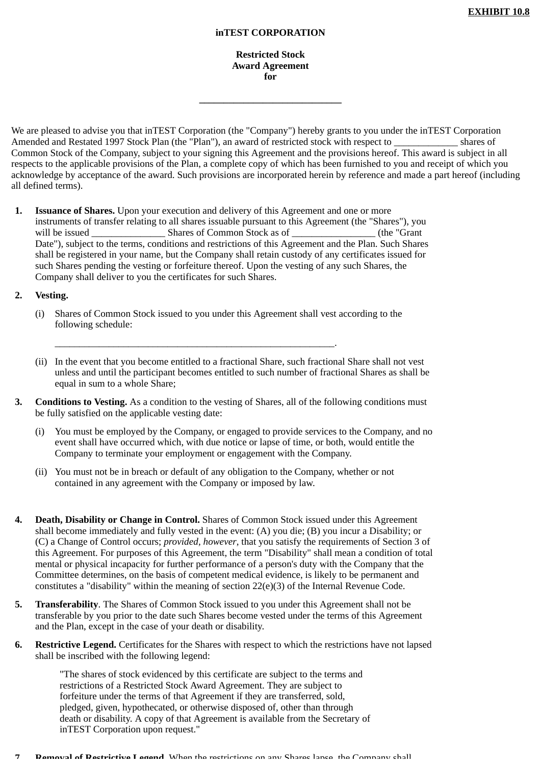# **inTEST CORPORATION**

**Restricted Stock Award Agreement for**

**\_\_\_\_\_\_\_\_\_\_\_\_\_\_\_\_\_\_\_\_\_\_\_\_\_\_\_\_\_**

We are pleased to advise you that inTEST Corporation (the "Company") hereby grants to you under the inTEST Corporation Amended and Restated 1997 Stock Plan (the "Plan"), an award of restricted stock with respect to \_\_\_\_\_\_\_\_\_\_\_\_\_ shares of Common Stock of the Company, subject to your signing this Agreement and the provisions hereof. This award is subject in all respects to the applicable provisions of the Plan, a complete copy of which has been furnished to you and receipt of which you acknowledge by acceptance of the award. Such provisions are incorporated herein by reference and made a part hereof (including all defined terms).

**1. Issuance of Shares.** Upon your execution and delivery of this Agreement and one or more instruments of transfer relating to all shares issuable pursuant to this Agreement (the "Shares"), you will be issued \_\_\_\_\_\_\_\_\_\_\_\_\_\_\_\_\_\_\_\_\_\_\_ Shares of Common Stock as of Date"), subject to the terms, conditions and restrictions of this Agreement and the Plan. Such Shares shall be registered in your name, but the Company shall retain custody of any certificates issued for such Shares pending the vesting or forfeiture thereof. Upon the vesting of any such Shares, the Company shall deliver to you the certificates for such Shares.

# **2. Vesting.**

(i) Shares of Common Stock issued to you under this Agreement shall vest according to the following schedule:

\_\_\_\_\_\_\_\_\_\_\_\_\_\_\_\_\_\_\_\_\_\_\_\_\_\_\_\_\_\_\_\_\_\_\_\_\_\_\_\_\_\_\_\_\_\_\_\_\_\_\_\_\_\_\_\_\_.

- (ii) In the event that you become entitled to a fractional Share, such fractional Share shall not vest unless and until the participant becomes entitled to such number of fractional Shares as shall be equal in sum to a whole Share;
- **3. Conditions to Vesting.** As a condition to the vesting of Shares, all of the following conditions must be fully satisfied on the applicable vesting date:
	- (i) You must be employed by the Company, or engaged to provide services to the Company, and no event shall have occurred which, with due notice or lapse of time, or both, would entitle the Company to terminate your employment or engagement with the Company.
	- (ii) You must not be in breach or default of any obligation to the Company, whether or not contained in any agreement with the Company or imposed by law.
- **4. Death, Disability or Change in Control.** Shares of Common Stock issued under this Agreement shall become immediately and fully vested in the event: (A) you die; (B) you incur a Disability; or (C) a Change of Control occurs; *provided, however*, that you satisfy the requirements of Section 3 of this Agreement. For purposes of this Agreement, the term "Disability" shall mean a condition of total mental or physical incapacity for further performance of a person's duty with the Company that the Committee determines, on the basis of competent medical evidence, is likely to be permanent and constitutes a "disability" within the meaning of section 22(e)(3) of the Internal Revenue Code.
- **5. Transferability**. The Shares of Common Stock issued to you under this Agreement shall not be transferable by you prior to the date such Shares become vested under the terms of this Agreement and the Plan, except in the case of your death or disability.
- **6. Restrictive Legend.** Certificates for the Shares with respect to which the restrictions have not lapsed shall be inscribed with the following legend:

"The shares of stock evidenced by this certificate are subject to the terms and restrictions of a Restricted Stock Award Agreement. They are subject to forfeiture under the terms of that Agreement if they are transferred, sold, pledged, given, hypothecated, or otherwise disposed of, other than through death or disability. A copy of that Agreement is available from the Secretary of inTEST Corporation upon request."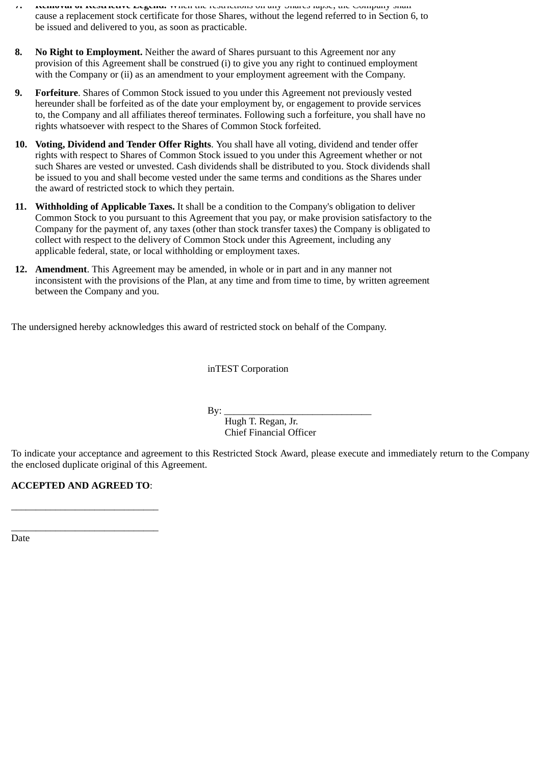- **7. Removal of Restrictive Legend.** When the restrictions on any Shares lapse, the Company shall cause a replacement stock certificate for those Shares, without the legend referred to in Section 6, to be issued and delivered to you, as soon as practicable.
- **8. No Right to Employment.** Neither the award of Shares pursuant to this Agreement nor any provision of this Agreement shall be construed (i) to give you any right to continued employment with the Company or (ii) as an amendment to your employment agreement with the Company.
- **9. Forfeiture**. Shares of Common Stock issued to you under this Agreement not previously vested hereunder shall be forfeited as of the date your employment by, or engagement to provide services to, the Company and all affiliates thereof terminates. Following such a forfeiture, you shall have no rights whatsoever with respect to the Shares of Common Stock forfeited.
- **10. Voting, Dividend and Tender Offer Rights**. You shall have all voting, dividend and tender offer rights with respect to Shares of Common Stock issued to you under this Agreement whether or not such Shares are vested or unvested. Cash dividends shall be distributed to you. Stock dividends shall be issued to you and shall become vested under the same terms and conditions as the Shares under the award of restricted stock to which they pertain.
- **11. Withholding of Applicable Taxes.** It shall be a condition to the Company's obligation to deliver Common Stock to you pursuant to this Agreement that you pay, or make provision satisfactory to the Company for the payment of, any taxes (other than stock transfer taxes) the Company is obligated to collect with respect to the delivery of Common Stock under this Agreement, including any applicable federal, state, or local withholding or employment taxes.
- **12. Amendment**. This Agreement may be amended, in whole or in part and in any manner not inconsistent with the provisions of the Plan, at any time and from time to time, by written agreement between the Company and you.

The undersigned hereby acknowledges this award of restricted stock on behalf of the Company.

inTEST Corporation

By: \_\_\_\_\_\_\_\_\_\_\_\_\_\_\_\_\_\_\_\_\_\_\_\_\_\_\_\_\_\_

 Hugh T. Regan, Jr. Chief Financial Officer

To indicate your acceptance and agreement to this Restricted Stock Award, please execute and immediately return to the Company the enclosed duplicate original of this Agreement.

**ACCEPTED AND AGREED TO**:

\_\_\_\_\_\_\_\_\_\_\_\_\_\_\_\_\_\_\_\_\_\_\_\_\_\_\_\_\_\_

\_\_\_\_\_\_\_\_\_\_\_\_\_\_\_\_\_\_\_\_\_\_\_\_\_\_\_\_\_\_

Date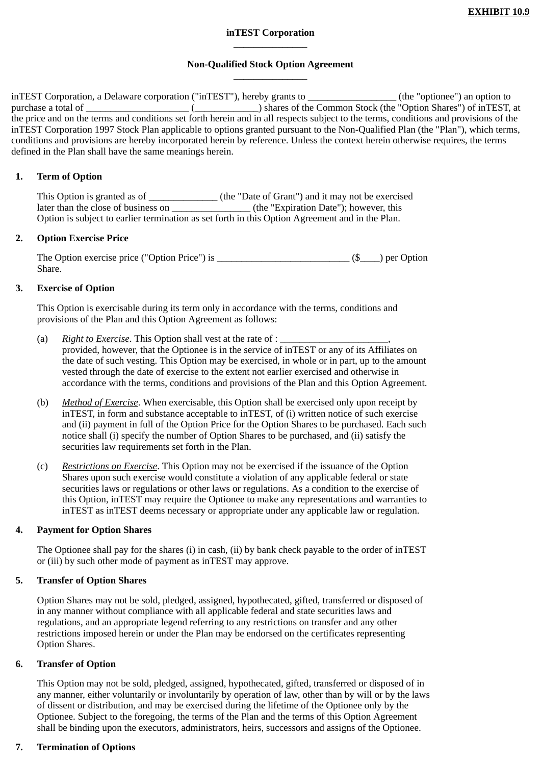# **inTEST Corporation \_\_\_\_\_\_\_\_\_\_\_\_\_\_\_**

# **Non-Qualified Stock Option Agreement \_\_\_\_\_\_\_\_\_\_\_\_\_\_\_**

inTEST Corporation, a Delaware corporation ("inTEST"), hereby grants to \_\_\_\_\_\_\_\_\_\_\_\_\_\_\_\_\_\_ (the "optionee") an option to purchase a total of \_\_\_\_\_\_\_\_\_\_\_\_\_\_\_\_\_\_\_\_\_ (\_\_\_\_\_\_\_\_\_\_\_\_\_) shares of the Common Stock (the "Option Shares") of inTEST, at the price and on the terms and conditions set forth herein and in all respects subject to the terms, conditions and provisions of the inTEST Corporation 1997 Stock Plan applicable to options granted pursuant to the Non-Qualified Plan (the "Plan"), which terms, conditions and provisions are hereby incorporated herein by reference. Unless the context herein otherwise requires, the terms defined in the Plan shall have the same meanings herein.

# **1. Term of Option**

This Option is granted as of \_\_\_\_\_\_\_\_\_\_\_\_\_\_\_\_\_ (the "Date of Grant") and it may not be exercised later than the close of business on \_\_\_\_\_\_\_\_\_\_\_\_\_\_\_\_ (the "Expiration Date"); however, this Option is subject to earlier termination as set forth in this Option Agreement and in the Plan.

# **2. Option Exercise Price**

The Option exercise price ("Option Price") is \_\_\_\_\_\_\_\_\_\_\_\_\_\_\_\_\_\_\_\_\_\_\_\_\_\_\_ (\$\_\_\_\_) per Option Share.

# **3. Exercise of Option**

This Option is exercisable during its term only in accordance with the terms, conditions and provisions of the Plan and this Option Agreement as follows:

- (a) *Right to Exercise*. This Option shall vest at the rate of : \_\_\_\_\_\_\_\_\_\_\_\_\_\_\_\_\_\_\_\_\_\_, provided, however, that the Optionee is in the service of inTEST or any of its Affiliates on the date of such vesting. This Option may be exercised, in whole or in part, up to the amount vested through the date of exercise to the extent not earlier exercised and otherwise in accordance with the terms, conditions and provisions of the Plan and this Option Agreement.
- (b) *Method of Exercise*. When exercisable, this Option shall be exercised only upon receipt by inTEST, in form and substance acceptable to inTEST, of (i) written notice of such exercise and (ii) payment in full of the Option Price for the Option Shares to be purchased. Each such notice shall (i) specify the number of Option Shares to be purchased, and (ii) satisfy the securities law requirements set forth in the Plan.
- (c) *Restrictions on Exercise*. This Option may not be exercised if the issuance of the Option Shares upon such exercise would constitute a violation of any applicable federal or state securities laws or regulations or other laws or regulations. As a condition to the exercise of this Option, inTEST may require the Optionee to make any representations and warranties to inTEST as inTEST deems necessary or appropriate under any applicable law or regulation.

# **4. Payment for Option Shares**

The Optionee shall pay for the shares (i) in cash, (ii) by bank check payable to the order of inTEST or (iii) by such other mode of payment as inTEST may approve.

# **5. Transfer of Option Shares**

Option Shares may not be sold, pledged, assigned, hypothecated, gifted, transferred or disposed of in any manner without compliance with all applicable federal and state securities laws and regulations, and an appropriate legend referring to any restrictions on transfer and any other restrictions imposed herein or under the Plan may be endorsed on the certificates representing Option Shares.

# **6. Transfer of Option**

This Option may not be sold, pledged, assigned, hypothecated, gifted, transferred or disposed of in any manner, either voluntarily or involuntarily by operation of law, other than by will or by the laws of dissent or distribution, and may be exercised during the lifetime of the Optionee only by the Optionee. Subject to the foregoing, the terms of the Plan and the terms of this Option Agreement shall be binding upon the executors, administrators, heirs, successors and assigns of the Optionee.

# **7. Termination of Options**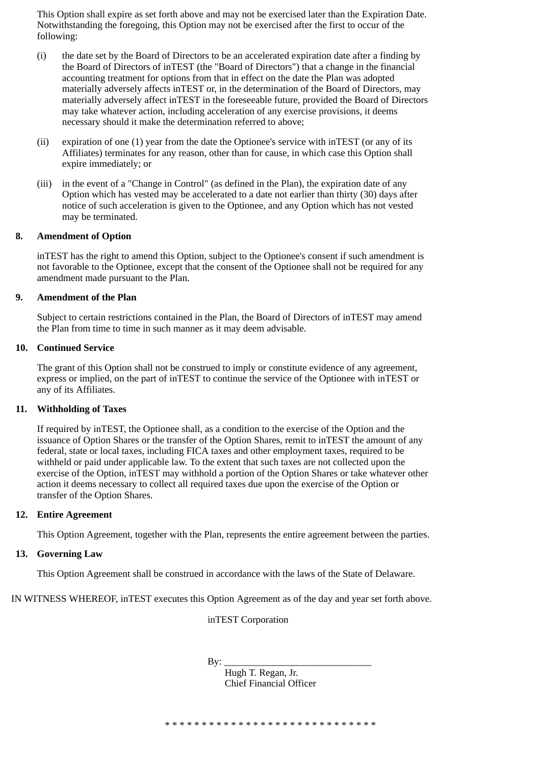This Option shall expire as set forth above and may not be exercised later than the Expiration Date. Notwithstanding the foregoing, this Option may not be exercised after the first to occur of the following:

- (i) the date set by the Board of Directors to be an accelerated expiration date after a finding by the Board of Directors of inTEST (the "Board of Directors") that a change in the financial accounting treatment for options from that in effect on the date the Plan was adopted materially adversely affects inTEST or, in the determination of the Board of Directors, may materially adversely affect inTEST in the foreseeable future, provided the Board of Directors may take whatever action, including acceleration of any exercise provisions, it deems necessary should it make the determination referred to above;
- (ii) expiration of one (1) year from the date the Optionee's service with inTEST (or any of its Affiliates) terminates for any reason, other than for cause, in which case this Option shall expire immediately; or
- (iii) in the event of a "Change in Control" (as defined in the Plan), the expiration date of any Option which has vested may be accelerated to a date not earlier than thirty (30) days after notice of such acceleration is given to the Optionee, and any Option which has not vested may be terminated.

# **8. Amendment of Option**

inTEST has the right to amend this Option, subject to the Optionee's consent if such amendment is not favorable to the Optionee, except that the consent of the Optionee shall not be required for any amendment made pursuant to the Plan.

# **9. Amendment of the Plan**

Subject to certain restrictions contained in the Plan, the Board of Directors of inTEST may amend the Plan from time to time in such manner as it may deem advisable.

# **10. Continued Service**

The grant of this Option shall not be construed to imply or constitute evidence of any agreement, express or implied, on the part of inTEST to continue the service of the Optionee with inTEST or any of its Affiliates.

# **11. Withholding of Taxes**

If required by inTEST, the Optionee shall, as a condition to the exercise of the Option and the issuance of Option Shares or the transfer of the Option Shares, remit to inTEST the amount of any federal, state or local taxes, including FICA taxes and other employment taxes, required to be withheld or paid under applicable law. To the extent that such taxes are not collected upon the exercise of the Option, inTEST may withhold a portion of the Option Shares or take whatever other action it deems necessary to collect all required taxes due upon the exercise of the Option or transfer of the Option Shares.

# **12. Entire Agreement**

This Option Agreement, together with the Plan, represents the entire agreement between the parties.

# **13. Governing Law**

This Option Agreement shall be construed in accordance with the laws of the State of Delaware.

IN WITNESS WHEREOF, inTEST executes this Option Agreement as of the day and year set forth above.

inTEST Corporation

By: \_\_\_\_\_\_\_\_\_\_\_\_\_\_\_\_\_\_\_\_\_\_\_\_\_\_\_\_\_\_

 Hugh T. Regan, Jr. Chief Financial Officer

\* \* \* \* \* \* \* \* \* \* \* \* \* \* \* \* \* \* \* \* \* \* \* \* \* \* \* \* \*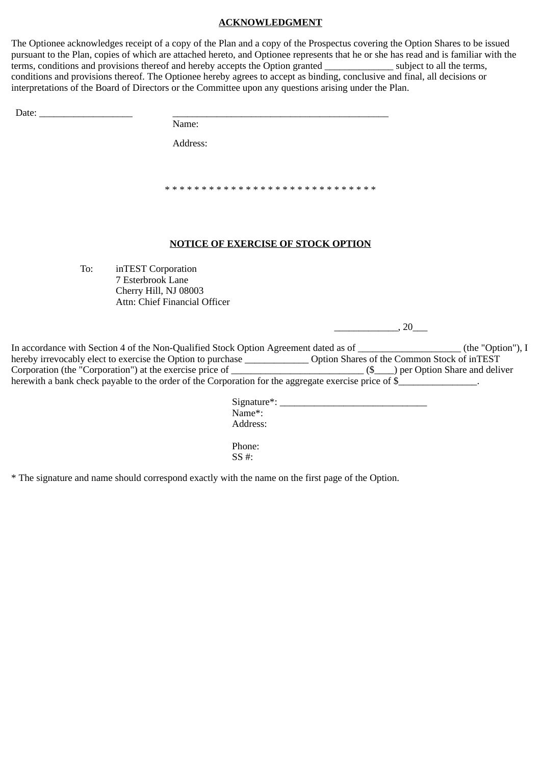# **ACKNOWLEDGMENT**

The Optionee acknowledges receipt of a copy of the Plan and a copy of the Prospectus covering the Option Shares to be issued pursuant to the Plan, copies of which are attached hereto, and Optionee represents that he or she has read and is familiar with the terms, conditions and provisions thereof and hereby accepts the Option granted subject to all the terms, conditions and provisions thereof. The Optionee hereby agrees to accept as binding, conclusive and final, all decisions or interpretations of the Board of Directors or the Committee upon any questions arising under the Plan.

Name:

Address:

\* \* \* \* \* \* \* \* \* \* \* \* \* \* \* \* \* \* \* \* \* \* \* \* \* \* \* \* \*

# **NOTICE OF EXERCISE OF STOCK OPTION**

To: inTEST Corporation 7 Esterbrook Lane Cherry Hill, NJ 08003 Attn: Chief Financial Officer

 $\frac{1}{20}$ 

| In accordance with Section 4 of the Non-Qualified Stock Option Agreement dated as of                  | (the "Option"), $I$                         |
|-------------------------------------------------------------------------------------------------------|---------------------------------------------|
| hereby irrevocably elect to exercise the Option to purchase                                           | Option Shares of the Common Stock of inTEST |
| Corporation (the "Corporation") at the exercise price of                                              | ) per Option Share and deliver              |
| herewith a bank check payable to the order of the Corporation for the aggregate exercise price of \$_ |                                             |

Signature\*: \_\_\_\_\_\_\_\_\_\_\_\_\_\_\_\_\_\_\_\_\_\_\_\_\_\_\_\_\_\_ Name\*: Address:

Phone: SS #:

\* The signature and name should correspond exactly with the name on the first page of the Option.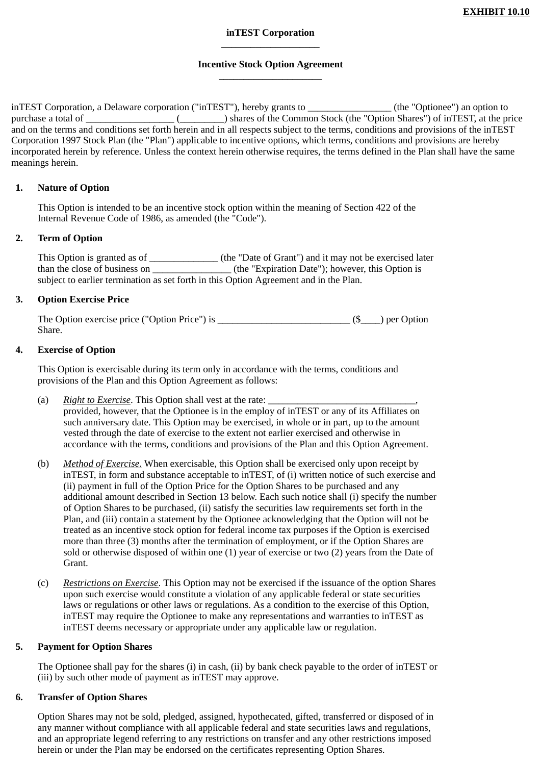# **inTEST Corporation \_\_\_\_\_\_\_\_\_\_\_\_\_\_\_\_\_\_\_\_**

# **Incentive Stock Option Agreement \_\_\_\_\_\_\_\_\_\_\_\_\_\_\_\_\_\_\_\_\_**

inTEST Corporation, a Delaware corporation ("inTEST"), hereby grants to \_\_\_\_\_\_\_\_\_\_\_\_\_\_\_\_\_ (the "Optionee") an option to purchase a total of \_\_\_\_\_\_\_\_\_\_\_\_\_\_\_\_\_\_ (\_\_\_\_\_\_\_\_\_) shares of the Common Stock (the "Option Shares") of inTEST, at the price and on the terms and conditions set forth herein and in all respects subject to the terms, conditions and provisions of the inTEST Corporation 1997 Stock Plan (the "Plan") applicable to incentive options, which terms, conditions and provisions are hereby incorporated herein by reference. Unless the context herein otherwise requires, the terms defined in the Plan shall have the same meanings herein.

# **1. Nature of Option**

This Option is intended to be an incentive stock option within the meaning of Section 422 of the Internal Revenue Code of 1986, as amended (the "Code").

# **2. Term of Option**

This Option is granted as of \_\_\_\_\_\_\_\_\_\_\_\_\_\_ (the "Date of Grant") and it may not be exercised later than the close of business on \_\_\_\_\_\_\_\_\_\_\_\_\_\_\_\_ (the "Expiration Date"); however, this Option is subject to earlier termination as set forth in this Option Agreement and in the Plan.

# **3. Option Exercise Price**

The Option exercise price ("Option Price") is \_\_\_\_\_\_\_\_\_\_\_\_\_\_\_\_\_\_\_\_\_\_\_\_\_\_\_ (\$\_\_\_\_) per Option Share.

# **4. Exercise of Option**

This Option is exercisable during its term only in accordance with the terms, conditions and provisions of the Plan and this Option Agreement as follows:

- (a) *Right to Exercise*. This Option shall vest at the rate: provided, however, that the Optionee is in the employ of inTEST or any of its Affiliates on such anniversary date. This Option may be exercised, in whole or in part, up to the amount vested through the date of exercise to the extent not earlier exercised and otherwise in accordance with the terms, conditions and provisions of the Plan and this Option Agreement.
- (b) *Method of Exercise*. When exercisable, this Option shall be exercised only upon receipt by inTEST, in form and substance acceptable to inTEST, of (i) written notice of such exercise and (ii) payment in full of the Option Price for the Option Shares to be purchased and any additional amount described in Section 13 below. Each such notice shall (i) specify the number of Option Shares to be purchased, (ii) satisfy the securities law requirements set forth in the Plan, and (iii) contain a statement by the Optionee acknowledging that the Option will not be treated as an incentive stock option for federal income tax purposes if the Option is exercised more than three (3) months after the termination of employment, or if the Option Shares are sold or otherwise disposed of within one (1) year of exercise or two (2) years from the Date of Grant.
- (c) *Restrictions on Exercise*. This Option may not be exercised if the issuance of the option Shares upon such exercise would constitute a violation of any applicable federal or state securities laws or regulations or other laws or regulations. As a condition to the exercise of this Option, inTEST may require the Optionee to make any representations and warranties to inTEST as inTEST deems necessary or appropriate under any applicable law or regulation.

# **5. Payment for Option Shares**

The Optionee shall pay for the shares (i) in cash, (ii) by bank check payable to the order of inTEST or (iii) by such other mode of payment as inTEST may approve.

# **6. Transfer of Option Shares**

Option Shares may not be sold, pledged, assigned, hypothecated, gifted, transferred or disposed of in any manner without compliance with all applicable federal and state securities laws and regulations, and an appropriate legend referring to any restrictions on transfer and any other restrictions imposed herein or under the Plan may be endorsed on the certificates representing Option Shares.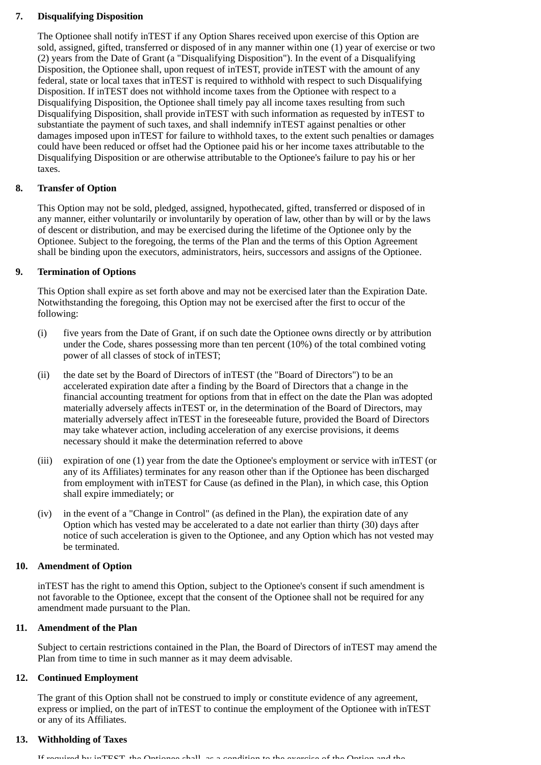# **7. Disqualifying Disposition**

The Optionee shall notify inTEST if any Option Shares received upon exercise of this Option are sold, assigned, gifted, transferred or disposed of in any manner within one (1) year of exercise or two (2) years from the Date of Grant (a "Disqualifying Disposition"). In the event of a Disqualifying Disposition, the Optionee shall, upon request of inTEST, provide inTEST with the amount of any federal, state or local taxes that inTEST is required to withhold with respect to such Disqualifying Disposition. If inTEST does not withhold income taxes from the Optionee with respect to a Disqualifying Disposition, the Optionee shall timely pay all income taxes resulting from such Disqualifying Disposition, shall provide inTEST with such information as requested by inTEST to substantiate the payment of such taxes, and shall indemnify inTEST against penalties or other damages imposed upon inTEST for failure to withhold taxes, to the extent such penalties or damages could have been reduced or offset had the Optionee paid his or her income taxes attributable to the Disqualifying Disposition or are otherwise attributable to the Optionee's failure to pay his or her taxes.

# **8. Transfer of Option**

This Option may not be sold, pledged, assigned, hypothecated, gifted, transferred or disposed of in any manner, either voluntarily or involuntarily by operation of law, other than by will or by the laws of descent or distribution, and may be exercised during the lifetime of the Optionee only by the Optionee. Subject to the foregoing, the terms of the Plan and the terms of this Option Agreement shall be binding upon the executors, administrators, heirs, successors and assigns of the Optionee.

# **9. Termination of Options**

This Option shall expire as set forth above and may not be exercised later than the Expiration Date. Notwithstanding the foregoing, this Option may not be exercised after the first to occur of the following:

- (i) five years from the Date of Grant, if on such date the Optionee owns directly or by attribution under the Code, shares possessing more than ten percent (10%) of the total combined voting power of all classes of stock of inTEST;
- (ii) the date set by the Board of Directors of inTEST (the "Board of Directors") to be an accelerated expiration date after a finding by the Board of Directors that a change in the financial accounting treatment for options from that in effect on the date the Plan was adopted materially adversely affects inTEST or, in the determination of the Board of Directors, may materially adversely affect inTEST in the foreseeable future, provided the Board of Directors may take whatever action, including acceleration of any exercise provisions, it deems necessary should it make the determination referred to above
- (iii) expiration of one (1) year from the date the Optionee's employment or service with inTEST (or any of its Affiliates) terminates for any reason other than if the Optionee has been discharged from employment with inTEST for Cause (as defined in the Plan), in which case, this Option shall expire immediately; or
- (iv) in the event of a "Change in Control" (as defined in the Plan), the expiration date of any Option which has vested may be accelerated to a date not earlier than thirty (30) days after notice of such acceleration is given to the Optionee, and any Option which has not vested may be terminated.

# **10. Amendment of Option**

inTEST has the right to amend this Option, subject to the Optionee's consent if such amendment is not favorable to the Optionee, except that the consent of the Optionee shall not be required for any amendment made pursuant to the Plan.

# **11. Amendment of the Plan**

Subject to certain restrictions contained in the Plan, the Board of Directors of inTEST may amend the Plan from time to time in such manner as it may deem advisable.

# **12. Continued Employment**

The grant of this Option shall not be construed to imply or constitute evidence of any agreement, express or implied, on the part of inTEST to continue the employment of the Optionee with inTEST or any of its Affiliates.

# **13. Withholding of Taxes**

If required by inTEST the Optionee shall as a condition to the exercise of the Option and the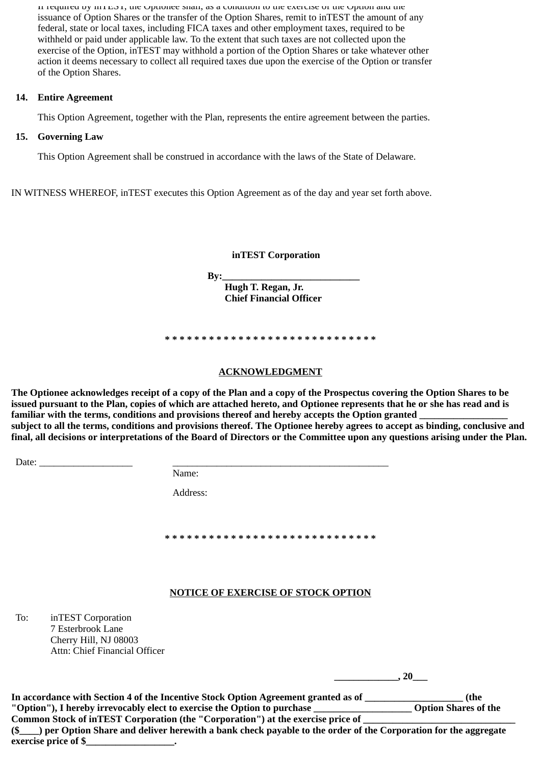If required by  $m$  and  $n$ , the Optionee shall, as a condition to the exercise or the Option and the issuance of Option Shares or the transfer of the Option Shares, remit to inTEST the amount of any federal, state or local taxes, including FICA taxes and other employment taxes, required to be withheld or paid under applicable law. To the extent that such taxes are not collected upon the exercise of the Option, inTEST may withhold a portion of the Option Shares or take whatever other action it deems necessary to collect all required taxes due upon the exercise of the Option or transfer of the Option Shares.

# **14. Entire Agreement**

This Option Agreement, together with the Plan, represents the entire agreement between the parties.

# **15. Governing Law**

This Option Agreement shall be construed in accordance with the laws of the State of Delaware.

IN WITNESS WHEREOF, inTEST executes this Option Agreement as of the day and year set forth above.

**inTEST Corporation**

**By:\_\_\_\_\_\_\_\_\_\_\_\_\_\_\_\_\_\_\_\_\_\_\_\_\_\_\_\_\_\_\_\_\_\_** 

 **Hugh T. Regan, Jr. Chief Financial Officer**

# **\* \* \* \* \* \* \* \* \* \* \* \* \* \* \* \* \* \* \* \* \* \* \* \* \* \* \* \* \***

# **ACKNOWLEDGMENT**

**The Optionee acknowledges receipt of a copy of the Plan and a copy of the Prospectus covering the Option Shares to be issued pursuant to the Plan, copies of which are attached hereto, and Optionee represents that he or she has read and is** familiar with the terms, conditions and provisions thereof and hereby accepts the Option granted **subject to all the terms, conditions and provisions thereof. The Optionee hereby agrees to accept as binding, conclusive and final, all decisions or interpretations of the Board of Directors or the Committee upon any questions arising under the Plan.**

Date: \_\_\_\_\_\_\_\_\_\_\_\_\_\_\_\_\_\_\_ \_\_\_\_\_\_\_\_\_\_\_\_\_\_\_\_\_\_\_\_\_\_\_\_\_\_\_\_\_\_\_\_\_\_\_\_\_\_\_\_\_\_\_\_

| am |
|----|
|    |

Address:

**\* \* \* \* \* \* \* \* \* \* \* \* \* \* \* \* \* \* \* \* \* \* \* \* \* \* \* \* \***

# **NOTICE OF EXERCISE OF STOCK OPTION**

To: inTEST Corporation 7 Esterbrook Lane Cherry Hill, NJ 08003 Attn: Chief Financial Officer

**\_\_\_\_\_\_\_\_\_\_\_\_\_, 20\_\_\_**

**In accordance with Section 4 of the Incentive Stock Option Agreement granted as of \_\_\_\_\_\_\_\_\_\_\_\_\_\_\_\_\_\_\_\_ (the "Option"), I hereby irrevocably elect to exercise the Option to purchase \_\_\_\_\_\_\_\_\_\_\_\_\_\_\_\_\_\_\_\_ Option Shares of the** Common Stock of inTEST Corporation (the "Corporation") at the exercise price of **(\$\_\_\_\_) per Option Share and deliver herewith a bank check payable to the order of the Corporation for the aggregate exercise price of \$\_\_\_\_\_\_\_\_\_\_\_\_\_\_\_\_\_\_.**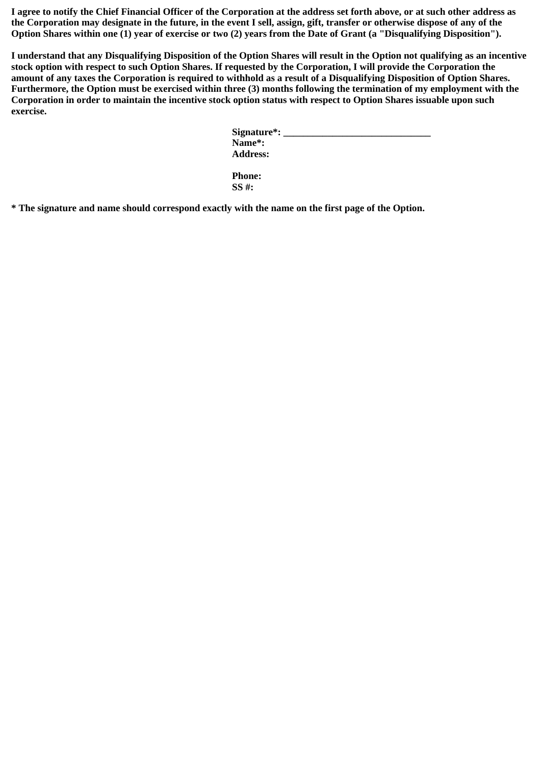**I agree to notify the Chief Financial Officer of the Corporation at the address set forth above, or at such other address as the Corporation may designate in the future, in the event I sell, assign, gift, transfer or otherwise dispose of any of the Option Shares within one (1) year of exercise or two (2) years from the Date of Grant (a "Disqualifying Disposition").** 

**I understand that any Disqualifying Disposition of the Option Shares will result in the Option not qualifying as an incentive stock option with respect to such Option Shares. If requested by the Corporation, I will provide the Corporation the amount of any taxes the Corporation is required to withhold as a result of a Disqualifying Disposition of Option Shares. Furthermore, the Option must be exercised within three (3) months following the termination of my employment with the Corporation in order to maintain the incentive stock option status with respect to Option Shares issuable upon such exercise.**

| Name*:          |  |  |
|-----------------|--|--|
| <b>Address:</b> |  |  |

**Phone: SS #:**

**\* The signature and name should correspond exactly with the name on the first page of the Option.**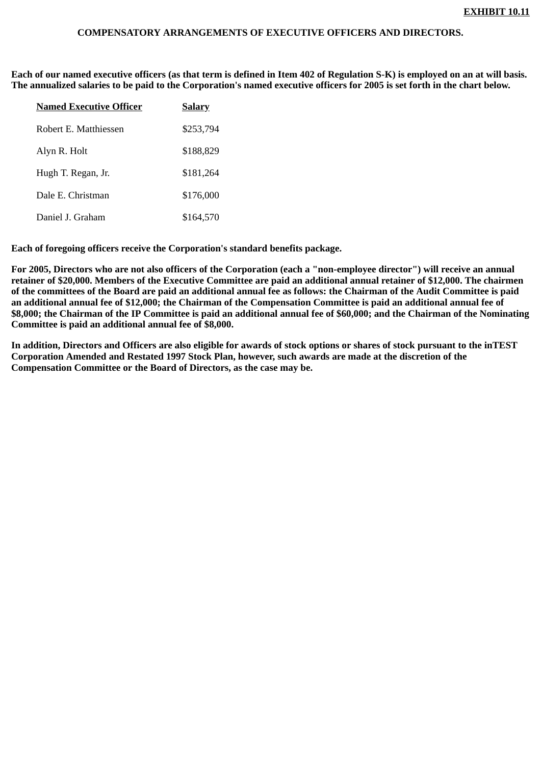# **COMPENSATORY ARRANGEMENTS OF EXECUTIVE OFFICERS AND DIRECTORS.**

**Each of our named executive officers (as that term is defined in Item 402 of Regulation S-K) is employed on an at will basis. The annualized salaries to be paid to the Corporation's named executive officers for 2005 is set forth in the chart below.**

| <b>Named Executive Officer</b> | <b>Salary</b> |
|--------------------------------|---------------|
| Robert E. Matthiessen          | \$253,794     |
| Alyn R. Holt                   | \$188,829     |
| Hugh T. Regan, Jr.             | \$181,264     |
| Dale E. Christman              | \$176,000     |
| Daniel J. Graham               | \$164,570     |

**Each of foregoing officers receive the Corporation's standard benefits package.**

**For 2005, Directors who are not also officers of the Corporation (each a "non-employee director") will receive an annual retainer of \$20,000. Members of the Executive Committee are paid an additional annual retainer of \$12,000. The chairmen of the committees of the Board are paid an additional annual fee as follows: the Chairman of the Audit Committee is paid an additional annual fee of \$12,000; the Chairman of the Compensation Committee is paid an additional annual fee of \$8,000; the Chairman of the IP Committee is paid an additional annual fee of \$60,000; and the Chairman of the Nominating Committee is paid an additional annual fee of \$8,000.**

**In addition, Directors and Officers are also eligible for awards of stock options or shares of stock pursuant to the inTEST Corporation Amended and Restated 1997 Stock Plan, however, such awards are made at the discretion of the Compensation Committee or the Board of Directors, as the case may be.**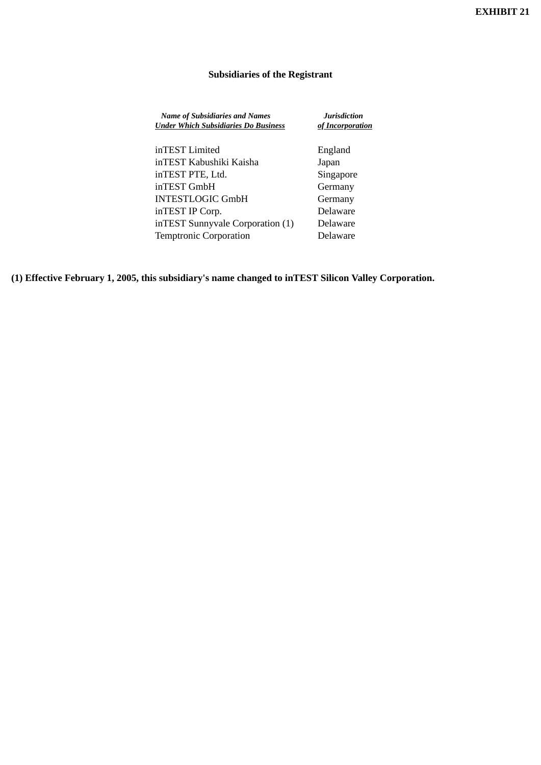# **Subsidiaries of the Registrant**

| <b>Name of Subsidiaries and Names</b><br><b>Under Which Subsidiaries Do Business</b> | <b>Jurisdiction</b><br>of Incorporation |
|--------------------------------------------------------------------------------------|-----------------------------------------|
| inTEST Limited                                                                       | England                                 |
| inTEST Kabushiki Kaisha                                                              | Japan                                   |
| inTEST PTE, Ltd.                                                                     | Singapore                               |
| inTEST GmbH                                                                          | Germany                                 |
| <b>INTESTLOGIC GmbH</b>                                                              | Germany                                 |
| inTEST IP Corp.                                                                      | Delaware                                |
| inTEST Sunnyvale Corporation (1)                                                     | Delaware                                |

Temptronic Corporation Delaware

**(1) Effective February 1, 2005, this subsidiary's name changed to inTEST Silicon Valley Corporation.**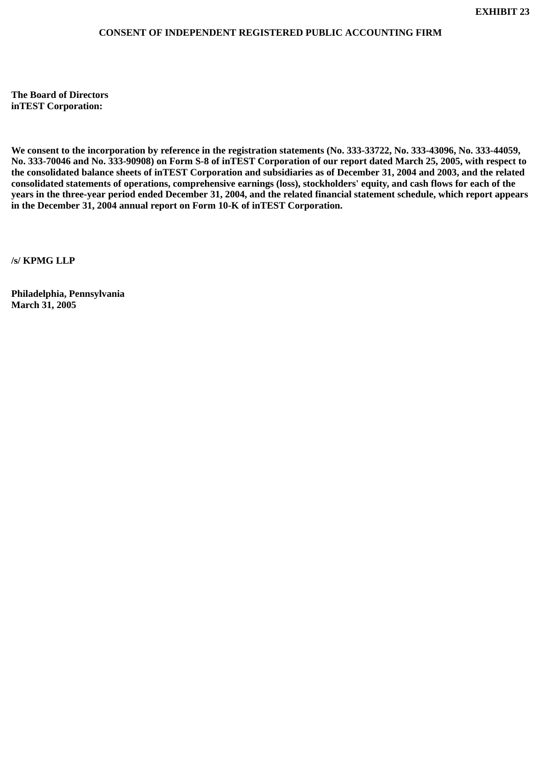# **CONSENT OF INDEPENDENT REGISTERED PUBLIC ACCOUNTING FIRM**

**The Board of Directors inTEST Corporation:**

**We consent to the incorporation by reference in the registration statements (No. 333-33722, No. 333-43096, No. 333-44059, No. 333-70046 and No. 333-90908) on Form S-8 of inTEST Corporation of our report dated March 25, 2005, with respect to the consolidated balance sheets of inTEST Corporation and subsidiaries as of December 31, 2004 and 2003, and the related consolidated statements of operations, comprehensive earnings (loss), stockholders' equity, and cash flows for each of the years in the three-year period ended December 31, 2004, and the related financial statement schedule, which report appears in the December 31, 2004 annual report on Form 10-K of inTEST Corporation.**

**/s/ KPMG LLP**

**Philadelphia, Pennsylvania March 31, 2005**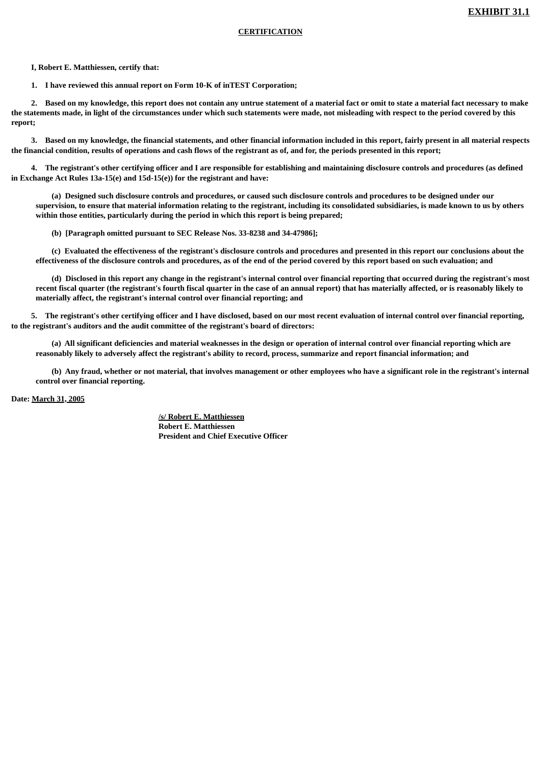## **CERTIFICATION**

 **I, Robert E. Matthiessen, certify that:**

 **1. I have reviewed this annual report on Form 10-K of inTEST Corporation;**

 **2. Based on my knowledge, this report does not contain any untrue statement of a material fact or omit to state a material fact necessary to make the statements made, in light of the circumstances under which such statements were made, not misleading with respect to the period covered by this report;**

 **3. Based on my knowledge, the financial statements, and other financial information included in this report, fairly present in all material respects the financial condition, results of operations and cash flows of the registrant as of, and for, the periods presented in this report;**

 **4. The registrant's other certifying officer and I are responsible for establishing and maintaining disclosure controls and procedures (as defined in Exchange Act Rules 13a-15(e) and 15d-15(e)) for the registrant and have:**

 **(a) Designed such disclosure controls and procedures, or caused such disclosure controls and procedures to be designed under our supervision, to ensure that material information relating to the registrant, including its consolidated subsidiaries, is made known to us by others within those entities, particularly during the period in which this report is being prepared;**

 **(b) [Paragraph omitted pursuant to SEC Release Nos. 33-8238 and 34-47986];**

 **(c) Evaluated the effectiveness of the registrant's disclosure controls and procedures and presented in this report our conclusions about the effectiveness of the disclosure controls and procedures, as of the end of the period covered by this report based on such evaluation; and**

 **(d) Disclosed in this report any change in the registrant's internal control over financial reporting that occurred during the registrant's most recent fiscal quarter (the registrant's fourth fiscal quarter in the case of an annual report) that has materially affected, or is reasonably likely to materially affect, the registrant's internal control over financial reporting; and**

 **5. The registrant's other certifying officer and I have disclosed, based on our most recent evaluation of internal control over financial reporting, to the registrant's auditors and the audit committee of the registrant's board of directors:**

 **(a) All significant deficiencies and material weaknesses in the design or operation of internal control over financial reporting which are reasonably likely to adversely affect the registrant's ability to record, process, summarize and report financial information; and**

 **(b) Any fraud, whether or not material, that involves management or other employees who have a significant role in the registrant's internal control over financial reporting.**

**Date: March 31, 2005**

**/s/ Robert E. Matthiessen Robert E. Matthiessen President and Chief Executive Officer**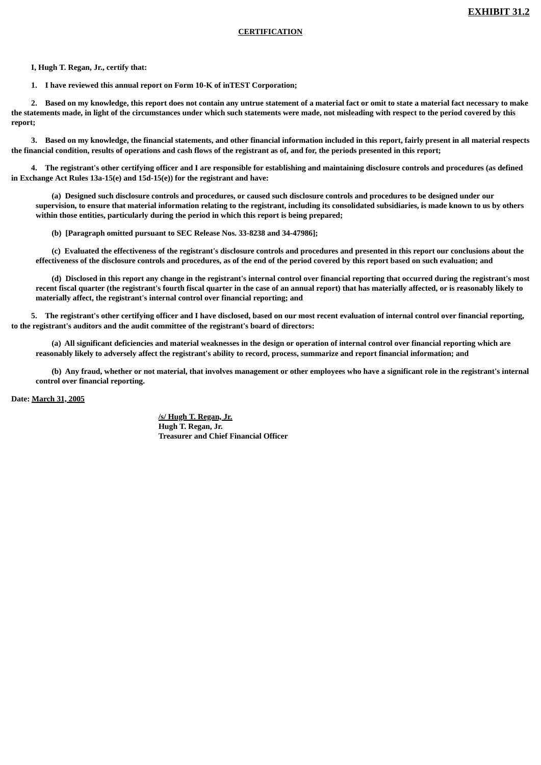## **CERTIFICATION**

 **I, Hugh T. Regan, Jr., certify that:**

 **1. I have reviewed this annual report on Form 10-K of inTEST Corporation;**

 **2. Based on my knowledge, this report does not contain any untrue statement of a material fact or omit to state a material fact necessary to make the statements made, in light of the circumstances under which such statements were made, not misleading with respect to the period covered by this report;**

 **3. Based on my knowledge, the financial statements, and other financial information included in this report, fairly present in all material respects the financial condition, results of operations and cash flows of the registrant as of, and for, the periods presented in this report;**

 **4. The registrant's other certifying officer and I are responsible for establishing and maintaining disclosure controls and procedures (as defined in Exchange Act Rules 13a-15(e) and 15d-15(e)) for the registrant and have:**

 **(a) Designed such disclosure controls and procedures, or caused such disclosure controls and procedures to be designed under our supervision, to ensure that material information relating to the registrant, including its consolidated subsidiaries, is made known to us by others within those entities, particularly during the period in which this report is being prepared;**

 **(b) [Paragraph omitted pursuant to SEC Release Nos. 33-8238 and 34-47986];**

 **(c) Evaluated the effectiveness of the registrant's disclosure controls and procedures and presented in this report our conclusions about the effectiveness of the disclosure controls and procedures, as of the end of the period covered by this report based on such evaluation; and**

 **(d) Disclosed in this report any change in the registrant's internal control over financial reporting that occurred during the registrant's most recent fiscal quarter (the registrant's fourth fiscal quarter in the case of an annual report) that has materially affected, or is reasonably likely to materially affect, the registrant's internal control over financial reporting; and**

 **5. The registrant's other certifying officer and I have disclosed, based on our most recent evaluation of internal control over financial reporting, to the registrant's auditors and the audit committee of the registrant's board of directors:**

 **(a) All significant deficiencies and material weaknesses in the design or operation of internal control over financial reporting which are reasonably likely to adversely affect the registrant's ability to record, process, summarize and report financial information; and**

 **(b) Any fraud, whether or not material, that involves management or other employees who have a significant role in the registrant's internal control over financial reporting.**

**Date: March 31, 2005**

**/s/ Hugh T. Regan, Jr. Hugh T. Regan, Jr. Treasurer and Chief Financial Officer**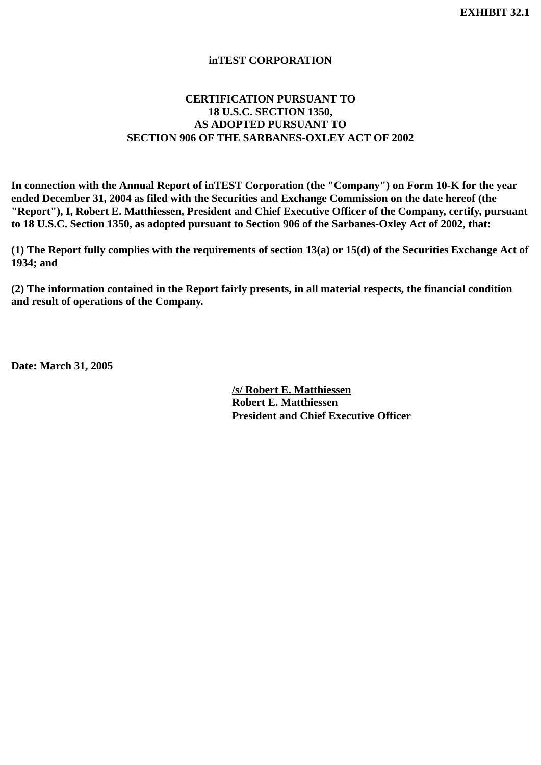# **inTEST CORPORATION**

# **CERTIFICATION PURSUANT TO 18 U.S.C. SECTION 1350, AS ADOPTED PURSUANT TO SECTION 906 OF THE SARBANES-OXLEY ACT OF 2002**

**In connection with the Annual Report of inTEST Corporation (the "Company") on Form 10-K for the year ended December 31, 2004 as filed with the Securities and Exchange Commission on the date hereof (the "Report"), I, Robert E. Matthiessen, President and Chief Executive Officer of the Company, certify, pursuant to 18 U.S.C. Section 1350, as adopted pursuant to Section 906 of the Sarbanes-Oxley Act of 2002, that:**

**(1) The Report fully complies with the requirements of section 13(a) or 15(d) of the Securities Exchange Act of 1934; and**

**(2) The information contained in the Report fairly presents, in all material respects, the financial condition and result of operations of the Company.**

**Date: March 31, 2005**

**/s/ Robert E. Matthiessen Robert E. Matthiessen President and Chief Executive Officer**